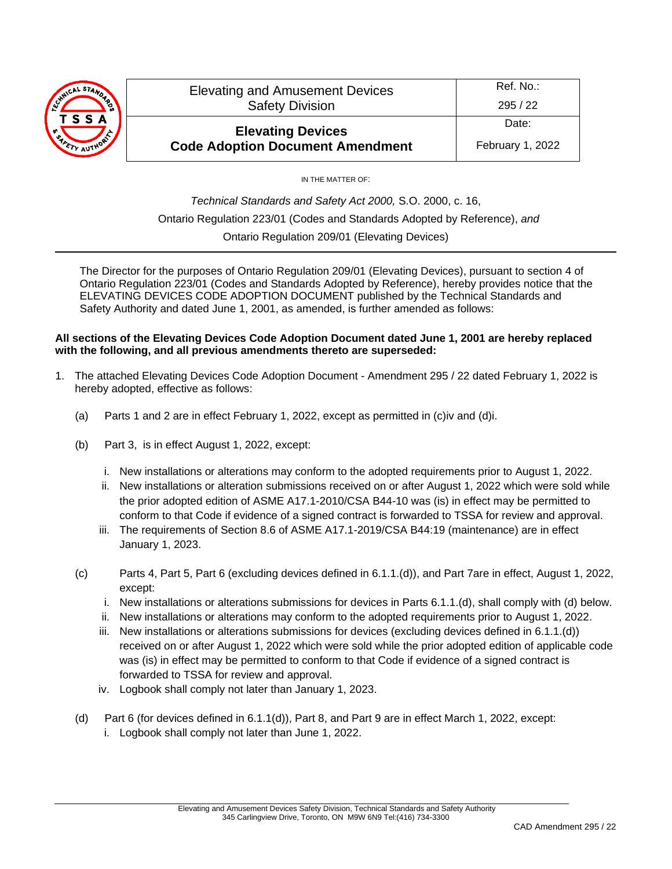

Date: February 1, 2022

IN THE MATTER OF:

*Technical Standards and Safety Act 2000,* S.O. 2000, c. 16, Ontario Regulation 223/01 (Codes and Standards Adopted by Reference), *and* Ontario Regulation 209/01 (Elevating Devices)

The Director for the purposes of Ontario Regulation 209/01 (Elevating Devices), pursuant to section 4 of Ontario Regulation 223/01 (Codes and Standards Adopted by Reference), hereby provides notice that the ELEVATING DEVICES CODE ADOPTION DOCUMENT published by the Technical Standards and Safety Authority and dated June 1, 2001, as amended, is further amended as follows:

# **All sections of the Elevating Devices Code Adoption Document dated June 1, 2001 are hereby replaced with the following, and all previous amendments thereto are superseded:**

- 1. The attached Elevating Devices Code Adoption Document Amendment 295 / 22 dated February 1, 2022 is hereby adopted, effective as follows:
	- (a) Parts 1 and 2 are in effect February 1, 2022, except as permitted in (c)iv and (d)i.
	- (b) Part 3, is in effect August 1, 2022, except:
		- i. New installations or alterations may conform to the adopted requirements prior to August 1, 2022.
		- ii. New installations or alteration submissions received on or after August 1, 2022 which were sold while the prior adopted edition of ASME A17.1-2010/CSA B44-10 was (is) in effect may be permitted to conform to that Code if evidence of a signed contract is forwarded to TSSA for review and approval.
		- iii. The requirements of Section 8.6 of ASME A17.1-2019/CSA B44:19 (maintenance) are in effect January 1, 2023.
	- (c) Parts 4, Part 5, Part 6 (excluding devices defined in 6.1.1.(d)), and Part 7are in effect, August 1, 2022, except:
		- i. New installations or alterations submissions for devices in Parts 6.1.1.(d), shall comply with (d) below.
		- ii. New installations or alterations may conform to the adopted requirements prior to August 1, 2022.
		- iii. New installations or alterations submissions for devices (excluding devices defined in 6.1.1.(d)) received on or after August 1, 2022 which were sold while the prior adopted edition of applicable code was (is) in effect may be permitted to conform to that Code if evidence of a signed contract is forwarded to TSSA for review and approval.
		- iv. Logbook shall comply not later than January 1, 2023.
	- (d) Part 6 (for devices defined in 6.1.1(d)), Part 8, and Part 9 are in effect March 1, 2022, except:
		- i. Logbook shall comply not later than June 1, 2022.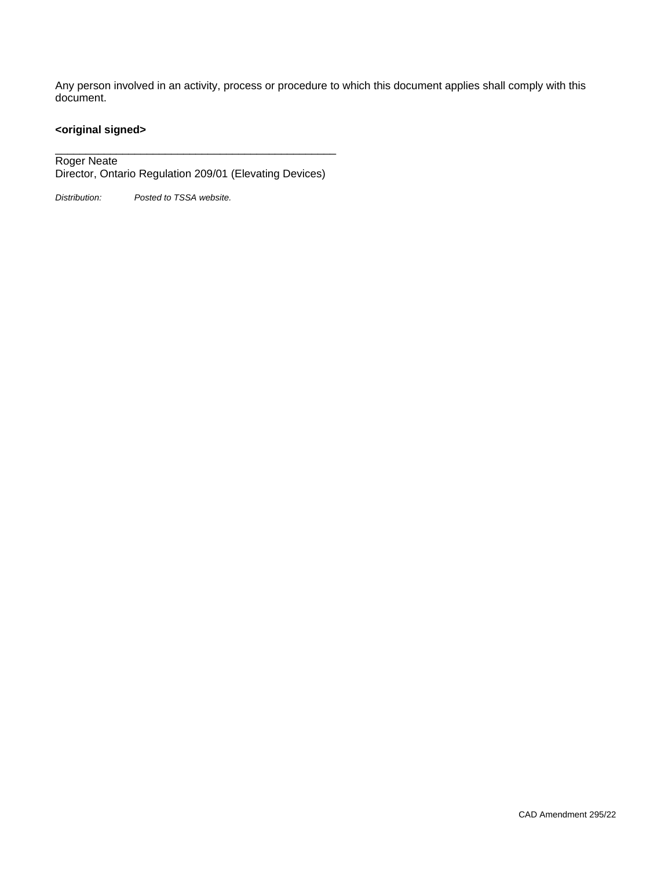Any person involved in an activity, process or procedure to which this document applies shall comply with this document.

# **<original signed>**

\_\_\_\_\_\_\_\_\_\_\_\_\_\_\_\_\_\_\_\_\_\_\_\_\_\_\_\_\_\_\_\_\_\_\_\_\_\_\_\_\_\_\_\_\_\_ Roger Neate Director, Ontario Regulation 209/01 (Elevating Devices)

*Distribution: Posted to TSSA website.*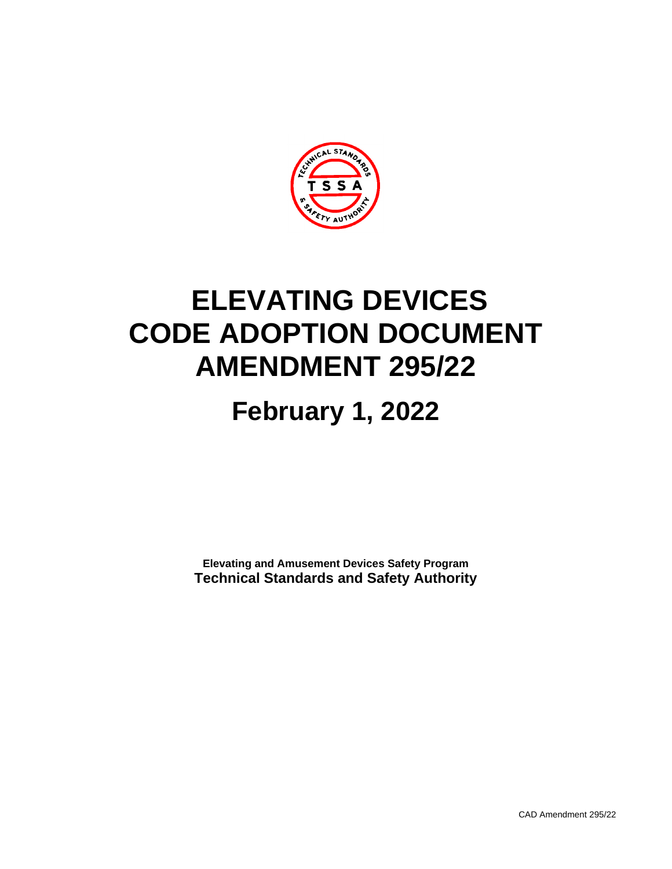

# **ELEVATING DEVICES CODE ADOPTION DOCUMENT AMENDMENT 295/22**

# **February 1, 2022**

**Elevating and Amusement Devices Safety Program Technical Standards and Safety Authority**

CAD Amendment 295/22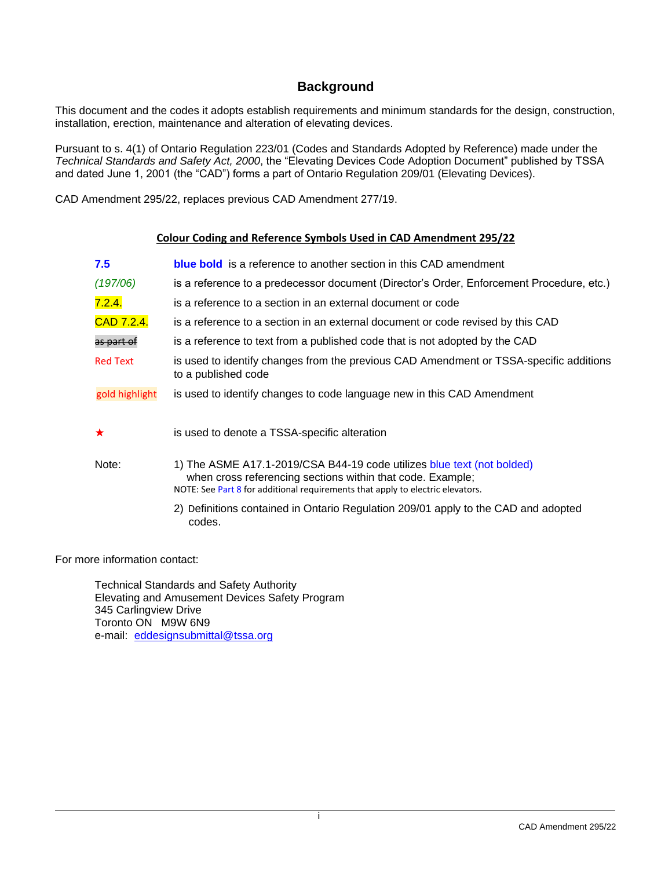# **Background**

This document and the codes it adopts establish requirements and minimum standards for the design, construction, installation, erection, maintenance and alteration of elevating devices.

Pursuant to s. 4(1) of Ontario Regulation 223/01 (Codes and Standards Adopted by Reference) made under the *Technical Standards and Safety Act, 2000*, the "Elevating Devices Code Adoption Document" published by TSSA and dated June 1, 2001 (the "CAD") forms a part of Ontario Regulation 209/01 (Elevating Devices).

CAD Amendment 295/22, replaces previous CAD Amendment 277/19.

# **Colour Coding and Reference Symbols Used in CAD Amendment 295/22**

| 7.5             | <b>blue bold</b> is a reference to another section in this CAD amendment                                                                                                                                               |
|-----------------|------------------------------------------------------------------------------------------------------------------------------------------------------------------------------------------------------------------------|
| (197/06)        | is a reference to a predecessor document (Director's Order, Enforcement Procedure, etc.)                                                                                                                               |
| 7.2.4.          | is a reference to a section in an external document or code                                                                                                                                                            |
| CAD 7.2.4.      | is a reference to a section in an external document or code revised by this CAD                                                                                                                                        |
| as part of      | is a reference to text from a published code that is not adopted by the CAD                                                                                                                                            |
| <b>Red Text</b> | is used to identify changes from the previous CAD Amendment or TSSA-specific additions<br>to a published code                                                                                                          |
| gold highlight  | is used to identify changes to code language new in this CAD Amendment                                                                                                                                                 |
| ★               | is used to denote a TSSA-specific alteration                                                                                                                                                                           |
| Note:           | 1) The ASME A17.1-2019/CSA B44-19 code utilizes blue text (not bolded)<br>when cross referencing sections within that code. Example;<br>NOTE: See Part 8 for additional requirements that apply to electric elevators. |
|                 | 2) Definitions contained in Ontario Regulation 209/01 apply to the CAD and adopted<br>codes.                                                                                                                           |

For more information contact:

Technical Standards and Safety Authority Elevating and Amusement Devices Safety Program 345 Carlingview Drive Toronto ON M9W 6N9 e-mail: [eddesignsubmittal@tssa.org](mailto:eddesignsubmittal@tssa.org)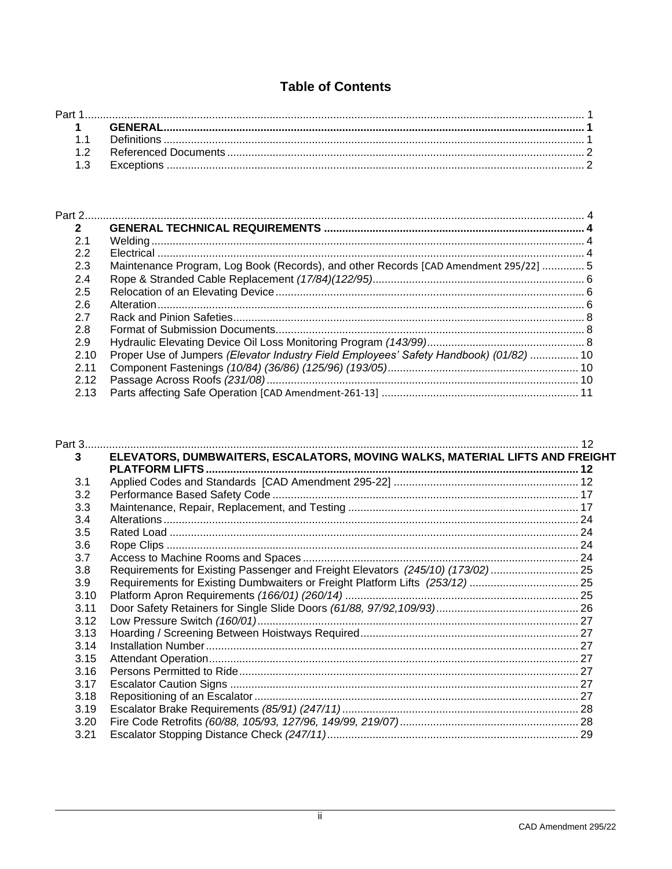# **Table of Contents**

| Part |  |
|------|--|
|      |  |
|      |  |
|      |  |
|      |  |
|      |  |

| $\overline{2}$ |                                                                                        |  |
|----------------|----------------------------------------------------------------------------------------|--|
| 2.1            |                                                                                        |  |
| 2.2            |                                                                                        |  |
| 2.3            | Maintenance Program, Log Book (Records), and other Records [CAD Amendment 295/22]  5   |  |
| 2.4            |                                                                                        |  |
| 2.5            |                                                                                        |  |
| 2.6            |                                                                                        |  |
| 2.7            |                                                                                        |  |
| 2.8            |                                                                                        |  |
| 2.9            |                                                                                        |  |
| 2.10           | Proper Use of Jumpers (Elevator Industry Field Employees' Safety Handbook) (01/82)  10 |  |
| 2.11           |                                                                                        |  |
| 2.12           |                                                                                        |  |
| 2.13           |                                                                                        |  |

| 3    | ELEVATORS, DUMBWAITERS, ESCALATORS, MOVING WALKS, MATERIAL LIFTS AND FREIGHT   |  |
|------|--------------------------------------------------------------------------------|--|
|      |                                                                                |  |
| 3.1  |                                                                                |  |
| 3.2  |                                                                                |  |
| 3.3  |                                                                                |  |
| 3.4  |                                                                                |  |
| 3.5  |                                                                                |  |
| 3.6  |                                                                                |  |
| 3.7  |                                                                                |  |
| 3.8  | Requirements for Existing Passenger and Freight Elevators (245/10) (173/02) 25 |  |
| 3.9  | Requirements for Existing Dumbwaiters or Freight Platform Lifts (253/12) 25    |  |
| 3.10 |                                                                                |  |
| 3.11 |                                                                                |  |
| 3.12 |                                                                                |  |
| 3.13 |                                                                                |  |
| 3.14 |                                                                                |  |
| 3.15 |                                                                                |  |
| 3.16 |                                                                                |  |
| 3.17 |                                                                                |  |
| 3.18 |                                                                                |  |
| 3.19 |                                                                                |  |
| 3.20 |                                                                                |  |
| 3.21 |                                                                                |  |
|      |                                                                                |  |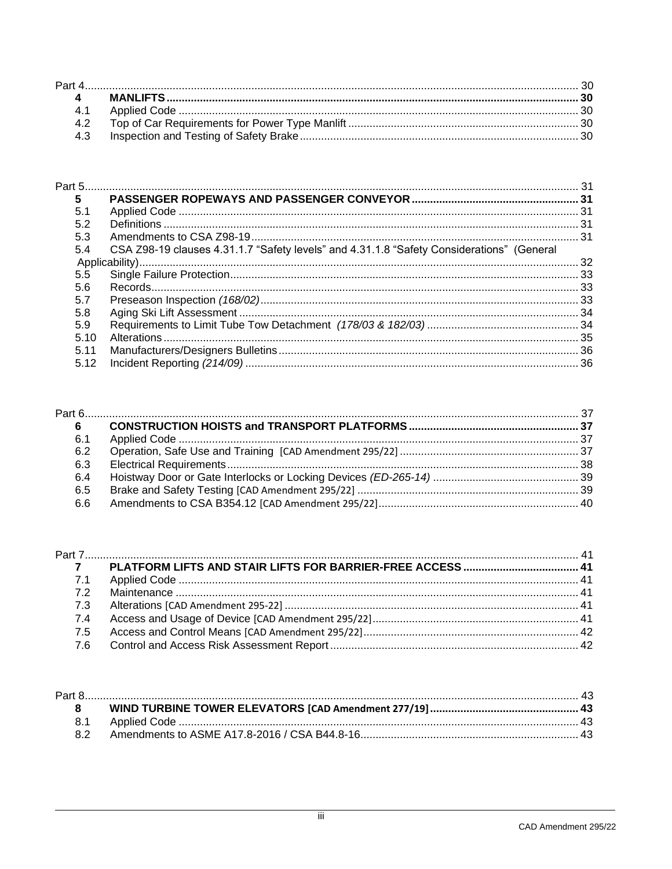| 4.1 |  |
|-----|--|
| 42  |  |
| 4.3 |  |

| 5    |                                                                                           |  |
|------|-------------------------------------------------------------------------------------------|--|
| 5.1  |                                                                                           |  |
| 5.2  |                                                                                           |  |
| 5.3  |                                                                                           |  |
| 5.4  | CSA Z98-19 clauses 4.31.1.7 "Safety levels" and 4.31.1.8 "Safety Considerations" (General |  |
|      |                                                                                           |  |
| 5.5  |                                                                                           |  |
| 5.6  |                                                                                           |  |
| 5.7  |                                                                                           |  |
| 5.8  |                                                                                           |  |
| 5.9  |                                                                                           |  |
| 5.10 |                                                                                           |  |
| 5.11 |                                                                                           |  |
| 5.12 |                                                                                           |  |

| 6   |  |
|-----|--|
| 6.1 |  |
| 6.2 |  |
| 6.3 |  |
| 6.4 |  |
| 6.5 |  |
| 6.6 |  |
|     |  |

| 7.1 |  |
|-----|--|
| 72  |  |
| 7.3 |  |
| 7.4 |  |
| 7.5 |  |
|     |  |
|     |  |

| <b>R2</b> |  |
|-----------|--|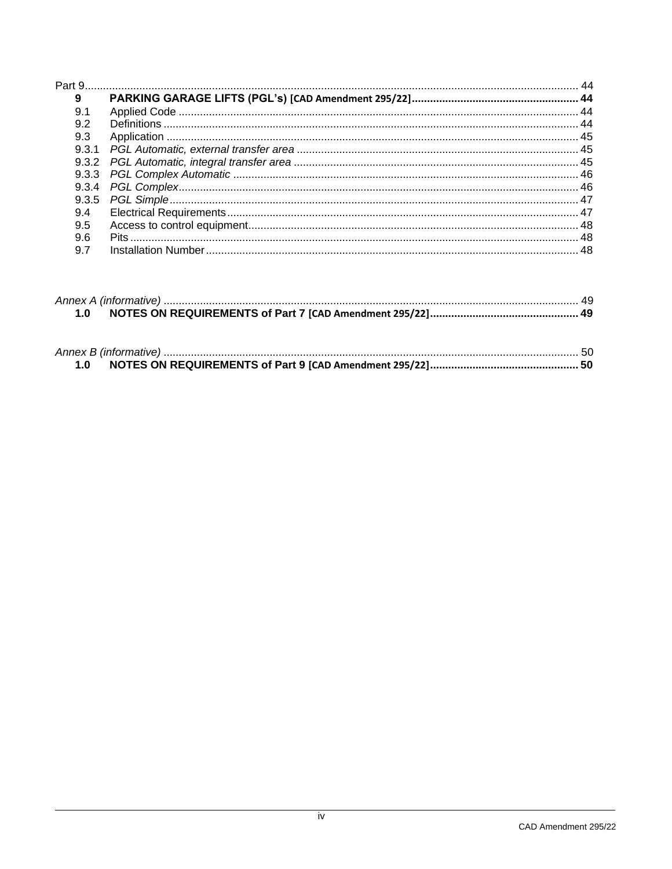| 9    |  |
|------|--|
| 9.1  |  |
| 9.2  |  |
| 9.3  |  |
| 9.31 |  |
|      |  |
|      |  |
|      |  |
|      |  |
| 9.4  |  |
| 9.5  |  |
| 9.6  |  |
| 9.7  |  |

| $-1.0$ |  |
|--------|--|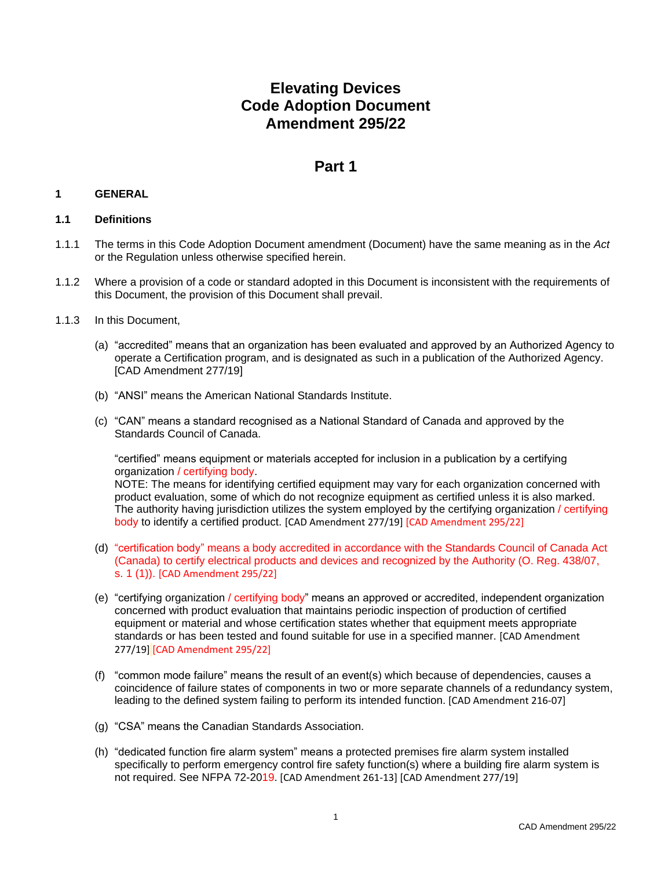# **Elevating Devices Code Adoption Document Amendment 295/22**

# **Part 1**

# <span id="page-8-1"></span><span id="page-8-0"></span>**1 GENERAL**

# <span id="page-8-2"></span>**1.1 Definitions**

- 1.1.1 The terms in this Code Adoption Document amendment (Document) have the same meaning as in the *Act* or the Regulation unless otherwise specified herein.
- 1.1.2 Where a provision of a code or standard adopted in this Document is inconsistent with the requirements of this Document, the provision of this Document shall prevail.
- 1.1.3 In this Document,
	- (a) "accredited" means that an organization has been evaluated and approved by an Authorized Agency to operate a Certification program, and is designated as such in a publication of the Authorized Agency. [CAD Amendment 277/19]
	- (b) "ANSI" means the American National Standards Institute.
	- (c) "CAN" means a standard recognised as a National Standard of Canada and approved by the Standards Council of Canada.

"certified" means equipment or materials accepted for inclusion in a publication by a certifying organization / certifying body.

NOTE: The means for identifying certified equipment may vary for each organization concerned with product evaluation, some of which do not recognize equipment as certified unless it is also marked. The authority having jurisdiction utilizes the system employed by the certifying organization / certifying body to identify a certified product. [CAD Amendment 277/19] [CAD Amendment 295/22]

- (d) "certification body" means a body accredited in accordance with the Standards Council of Canada Act (Canada) to certify electrical products and devices and recognized by the Authority (O. Reg. 438/07, s. 1 (1)). [CAD Amendment 295/22]
- (e) "certifying organization / certifying body" means an approved or accredited, independent organization concerned with product evaluation that maintains periodic inspection of production of certified equipment or material and whose certification states whether that equipment meets appropriate standards or has been tested and found suitable for use in a specified manner. [CAD Amendment 277/19] [CAD Amendment 295/22]
- (f) "common mode failure" means the result of an event(s) which because of dependencies, causes a coincidence of failure states of components in two or more separate channels of a redundancy system, leading to the defined system failing to perform its intended function. [CAD Amendment 216-07]
- (g) "CSA" means the Canadian Standards Association.
- (h) "dedicated function fire alarm system" means a protected premises fire alarm system installed specifically to perform emergency control fire safety function(s) where a building fire alarm system is not required. See NFPA 72-2019. [CAD Amendment 261-13] [CAD Amendment 277/19]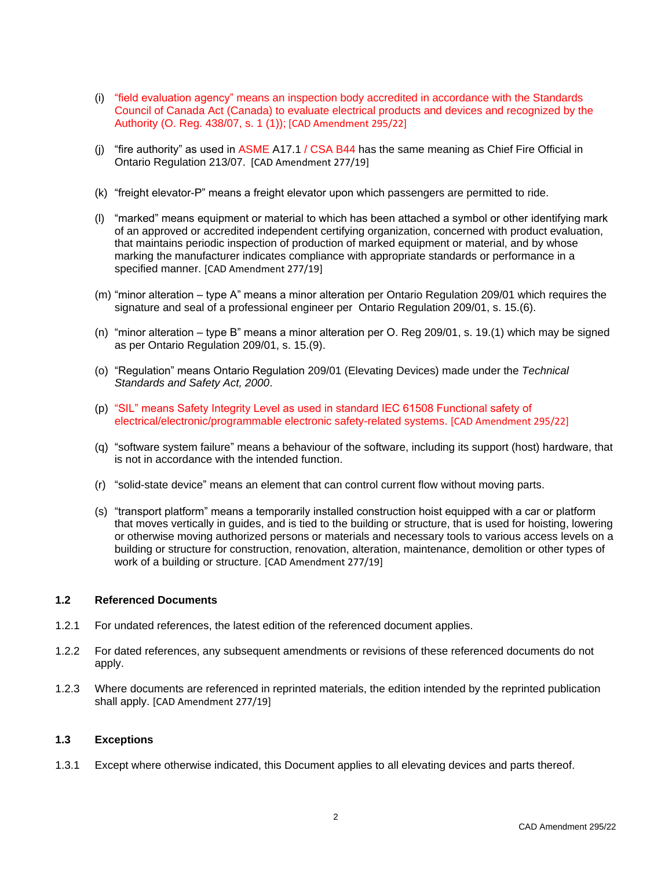- (i) "field evaluation agency" means an inspection body accredited in accordance with the Standards Council of Canada Act (Canada) to evaluate electrical products and devices and recognized by the Authority (O. Reg. 438/07, s. 1 (1)); [CAD Amendment 295/22]
- (j) "fire authority" as used in  $ASME A17.1 / CSA B44$  has the same meaning as Chief Fire Official in Ontario Regulation 213/07. [CAD Amendment 277/19]
- (k) "freight elevator-P" means a freight elevator upon which passengers are permitted to ride.
- (l) "marked" means equipment or material to which has been attached a symbol or other identifying mark of an approved or accredited independent certifying organization, concerned with product evaluation, that maintains periodic inspection of production of marked equipment or material, and by whose marking the manufacturer indicates compliance with appropriate standards or performance in a specified manner. [CAD Amendment 277/19]
- (m) "minor alteration type A" means a minor alteration per Ontario Regulation 209/01 which requires the signature and seal of a professional engineer per Ontario Regulation 209/01, s. 15.(6).
- (n) "minor alteration type B" means a minor alteration per O. Reg 209/01, s. 19.(1) which may be signed as per Ontario Regulation 209/01, s. 15.(9).
- (o) "Regulation" means Ontario Regulation 209/01 (Elevating Devices) made under the *Technical Standards and Safety Act, 2000*.
- (p) "SIL" means Safety Integrity Level as used in standard IEC 61508 Functional safety of electrical/electronic/programmable electronic safety-related systems. [CAD Amendment 295/22]
- (q) "software system failure" means a behaviour of the software, including its support (host) hardware, that is not in accordance with the intended function.
- (r) "solid-state device" means an element that can control current flow without moving parts.
- (s) "transport platform" means a temporarily installed construction hoist equipped with a car or platform that moves vertically in guides, and is tied to the building or structure, that is used for hoisting, lowering or otherwise moving authorized persons or materials and necessary tools to various access levels on a building or structure for construction, renovation, alteration, maintenance, demolition or other types of work of a building or structure. [CAD Amendment 277/19]

### <span id="page-9-0"></span>**1.2 Referenced Documents**

- 1.2.1 For undated references, the latest edition of the referenced document applies.
- 1.2.2 For dated references, any subsequent amendments or revisions of these referenced documents do not apply.
- 1.2.3 Where documents are referenced in reprinted materials, the edition intended by the reprinted publication shall apply. [CAD Amendment 277/19]

### <span id="page-9-1"></span>**1.3 Exceptions**

1.3.1 Except where otherwise indicated, this Document applies to all elevating devices and parts thereof.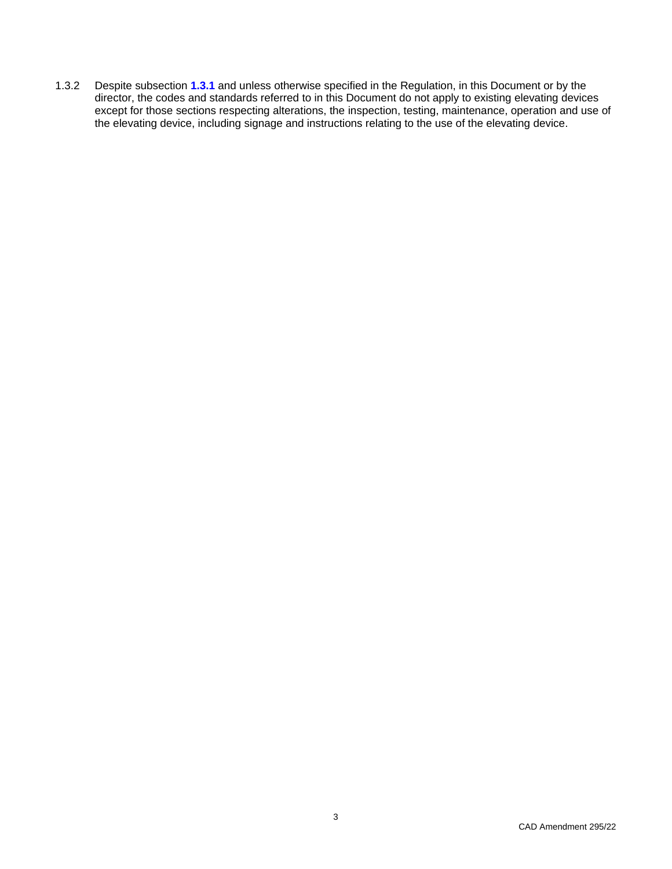1.3.2 Despite subsection **1.3.1** and unless otherwise specified in the Regulation, in this Document or by the director, the codes and standards referred to in this Document do not apply to existing elevating devices except for those sections respecting alterations, the inspection, testing, maintenance, operation and use of the elevating device, including signage and instructions relating to the use of the elevating device.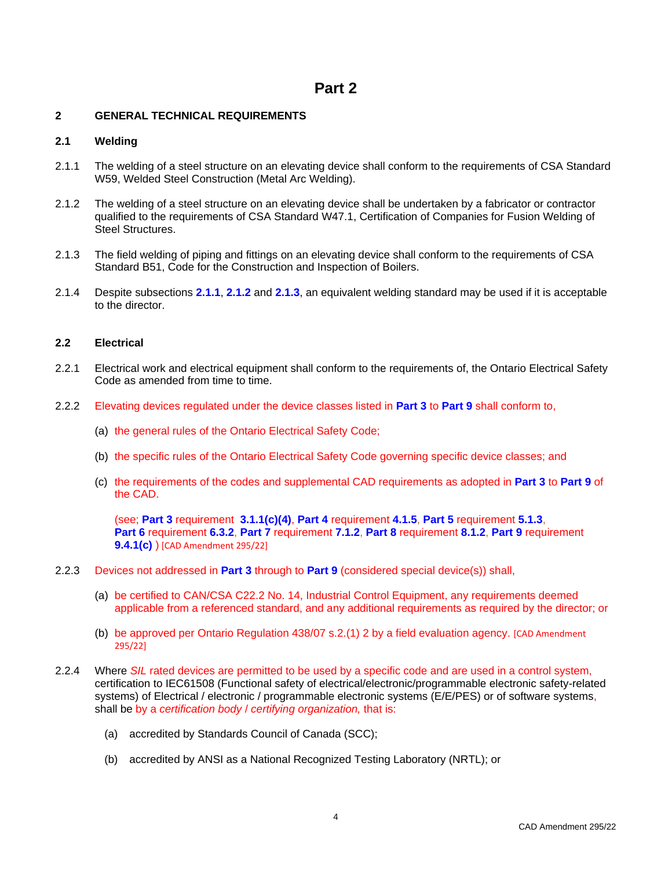# **Part 2**

# <span id="page-11-1"></span><span id="page-11-0"></span>**2 GENERAL TECHNICAL REQUIREMENTS**

### <span id="page-11-2"></span>**2.1 Welding**

- 2.1.1 The welding of a steel structure on an elevating device shall conform to the requirements of CSA Standard W59, Welded Steel Construction (Metal Arc Welding).
- 2.1.2 The welding of a steel structure on an elevating device shall be undertaken by a fabricator or contractor qualified to the requirements of CSA Standard W47.1, Certification of Companies for Fusion Welding of Steel Structures.
- 2.1.3 The field welding of piping and fittings on an elevating device shall conform to the requirements of CSA Standard B51, Code for the Construction and Inspection of Boilers.
- 2.1.4 Despite subsections **2.1.1**, **2.1.2** and **2.1.3**, an equivalent welding standard may be used if it is acceptable to the director.

### <span id="page-11-3"></span>**2.2 Electrical**

- 2.2.1 Electrical work and electrical equipment shall conform to the requirements of, the Ontario Electrical Safety Code as amended from time to time.
- 2.2.2 Elevating devices regulated under the device classes listed in **Part 3** to **Part 9** shall conform to,
	- (a) the general rules of the Ontario Electrical Safety Code;
	- (b) the specific rules of the Ontario Electrical Safety Code governing specific device classes; and
	- (c) the requirements of the codes and supplemental CAD requirements as adopted in **Part 3** to **Part 9** of the CAD.

(see; **Part 3** requirement **3.1.1(c)(4)**, **Part 4** requirement **4.1.5**, **Part 5** requirement **5.1.3**, **Part 6** requirement **6.3.2**, **Part 7** requirement **7.1.2**, **Part 8** requirement **8.1.2**, **Part 9** requirement **9.4.1(c)** ) [CAD Amendment 295/22]

- 2.2.3 Devices not addressed in **Part 3** through to **Part 9** (considered special device(s)) shall,
	- (a) be certified to CAN/CSA C22.2 No. 14, Industrial Control Equipment, any requirements deemed applicable from a referenced standard, and any additional requirements as required by the director; or
	- (b) be approved per Ontario Regulation 438/07 s.2.(1) 2 by a field evaluation agency. [CAD Amendment 295/22]
- 2.2.4 Where *SIL* rated devices are permitted to be used by a specific code and are used in a control system, certification to IEC61508 (Functional safety of electrical/electronic/programmable electronic safety-related systems) of Electrical / electronic / programmable electronic systems (E/E/PES) or of software systems, shall be by a *certification body* / *certifying organization,* that is:
	- (a) accredited by Standards Council of Canada (SCC);
	- (b) accredited by ANSI as a National Recognized Testing Laboratory (NRTL); or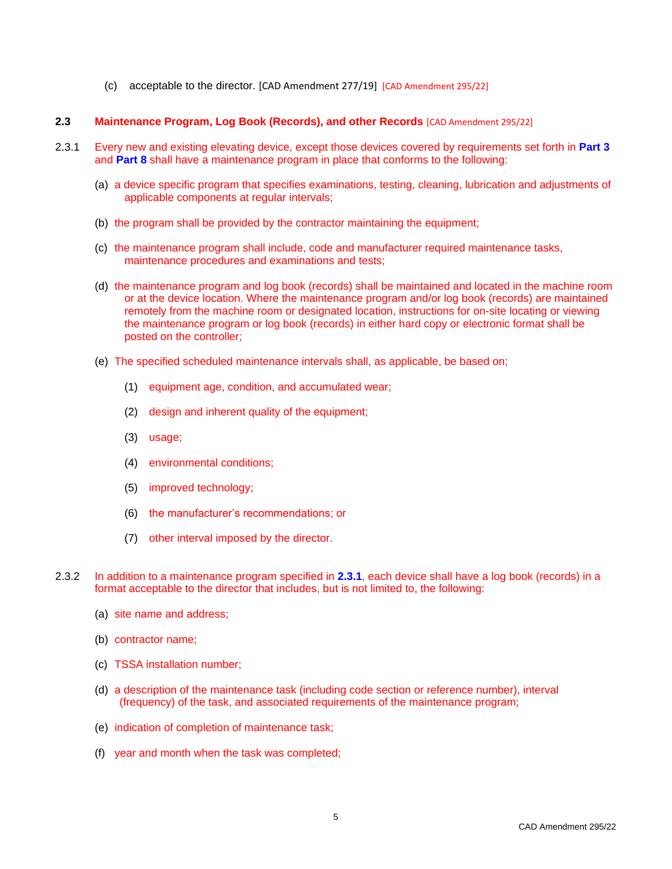(c) acceptable to the director. [CAD Amendment 277/19] [CAD Amendment 295/22]

### <span id="page-12-0"></span>**2.3 Maintenance Program, Log Book (Records), and other Records** [CAD Amendment 295/22]

- 2.3.1 Every new and existing elevating device, except those devices covered by requirements set forth in **Part 3** and **Part 8** shall have a maintenance program in place that conforms to the following:
	- (a) a device specific program that specifies examinations, testing, cleaning, lubrication and adjustments of applicable components at regular intervals;
	- (b) the program shall be provided by the contractor maintaining the equipment;
	- (c) the maintenance program shall include, code and manufacturer required maintenance tasks, maintenance procedures and examinations and tests;
	- (d) the maintenance program and log book (records) shall be maintained and located in the machine room or at the device location. Where the maintenance program and/or log book (records) are maintained remotely from the machine room or designated location, instructions for on-site locating or viewing the maintenance program or log book (records) in either hard copy or electronic format shall be posted on the controller;
	- (e) The specified scheduled maintenance intervals shall, as applicable, be based on;
		- (1) equipment age, condition, and accumulated wear;
		- (2) design and inherent quality of the equipment;
		- (3) usage;
		- (4) environmental conditions;
		- (5) improved technology;
		- (6) the manufacturer's recommendations; or
		- (7) other interval imposed by the director.
- 2.3.2 In addition to a maintenance program specified in **2.3.1**, each device shall have a log book (records) in a format acceptable to the director that includes, but is not limited to, the following:
	- (a) site name and address;
	- (b) contractor name;
	- (c) TSSA installation number;
	- (d) a description of the maintenance task (including code section or reference number), interval (frequency) of the task, and associated requirements of the maintenance program;
	- (e) indication of completion of maintenance task;
	- (f) year and month when the task was completed;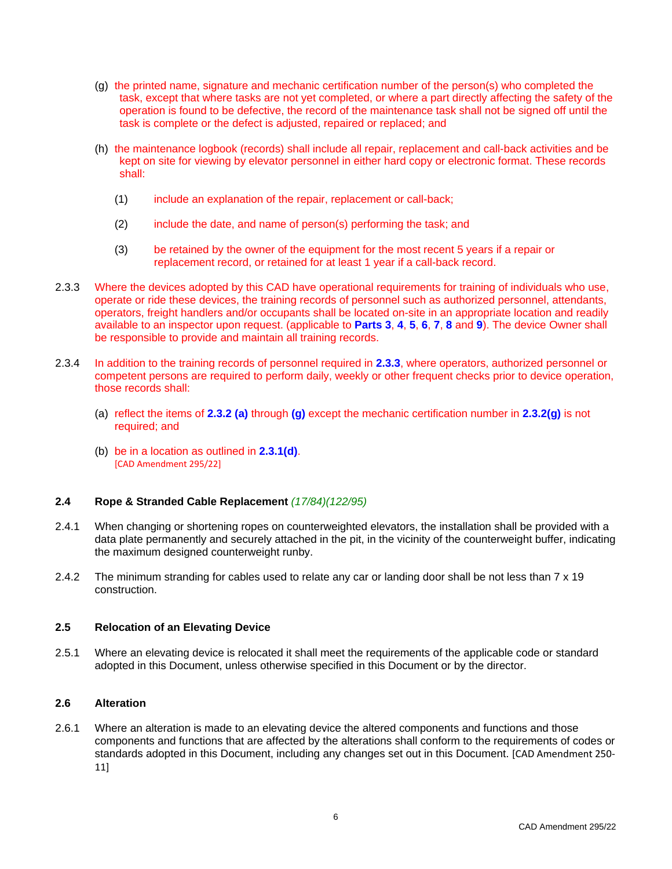- (g) the printed name, signature and mechanic certification number of the person(s) who completed the task, except that where tasks are not yet completed, or where a part directly affecting the safety of the operation is found to be defective, the record of the maintenance task shall not be signed off until the task is complete or the defect is adjusted, repaired or replaced; and
- (h) the maintenance logbook (records) shall include all repair, replacement and call-back activities and be kept on site for viewing by elevator personnel in either hard copy or electronic format. These records shall:
	- (1) include an explanation of the repair, replacement or call-back;
	- (2) include the date, and name of person(s) performing the task; and
	- (3) be retained by the owner of the equipment for the most recent 5 years if a repair or replacement record, or retained for at least 1 year if a call-back record.
- 2.3.3 Where the devices adopted by this CAD have operational requirements for training of individuals who use, operate or ride these devices, the training records of personnel such as authorized personnel, attendants, operators, freight handlers and/or occupants shall be located on-site in an appropriate location and readily available to an inspector upon request. (applicable to **Parts 3**, **4**, **5**, **6**, **7**, **8** and **9**). The device Owner shall be responsible to provide and maintain all training records.
- 2.3.4 In addition to the training records of personnel required in **2.3.3**, where operators, authorized personnel or competent persons are required to perform daily, weekly or other frequent checks prior to device operation, those records shall:
	- (a) reflect the items of **2.3.2 (a)** through **(g)** except the mechanic certification number in **2.3.2(g)** is not required; and
	- (b) be in a location as outlined in **2.3.1(d)**. [CAD Amendment 295/22]

### <span id="page-13-0"></span>**2.4 Rope & Stranded Cable Replacement** *(17/84)(122/95)*

- 2.4.1 When changing or shortening ropes on counterweighted elevators, the installation shall be provided with a data plate permanently and securely attached in the pit, in the vicinity of the counterweight buffer, indicating the maximum designed counterweight runby.
- 2.4.2 The minimum stranding for cables used to relate any car or landing door shall be not less than 7 x 19 construction.

# <span id="page-13-1"></span>**2.5 Relocation of an Elevating Device**

2.5.1 Where an elevating device is relocated it shall meet the requirements of the applicable code or standard adopted in this Document, unless otherwise specified in this Document or by the director.

### <span id="page-13-2"></span>**2.6 Alteration**

2.6.1 Where an alteration is made to an elevating device the altered components and functions and those components and functions that are affected by the alterations shall conform to the requirements of codes or standards adopted in this Document, including any changes set out in this Document. [CAD Amendment 250- 11]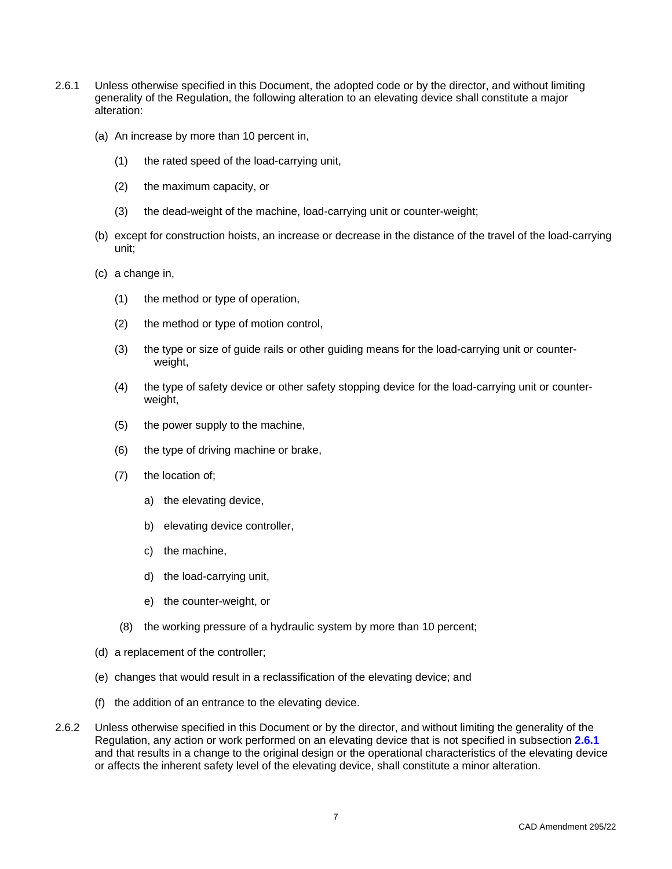- 2.6.1 Unless otherwise specified in this Document, the adopted code or by the director, and without limiting generality of the Regulation, the following alteration to an elevating device shall constitute a major alteration:
	- (a) An increase by more than 10 percent in,
		- (1) the rated speed of the load-carrying unit,
		- (2) the maximum capacity, or
		- (3) the dead-weight of the machine, load-carrying unit or counter-weight;
	- (b) except for construction hoists, an increase or decrease in the distance of the travel of the load-carrying unit;
	- (c) a change in,
		- (1) the method or type of operation,
		- (2) the method or type of motion control,
		- (3) the type or size of guide rails or other guiding means for the load-carrying unit or counterweight,
		- (4) the type of safety device or other safety stopping device for the load-carrying unit or counterweight,
		- (5) the power supply to the machine,
		- (6) the type of driving machine or brake,
		- (7) the location of;
			- a) the elevating device,
			- b) elevating device controller,
			- c) the machine,
			- d) the load-carrying unit,
			- e) the counter-weight, or
		- (8) the working pressure of a hydraulic system by more than 10 percent;
	- (d) a replacement of the controller;
	- (e) changes that would result in a reclassification of the elevating device; and
	- (f) the addition of an entrance to the elevating device.
- 2.6.2 Unless otherwise specified in this Document or by the director, and without limiting the generality of the Regulation, any action or work performed on an elevating device that is not specified in subsection **2.6.1** and that results in a change to the original design or the operational characteristics of the elevating device or affects the inherent safety level of the elevating device, shall constitute a minor alteration.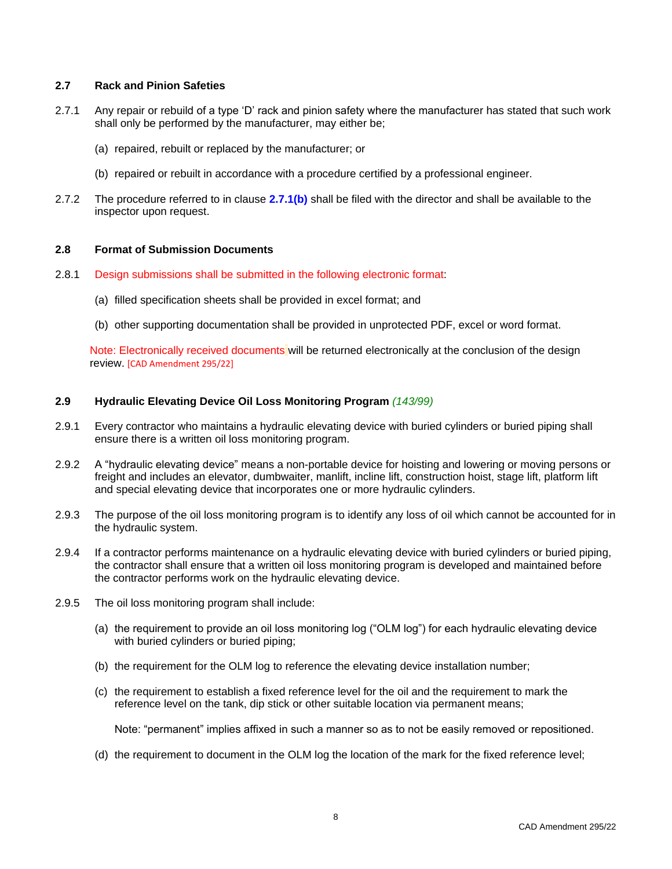### <span id="page-15-0"></span>**2.7 Rack and Pinion Safeties**

- 2.7.1 Any repair or rebuild of a type 'D' rack and pinion safety where the manufacturer has stated that such work shall only be performed by the manufacturer, may either be;
	- (a) repaired, rebuilt or replaced by the manufacturer; or
	- (b) repaired or rebuilt in accordance with a procedure certified by a professional engineer.
- 2.7.2 The procedure referred to in clause **2.7.1(b)** shall be filed with the director and shall be available to the inspector upon request.

# <span id="page-15-1"></span>**2.8 Format of Submission Documents**

- 2.8.1 Design submissions shall be submitted in the following electronic format:
	- (a) filled specification sheets shall be provided in excel format; and
	- (b) other supporting documentation shall be provided in unprotected PDF, excel or word format.

Note: Electronically received documents will be returned electronically at the conclusion of the design review. [CAD Amendment 295/22]

# <span id="page-15-2"></span>**2.9 Hydraulic Elevating Device Oil Loss Monitoring Program** *(143/99)*

- 2.9.1 Every contractor who maintains a hydraulic elevating device with buried cylinders or buried piping shall ensure there is a written oil loss monitoring program.
- 2.9.2 A "hydraulic elevating device" means a non-portable device for hoisting and lowering or moving persons or freight and includes an elevator, dumbwaiter, manlift, incline lift, construction hoist, stage lift, platform lift and special elevating device that incorporates one or more hydraulic cylinders.
- 2.9.3 The purpose of the oil loss monitoring program is to identify any loss of oil which cannot be accounted for in the hydraulic system.
- 2.9.4 If a contractor performs maintenance on a hydraulic elevating device with buried cylinders or buried piping, the contractor shall ensure that a written oil loss monitoring program is developed and maintained before the contractor performs work on the hydraulic elevating device.
- 2.9.5 The oil loss monitoring program shall include:
	- (a) the requirement to provide an oil loss monitoring log ("OLM log") for each hydraulic elevating device with buried cylinders or buried piping;
	- (b) the requirement for the OLM log to reference the elevating device installation number;
	- (c) the requirement to establish a fixed reference level for the oil and the requirement to mark the reference level on the tank, dip stick or other suitable location via permanent means;

Note: "permanent" implies affixed in such a manner so as to not be easily removed or repositioned.

(d) the requirement to document in the OLM log the location of the mark for the fixed reference level;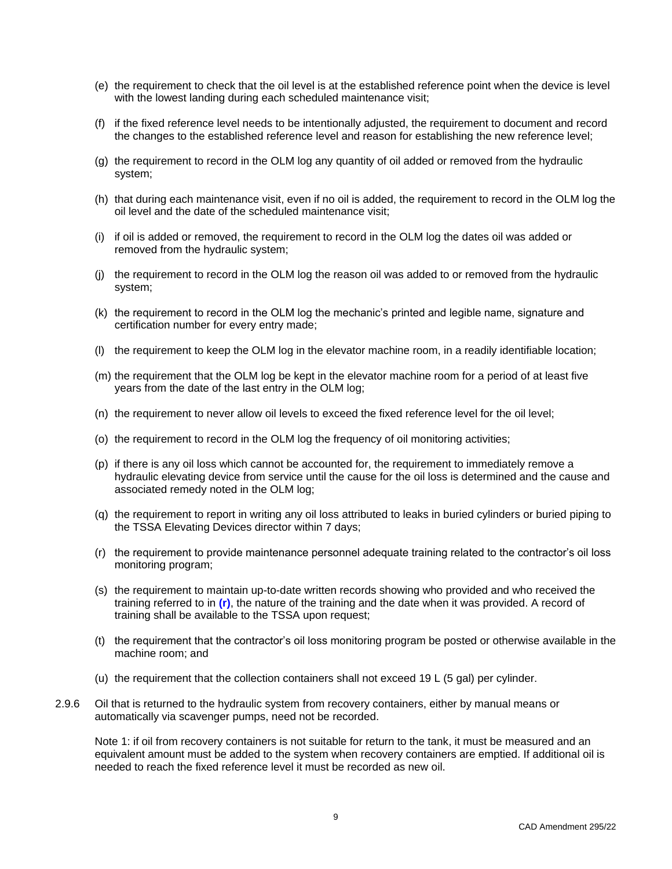- (e) the requirement to check that the oil level is at the established reference point when the device is level with the lowest landing during each scheduled maintenance visit;
- (f) if the fixed reference level needs to be intentionally adjusted, the requirement to document and record the changes to the established reference level and reason for establishing the new reference level;
- (g) the requirement to record in the OLM log any quantity of oil added or removed from the hydraulic system;
- (h) that during each maintenance visit, even if no oil is added, the requirement to record in the OLM log the oil level and the date of the scheduled maintenance visit;
- (i) if oil is added or removed, the requirement to record in the OLM log the dates oil was added or removed from the hydraulic system;
- (j) the requirement to record in the OLM log the reason oil was added to or removed from the hydraulic system;
- (k) the requirement to record in the OLM log the mechanic's printed and legible name, signature and certification number for every entry made;
- (l) the requirement to keep the OLM log in the elevator machine room, in a readily identifiable location;
- (m) the requirement that the OLM log be kept in the elevator machine room for a period of at least five years from the date of the last entry in the OLM log;
- (n) the requirement to never allow oil levels to exceed the fixed reference level for the oil level;
- (o) the requirement to record in the OLM log the frequency of oil monitoring activities;
- (p) if there is any oil loss which cannot be accounted for, the requirement to immediately remove a hydraulic elevating device from service until the cause for the oil loss is determined and the cause and associated remedy noted in the OLM log;
- (q) the requirement to report in writing any oil loss attributed to leaks in buried cylinders or buried piping to the TSSA Elevating Devices director within 7 days;
- (r) the requirement to provide maintenance personnel adequate training related to the contractor's oil loss monitoring program;
- (s) the requirement to maintain up-to-date written records showing who provided and who received the training referred to in **(r)**, the nature of the training and the date when it was provided. A record of training shall be available to the TSSA upon request;
- (t) the requirement that the contractor's oil loss monitoring program be posted or otherwise available in the machine room; and
- (u) the requirement that the collection containers shall not exceed 19 L (5 gal) per cylinder.
- 2.9.6 Oil that is returned to the hydraulic system from recovery containers, either by manual means or automatically via scavenger pumps, need not be recorded.

Note 1: if oil from recovery containers is not suitable for return to the tank, it must be measured and an equivalent amount must be added to the system when recovery containers are emptied. If additional oil is needed to reach the fixed reference level it must be recorded as new oil.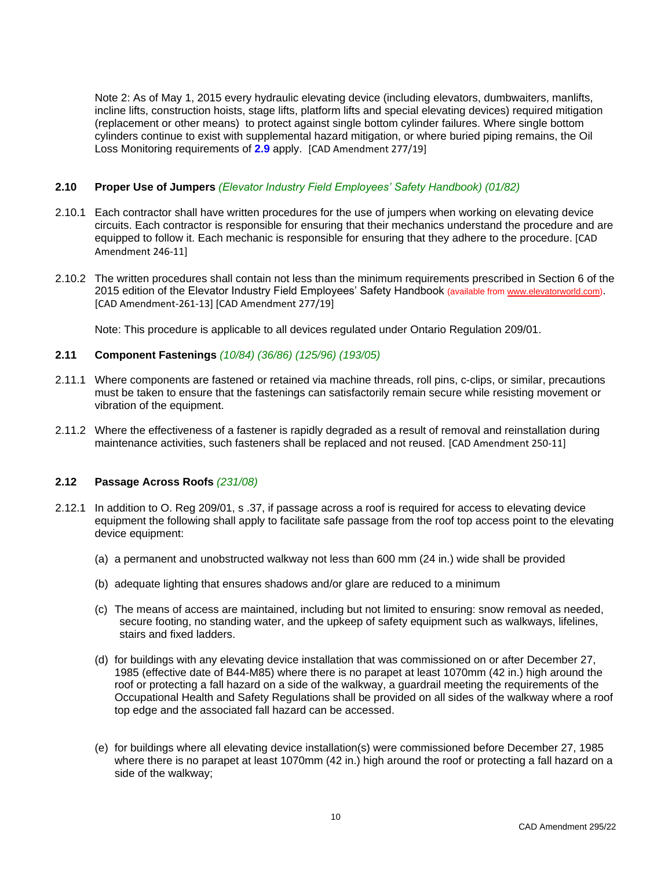Note 2: As of May 1, 2015 every hydraulic elevating device (including elevators, dumbwaiters, manlifts, incline lifts, construction hoists, stage lifts, platform lifts and special elevating devices) required mitigation (replacement or other means) to protect against single bottom cylinder failures. Where single bottom cylinders continue to exist with supplemental hazard mitigation, or where buried piping remains, the Oil Loss Monitoring requirements of **2.9** apply. [CAD Amendment 277/19]

# <span id="page-17-0"></span>**2.10 Proper Use of Jumpers** *(Elevator Industry Field Employees' Safety Handbook) (01/82)*

- 2.10.1 Each contractor shall have written procedures for the use of jumpers when working on elevating device circuits. Each contractor is responsible for ensuring that their mechanics understand the procedure and are equipped to follow it. Each mechanic is responsible for ensuring that they adhere to the procedure. [CAD Amendment 246-11]
- 2.10.2 The written procedures shall contain not less than the minimum requirements prescribed in Section 6 of the 2015 edition of the Elevator Industry Field Employees' Safety Handbook (available fro[m www.elevatorworld.com\)](http://www.elevatorworld.com/). [CAD Amendment-261-13] [CAD Amendment 277/19]

Note: This procedure is applicable to all devices regulated under Ontario Regulation 209/01.

### <span id="page-17-1"></span>**2.11 Component Fastenings** *(10/84) (36/86) (125/96) (193/05)*

- 2.11.1 Where components are fastened or retained via machine threads, roll pins, c-clips, or similar, precautions must be taken to ensure that the fastenings can satisfactorily remain secure while resisting movement or vibration of the equipment.
- 2.11.2 Where the effectiveness of a fastener is rapidly degraded as a result of removal and reinstallation during maintenance activities, such fasteners shall be replaced and not reused. [CAD Amendment 250-11]

### <span id="page-17-2"></span>**2.12 Passage Across Roofs** *(231/08)*

- 2.12.1 In addition to O. Reg 209/01, s .37, if passage across a roof is required for access to elevating device equipment the following shall apply to facilitate safe passage from the roof top access point to the elevating device equipment:
	- (a) a permanent and unobstructed walkway not less than 600 mm (24 in.) wide shall be provided
	- (b) adequate lighting that ensures shadows and/or glare are reduced to a minimum
	- (c) The means of access are maintained, including but not limited to ensuring: snow removal as needed, secure footing, no standing water, and the upkeep of safety equipment such as walkways, lifelines, stairs and fixed ladders.
	- (d) for buildings with any elevating device installation that was commissioned on or after December 27, 1985 (effective date of B44-M85) where there is no parapet at least 1070mm (42 in.) high around the roof or protecting a fall hazard on a side of the walkway, a guardrail meeting the requirements of the Occupational Health and Safety Regulations shall be provided on all sides of the walkway where a roof top edge and the associated fall hazard can be accessed.
	- (e) for buildings where all elevating device installation(s) were commissioned before December 27, 1985 where there is no parapet at least 1070mm (42 in.) high around the roof or protecting a fall hazard on a side of the walkway;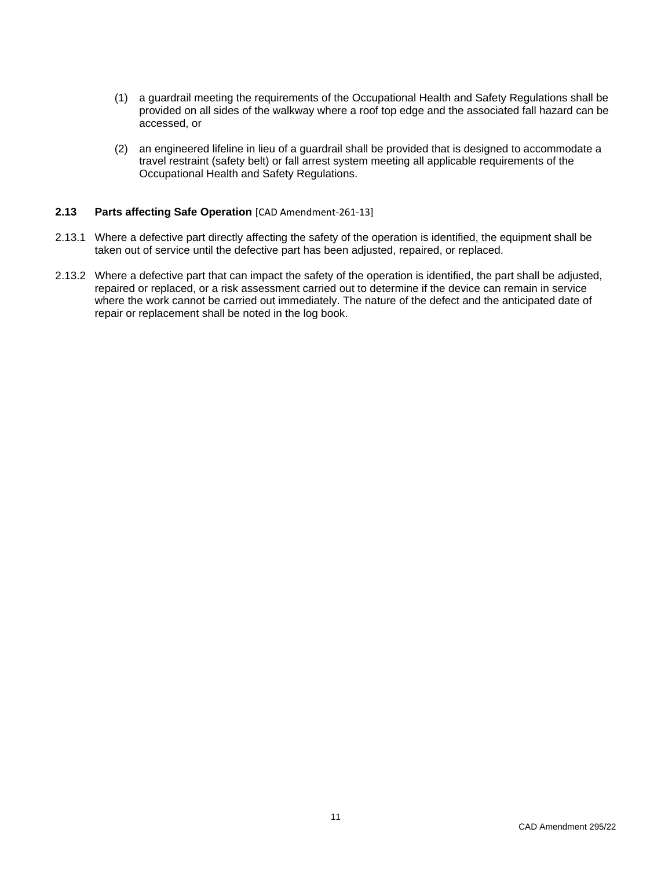- (1) a guardrail meeting the requirements of the Occupational Health and Safety Regulations shall be provided on all sides of the walkway where a roof top edge and the associated fall hazard can be accessed, or
- (2) an engineered lifeline in lieu of a guardrail shall be provided that is designed to accommodate a travel restraint (safety belt) or fall arrest system meeting all applicable requirements of the Occupational Health and Safety Regulations.

### <span id="page-18-0"></span>**2.13 Parts affecting Safe Operation** [CAD Amendment-261-13]

- 2.13.1 Where a defective part directly affecting the safety of the operation is identified, the equipment shall be taken out of service until the defective part has been adjusted, repaired, or replaced.
- 2.13.2 Where a defective part that can impact the safety of the operation is identified, the part shall be adjusted, repaired or replaced, or a risk assessment carried out to determine if the device can remain in service where the work cannot be carried out immediately. The nature of the defect and the anticipated date of repair or replacement shall be noted in the log book.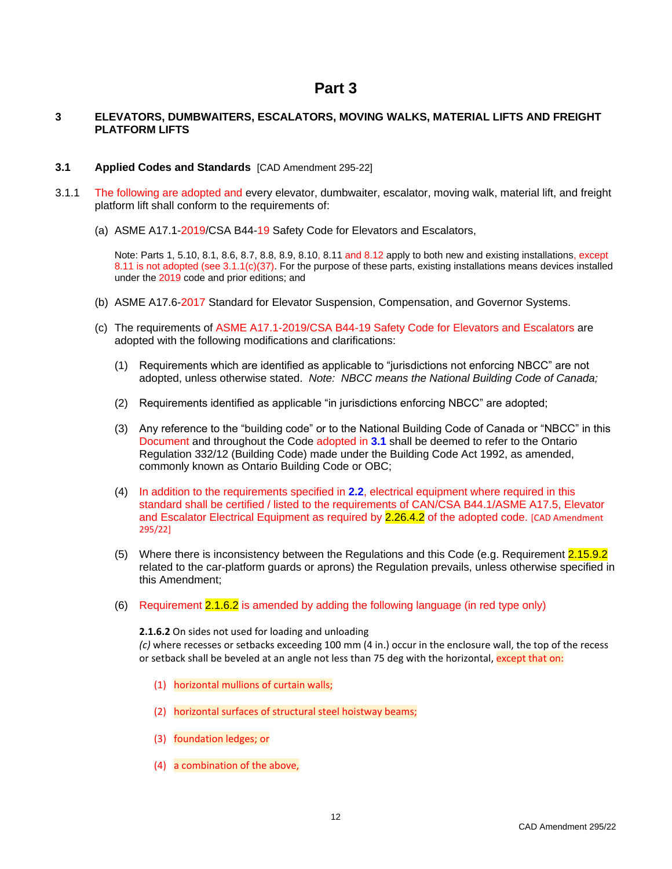# **Part 3**

# <span id="page-19-1"></span><span id="page-19-0"></span>**3 ELEVATORS, DUMBWAITERS, ESCALATORS, MOVING WALKS, MATERIAL LIFTS AND FREIGHT PLATFORM LIFTS**

### <span id="page-19-2"></span>**3.1 Applied Codes and Standards** [CAD Amendment 295-22]

- 3.1.1 The following are adopted and every elevator, dumbwaiter, escalator, moving walk, material lift, and freight platform lift shall conform to the requirements of:
	- (a) ASME A17.1-2019/CSA B44-19 Safety Code for Elevators and Escalators,

Note: Parts 1, 5.10, 8.1, 8.6, 8.7, 8.8, 8.9, 8.10, 8.11 and 8.12 apply to both new and existing installations, except 8.11 is not adopted (see 3.1.1(c)(37). For the purpose of these parts, existing installations means devices installed under the 2019 code and prior editions; and

- (b) ASME A17.6-2017 Standard for Elevator Suspension, Compensation, and Governor Systems.
- (c) The requirements of ASME A17.1-2019/CSA B44-19 Safety Code for Elevators and Escalators are adopted with the following modifications and clarifications:
	- (1) Requirements which are identified as applicable to "jurisdictions not enforcing NBCC" are not adopted, unless otherwise stated. *Note: NBCC means the National Building Code of Canada;*
	- (2) Requirements identified as applicable "in jurisdictions enforcing NBCC" are adopted;
	- (3) Any reference to the "building code" or to the National Building Code of Canada or "NBCC" in this Document and throughout the Code adopted in **3.1** shall be deemed to refer to the Ontario Regulation 332/12 (Building Code) made under the Building Code Act 1992, as amended, commonly known as Ontario Building Code or OBC;
	- (4) In addition to the requirements specified in **2.2**, electrical equipment where required in this standard shall be certified / listed to the requirements of CAN/CSA B44.1/ASME A17.5, Elevator and Escalator Electrical Equipment as required by 2.26.4.2 of the adopted code. [CAD Amendment 295/22]
	- (5) Where there is inconsistency between the Regulations and this Code (e.g. Requirement 2.15.9.2 related to the car-platform guards or aprons) the Regulation prevails, unless otherwise specified in this Amendment;
	- (6) Requirement 2.1.6.2 is amended by adding the following language (in red type only)

**2.1.6.2** On sides not used for loading and unloading

*(c)* where recesses or setbacks exceeding 100 mm (4 in.) occur in the enclosure wall, the top of the recess or setback shall be beveled at an angle not less than 75 deg with the horizontal, except that on:

- (1) horizontal mullions of curtain walls;
- (2) horizontal surfaces of structural steel hoistway beams;
- (3) foundation ledges; or
- (4) a combination of the above,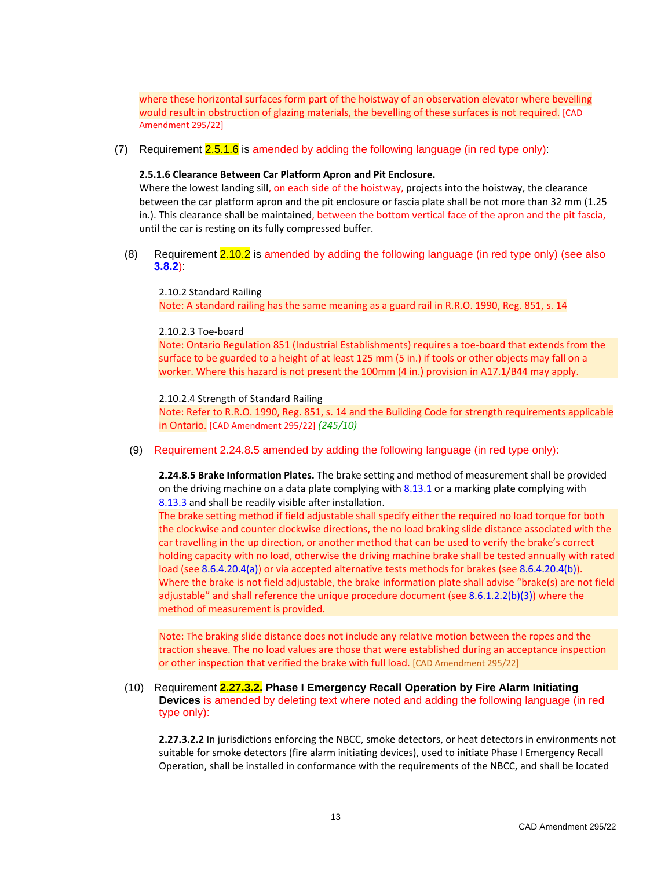where these horizontal surfaces form part of the hoistway of an observation elevator where bevelling would result in obstruction of glazing materials, the bevelling of these surfaces is not required. [CAD Amendment 295/22]

(7) Requirement 2.5.1.6 is amended by adding the following language (in red type only):

### **2.5.1.6 Clearance Between Car Platform Apron and Pit Enclosure.**

Where the lowest landing sill, on each side of the hoistway, projects into the hoistway, the clearance between the car platform apron and the pit enclosure or fascia plate shall be not more than 32 mm (1.25 in.). This clearance shall be maintained, between the bottom vertical face of the apron and the pit fascia, until the car is resting on its fully compressed buffer.

(8) Requirement 2.10.2 is amended by adding the following language (in red type only) (see also **3.8.2**):

2.10.2 Standard Railing Note: A standard railing has the same meaning as a guard rail in R.R.O. 1990, Reg. 851, s. 14

### 2.10.2.3 Toe-board

Note: Ontario Regulation 851 (Industrial Establishments) requires a toe-board that extends from the surface to be guarded to a height of at least 125 mm (5 in.) if tools or other objects may fall on a worker. Where this hazard is not present the 100mm (4 in.) provision in A17.1/B44 may apply.

### 2.10.2.4 Strength of Standard Railing

Note: Refer to R.R.O. 1990, Reg. 851, s. 14 and the Building Code for strength requirements applicable in Ontario. [CAD Amendment 295/22] *(245/10)*

(9) Requirement 2.24.8.5 amended by adding the following language (in red type only):

**2.24.8.5 Brake Information Plates.** The brake setting and method of measurement shall be provided on the driving machine on a data plate complying with 8.13.1 or a marking plate complying with 8.13.3 and shall be readily visible after installation.

The brake setting method if field adjustable shall specify either the required no load torque for both the clockwise and counter clockwise directions, the no load braking slide distance associated with the car travelling in the up direction, or another method that can be used to verify the brake's correct holding capacity with no load, otherwise the driving machine brake shall be tested annually with rated load (see 8.6.4.20.4(a)) or via accepted alternative tests methods for brakes (see 8.6.4.20.4(b)). Where the brake is not field adjustable, the brake information plate shall advise "brake(s) are not field adjustable" and shall reference the unique procedure document (see 8.6.1.2.2(b)(3)) where the method of measurement is provided.

Note: The braking slide distance does not include any relative motion between the ropes and the traction sheave. The no load values are those that were established during an acceptance inspection or other inspection that verified the brake with full load. [CAD Amendment 295/22]

(10) Requirement **2.27.3.2. Phase I Emergency Recall Operation by Fire Alarm Initiating Devices** is amended by deleting text where noted and adding the following language (in red type only):

**2.27.3.2.2** In jurisdictions enforcing the NBCC, smoke detectors, or heat detectors in environments not suitable for smoke detectors (fire alarm initiating devices), used to initiate Phase I Emergency Recall Operation, shall be installed in conformance with the requirements of the NBCC, and shall be located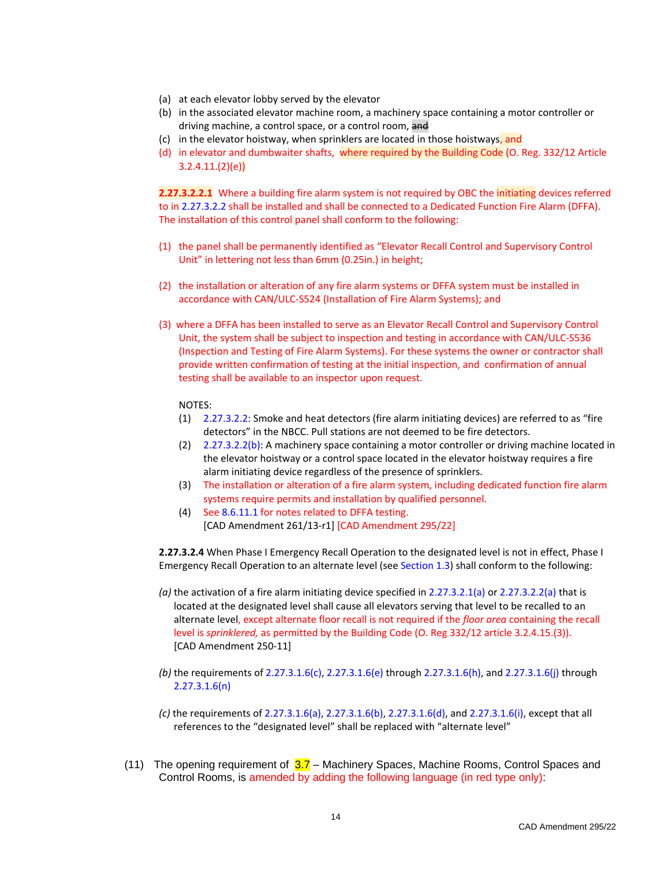- (a) at each elevator lobby served by the elevator
- (b) in the associated elevator machine room, a machinery space containing a motor controller or driving machine, a control space, or a control room, and
- (c) in the elevator hoistway, when sprinklers are located in those hoistways, and
- (d) in elevator and dumbwaiter shafts, where required by the Building Code (O. Reg. 332/12 Article  $3.2.4.11.(2)(e)$

**2.27.3.2.2.1** Where a building fire alarm system is not required by OBC the initiating devices referred to in 2.27.3.2.2 shall be installed and shall be connected to a Dedicated Function Fire Alarm (DFFA). The installation of this control panel shall conform to the following:

- (1) the panel shall be permanently identified as "Elevator Recall Control and Supervisory Control Unit" in lettering not less than 6mm (0.25in.) in height;
- (2) the installation or alteration of any fire alarm systems or DFFA system must be installed in accordance with CAN/ULC-S524 (Installation of Fire Alarm Systems); and
- (3) where a DFFA has been installed to serve as an Elevator Recall Control and Supervisory Control Unit, the system shall be subject to inspection and testing in accordance with CAN/ULC-S536 (Inspection and Testing of Fire Alarm Systems). For these systems the owner or contractor shall provide written confirmation of testing at the initial inspection, and confirmation of annual testing shall be available to an inspector upon request.

#### NOTES:

- (1) 2.27.3.2.2: Smoke and heat detectors (fire alarm initiating devices) are referred to as "fire detectors" in the NBCC. Pull stations are not deemed to be fire detectors.
- (2) 2.27.3.2.2(b): A machinery space containing a motor controller or driving machine located in the elevator hoistway or a control space located in the elevator hoistway requires a fire alarm initiating device regardless of the presence of sprinklers.
- (3) The installation or alteration of a fire alarm system, including dedicated function fire alarm systems require permits and installation by qualified personnel.
- (4) See 8.6.11.1 for notes related to DFFA testing. [CAD Amendment 261/13-r1] [CAD Amendment 295/22]

**2.27.3.2.4** When Phase I Emergency Recall Operation to the designated level is not in effect, Phase I Emergency Recall Operation to an alternate level (see Section 1.3) shall conform to the following:

- *(a)* the activation of a fire alarm initiating device specified in 2.27.3.2.1(a) or 2.27.3.2.2(a) that is located at the designated level shall cause all elevators serving that level to be recalled to an alternate level, except alternate floor recall is not required if the *floor area* containing the recall level is *sprinklered,* as permitted by the Building Code (O. Reg 332/12 article 3.2.4.15.(3)). [CAD Amendment 250-11]
- *(b)* the requirements of 2.27.3.1.6(c), 2.27.3.1.6(e) through 2.27.3.1.6(h), and 2.27.3.1.6(j) through 2.27.3.1.6(n)
- *(c)* the requirements of 2.27.3.1.6(a), 2.27.3.1.6(b), 2.27.3.1.6(d), and 2.27.3.1.6(i), except that all references to the "designated level" shall be replaced with "alternate level"
- (11) The opening requirement of  $3.7$  Machinery Spaces, Machine Rooms, Control Spaces and Control Rooms, is amended by adding the following language (in red type only):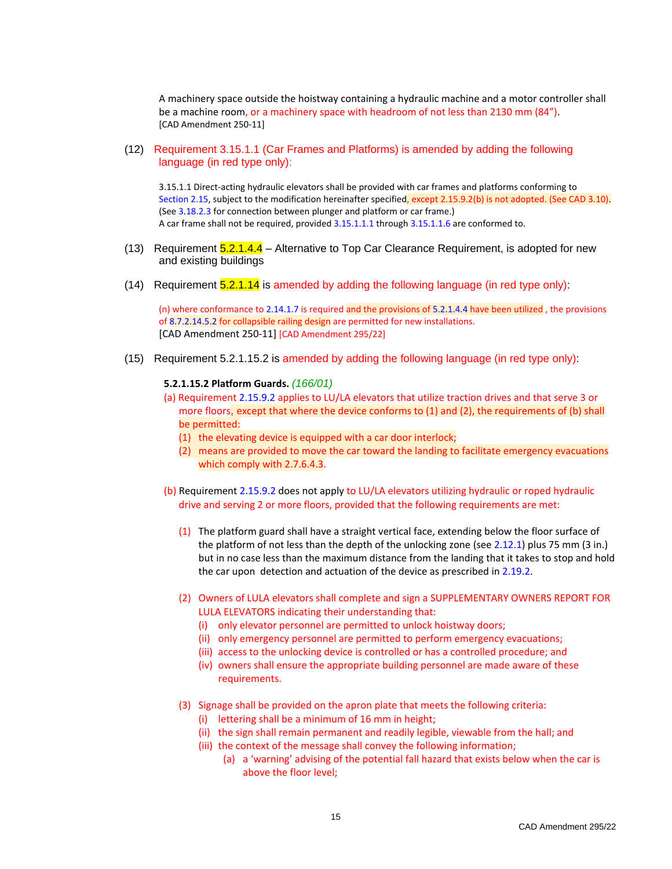A machinery space outside the hoistway containing a hydraulic machine and a motor controller shall be a machine room, or a machinery space with headroom of not less than 2130 mm (84"). [CAD Amendment 250-11]

(12) Requirement 3.15.1.1 (Car Frames and Platforms) is amended by adding the following language (in red type only):

3.15.1.1 Direct-acting hydraulic elevators shall be provided with car frames and platforms conforming to Section 2.15, subject to the modification hereinafter specified, except 2.15.9.2(b) is not adopted. (See CAD 3.10). (See 3.18.2.3 for connection between plunger and platform or car frame.) A car frame shall not be required, provided 3.15.1.1.1 through 3.15.1.1.6 are conformed to.

- (13) Requirement 5.2.1.4.4 Alternative to Top Car Clearance Requirement, is adopted for new and existing buildings
- (14) Requirement  $5.2.1.14$  is amended by adding the following language (in red type only):

(n) where conformance to 2.14.1.7 is required and the provisions of 5.2.1.4.4 have been utilized , the provisions of 8.7.2.14.5.2 for collapsible railing design are permitted for new installations. [CAD Amendment 250-11] [CAD Amendment 295/22]

(15) Requirement 5.2.1.15.2 is amended by adding the following language (in red type only):

#### **5.2.1.15.2 Platform Guards.** *(166/01)*

- (a) Requirement 2.15.9.2 applies to LU/LA elevators that utilize traction drives and that serve 3 or more floors, except that where the device conforms to (1) and (2), the requirements of (b) shall be permitted:
	- (1) the elevating device is equipped with a car door interlock;
	- (2) means are provided to move the car toward the landing to facilitate emergency evacuations which comply with 2.7.6.4.3.
- (b) Requirement 2.15.9.2 does not apply to LU/LA elevators utilizing hydraulic or roped hydraulic drive and serving 2 or more floors, provided that the following requirements are met:
	- (1) The platform guard shall have a straight vertical face, extending below the floor surface of the platform of not less than the depth of the unlocking zone (see 2.12.1) plus 75 mm (3 in.) but in no case less than the maximum distance from the landing that it takes to stop and hold the car upon detection and actuation of the device as prescribed in 2.19.2.
	- (2) Owners of LULA elevators shall complete and sign a SUPPLEMENTARY OWNERS REPORT FOR LULA ELEVATORS indicating their understanding that:
		- (i) only elevator personnel are permitted to unlock hoistway doors;
		- (ii) only emergency personnel are permitted to perform emergency evacuations;
		- (iii) access to the unlocking device is controlled or has a controlled procedure; and
		- (iv) owners shall ensure the appropriate building personnel are made aware of these requirements.
	- (3) Signage shall be provided on the apron plate that meets the following criteria:
		- (i) lettering shall be a minimum of 16 mm in height;
		- (ii) the sign shall remain permanent and readily legible, viewable from the hall; and
		- (iii) the context of the message shall convey the following information;
			- (a) a 'warning' advising of the potential fall hazard that exists below when the car is above the floor level;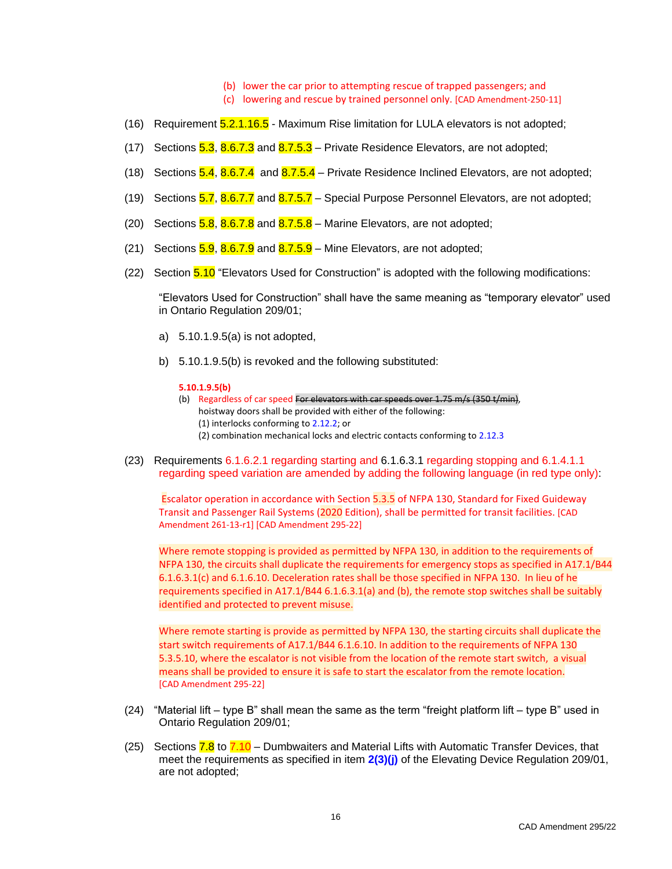- (b) lower the car prior to attempting rescue of trapped passengers; and
- (c) lowering and rescue by trained personnel only. [CAD Amendment-250-11]
- (16) Requirement 5.2.1.16.5 Maximum Rise limitation for LULA elevators is not adopted;
- (17) Sections  $5.3$ ,  $8.6.7.3$  and  $8.7.5.3$  Private Residence Elevators, are not adopted;
- (18) Sections  $5.4$ ,  $8.6.7.4$  and  $8.7.5.4$  Private Residence Inclined Elevators, are not adopted;
- (19) Sections  $5.7$ ,  $8.6.7.7$  and  $8.7.5.7$  Special Purpose Personnel Elevators, are not adopted;
- (20) Sections  $5.8$ ,  $8.6.7.8$  and  $8.7.5.8$  Marine Elevators, are not adopted;
- (21) Sections  $5.9$ ,  $8.6.7.9$  and  $8.7.5.9$  Mine Elevators, are not adopted;
- (22) Section 5.10 "Elevators Used for Construction" is adopted with the following modifications:

"Elevators Used for Construction" shall have the same meaning as "temporary elevator" used in Ontario Regulation 209/01;

- a) 5.10.1.9.5(a) is not adopted,
- b) 5.10.1.9.5(b) is revoked and the following substituted:

#### **5.10.1.9.5(b)**

- (b) Regardless of car speed For elevators with car speeds over 1.75 m/s (350 t/min), hoistway doors shall be provided with either of the following: (1) interlocks conforming to 2.12.2; or (2) combination mechanical locks and electric contacts conforming to 2.12.3
- (23) Requirements 6.1.6.2.1 regarding starting and 6.1.6.3.1 regarding stopping and 6.1.4.1.1 regarding speed variation are amended by adding the following language (in red type only):

Escalator operation in accordance with Section 5.3.5 of NFPA 130, Standard for Fixed Guideway Transit and Passenger Rail Systems (2020 Edition), shall be permitted for transit facilities. [CAD Amendment 261-13-r1] [CAD Amendment 295-22]

Where remote stopping is provided as permitted by NFPA 130, in addition to the requirements of NFPA 130, the circuits shall duplicate the requirements for emergency stops as specified in A17.1/B44 6.1.6.3.1(c) and 6.1.6.10. Deceleration rates shall be those specified in NFPA 130. In lieu of he requirements specified in A17.1/B44 6.1.6.3.1(a) and (b), the remote stop switches shall be suitably identified and protected to prevent misuse.

Where remote starting is provide as permitted by NFPA 130, the starting circuits shall duplicate the start switch requirements of A17.1/B44 6.1.6.10. In addition to the requirements of NFPA 130 5.3.5.10, where the escalator is not visible from the location of the remote start switch, a visual means shall be provided to ensure it is safe to start the escalator from the remote location. [CAD Amendment 295-22]

- (24) "Material lift type B" shall mean the same as the term "freight platform lift type B" used in Ontario Regulation 209/01;
- (25) Sections  $7.8$  to  $7.10$  Dumbwaiters and Material Lifts with Automatic Transfer Devices, that meet the requirements as specified in item 2(3)(j) of the Elevating Device Regulation 209/01, are not adopted;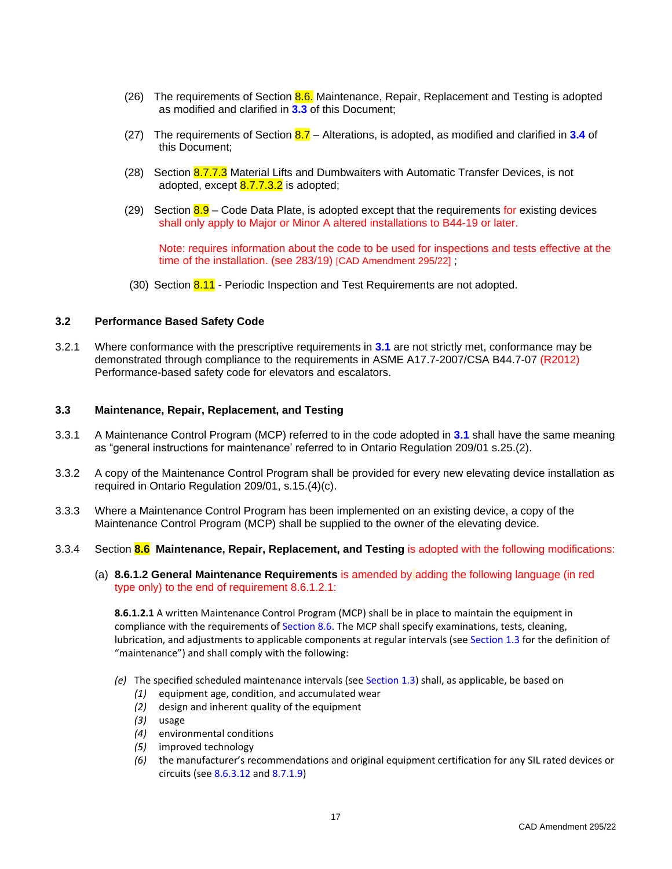- (26) The requirements of Section 8.6. Maintenance, Repair, Replacement and Testing is adopted as modified and clarified in **3.3** of this Document;
- (27) The requirements of Section 8.7 Alterations, is adopted, as modified and clarified in **3.4** of this Document;
- (28) Section 8.7.7.3 Material Lifts and Dumbwaiters with Automatic Transfer Devices, is not adopted, except **8.7.7.3.2** is adopted;
- (29) Section  $8.9$  Code Data Plate, is adopted except that the requirements for existing devices shall only apply to Major or Minor A altered installations to B44-19 or later.

Note: requires information about the code to be used for inspections and tests effective at the time of the installation. (see 283/19) [CAD Amendment 295/22] ;

(30) Section 8.11 - Periodic Inspection and Test Requirements are not adopted.

### <span id="page-24-0"></span>**3.2 Performance Based Safety Code**

3.2.1 Where conformance with the prescriptive requirements in **3.1** are not strictly met, conformance may be demonstrated through compliance to the requirements in ASME A17.7-2007/CSA B44.7-07 (R2012) Performance-based safety code for elevators and escalators.

# <span id="page-24-1"></span>**3.3 Maintenance, Repair, Replacement, and Testing**

- 3.3.1 A Maintenance Control Program (MCP) referred to in the code adopted in **3.1** shall have the same meaning as "general instructions for maintenance' referred to in Ontario Regulation 209/01 s.25.(2).
- 3.3.2 A copy of the Maintenance Control Program shall be provided for every new elevating device installation as required in Ontario Regulation 209/01, s.15.(4)(c).
- 3.3.3 Where a Maintenance Control Program has been implemented on an existing device, a copy of the Maintenance Control Program (MCP) shall be supplied to the owner of the elevating device.
- 3.3.4 Section **8.6 Maintenance, Repair, Replacement, and Testing** is adopted with the following modifications:
	- (a) **8.6.1.2 General Maintenance Requirements** is amended by adding the following language (in red type only) to the end of requirement 8.6.1.2.1:

**8.6.1.2.1** A written Maintenance Control Program (MCP) shall be in place to maintain the equipment in compliance with the requirements of Section 8.6. The MCP shall specify examinations, tests, cleaning, lubrication, and adjustments to applicable components at regular intervals (see Section 1.3 for the definition of "maintenance") and shall comply with the following:

- *(e)* The specified scheduled maintenance intervals (see Section 1.3) shall, as applicable, be based on
	- *(1)* equipment age, condition, and accumulated wear
	- *(2)* design and inherent quality of the equipment
	- *(3)* usage
	- *(4)* environmental conditions
	- *(5)* improved technology
	- *(6)* the manufacturer's recommendations and original equipment certification for any SIL rated devices or circuits (see 8.6.3.12 and 8.7.1.9)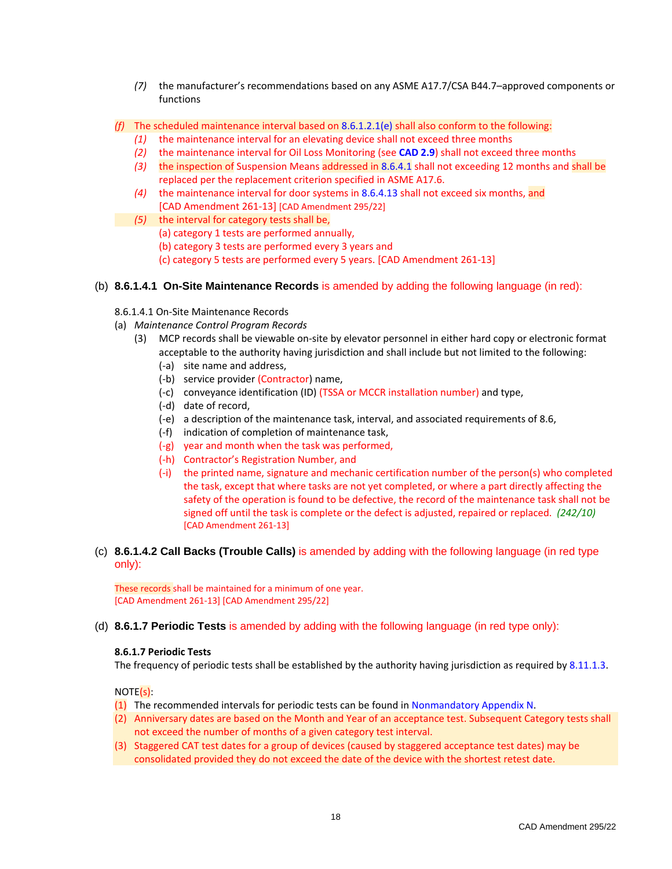- *(7)* the manufacturer's recommendations based on any ASME A17.7/CSA B44.7–approved components or functions
- *(f)* The scheduled maintenance interval based on 8.6.1.2.1(e) shall also conform to the following:
	- *(1)* the maintenance interval for an elevating device shall not exceed three months
	- *(2)* the maintenance interval for Oil Loss Monitoring (see **CAD 2.9**) shall not exceed three months
	- *(3)* the inspection of Suspension Means addressed in 8.6.4.1 shall not exceeding 12 months and shall be replaced per the replacement criterion specified in ASME A17.6.
	- *(4)* the maintenance interval for door systems in 8.6.4.13 shall not exceed six months, and [CAD Amendment 261-13] [CAD Amendment 295/22]
	- *(5)* the interval for category tests shall be,
		- (a) category 1 tests are performed annually,
		- (b) category 3 tests are performed every 3 years and
		- (c) category 5 tests are performed every 5 years. [CAD Amendment 261-13]
- (b) **8.6.1.4.1 On-Site Maintenance Records** is amended by adding the following language (in red):
	- 8.6.1.4.1 On-Site Maintenance Records
	- (a) *Maintenance Control Program Records*
		- (3) MCP records shall be viewable on-site by elevator personnel in either hard copy or electronic format acceptable to the authority having jurisdiction and shall include but not limited to the following:
			- (-a) site name and address,
			- (-b) service provider (Contractor) name,
			- (-c) conveyance identification (ID) (TSSA or MCCR installation number) and type,
			- (-d) date of record,
			- (-e) a description of the maintenance task, interval, and associated requirements of 8.6,
			- (-f) indication of completion of maintenance task,
			- (-g) year and month when the task was performed,
			- (-h) Contractor's Registration Number, and
			- (-i) the printed name, signature and mechanic certification number of the person(s) who completed the task, except that where tasks are not yet completed, or where a part directly affecting the safety of the operation is found to be defective, the record of the maintenance task shall not be signed off until the task is complete or the defect is adjusted, repaired or replaced. *(242/10)* [CAD Amendment 261-13]
- (c) **8.6.1.4.2 Call Backs (Trouble Calls)** is amended by adding with the following language (in red type only):

These records shall be maintained for a minimum of one year. [CAD Amendment 261-13] [CAD Amendment 295/22]

(d) **8.6.1.7 Periodic Tests** is amended by adding with the following language (in red type only):

### **8.6.1.7 Periodic Tests**

The frequency of periodic tests shall be established by the authority having jurisdiction as required by 8.11.1.3.

NOTE(s):

- (1) The recommended intervals for periodic tests can be found in Nonmandatory Appendix N.
- (2) Anniversary dates are based on the Month and Year of an acceptance test. Subsequent Category tests shall not exceed the number of months of a given category test interval.
- (3) Staggered CAT test dates for a group of devices (caused by staggered acceptance test dates) may be consolidated provided they do not exceed the date of the device with the shortest retest date.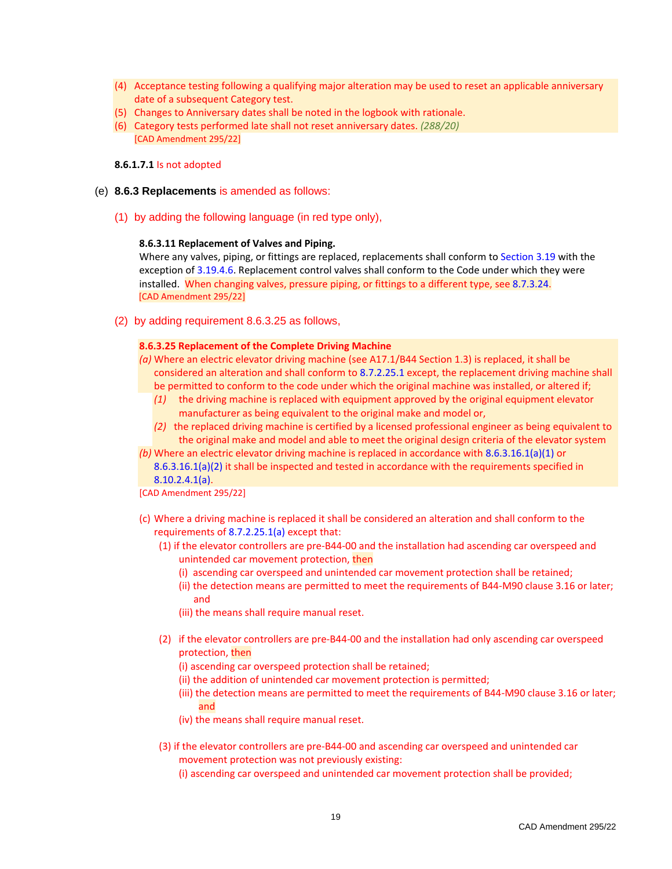- (4) Acceptance testing following a qualifying major alteration may be used to reset an applicable anniversary date of a subsequent Category test.
- (5) Changes to Anniversary dates shall be noted in the logbook with rationale.
- (6) Category tests performed late shall not reset anniversary dates. *(288/20)* [CAD Amendment 295/22]

### **8.6.1.7.1** Is not adopted

- (e) **8.6.3 Replacements** is amended as follows:
	- (1) by adding the following language (in red type only),

### **8.6.3.11 Replacement of Valves and Piping.**

Where any valves, piping, or fittings are replaced, replacements shall conform to Section 3.19 with the exception of 3.19.4.6. Replacement control valves shall conform to the Code under which they were installed. When changing valves, pressure piping, or fittings to a different type, see 8.7.3.24. [CAD Amendment 295/22]

(2) by adding requirement 8.6.3.25 as follows,

### **8.6.3.25 Replacement of the Complete Driving Machine**

- *(a)* Where an electric elevator driving machine (see A17.1/B44 Section 1.3) is replaced, it shall be considered an alteration and shall conform to 8.7.2.25.1 except, the replacement driving machine shall be permitted to conform to the code under which the original machine was installed, or altered if;
	- *(1)* the driving machine is replaced with equipment approved by the original equipment elevator manufacturer as being equivalent to the original make and model or,
	- *(2)* the replaced driving machine is certified by a licensed professional engineer as being equivalent to the original make and model and able to meet the original design criteria of the elevator system

*(b)* Where an electric elevator driving machine is replaced in accordance with 8.6.3.16.1(a)(1) or 8.6.3.16.1(a)(2) it shall be inspected and tested in accordance with the requirements specified in

8.10.2.4.1(a).

- [CAD Amendment 295/22]
- (c) Where a driving machine is replaced it shall be considered an alteration and shall conform to the requirements of 8.7.2.25.1(a) except that:
	- (1) if the elevator controllers are pre-B44-00 and the installation had ascending car overspeed and unintended car movement protection, then
		- (i) ascending car overspeed and unintended car movement protection shall be retained;
		- (ii) the detection means are permitted to meet the requirements of B44-M90 clause 3.16 or later; and
		- (iii) the means shall require manual reset.
	- (2) if the elevator controllers are pre-B44-00 and the installation had only ascending car overspeed protection, then
		- (i) ascending car overspeed protection shall be retained;
		- (ii) the addition of unintended car movement protection is permitted;
		- (iii) the detection means are permitted to meet the requirements of B44-M90 clause 3.16 or later; and
		- (iv) the means shall require manual reset.
	- (3) if the elevator controllers are pre-B44-00 and ascending car overspeed and unintended car movement protection was not previously existing:

(i) ascending car overspeed and unintended car movement protection shall be provided;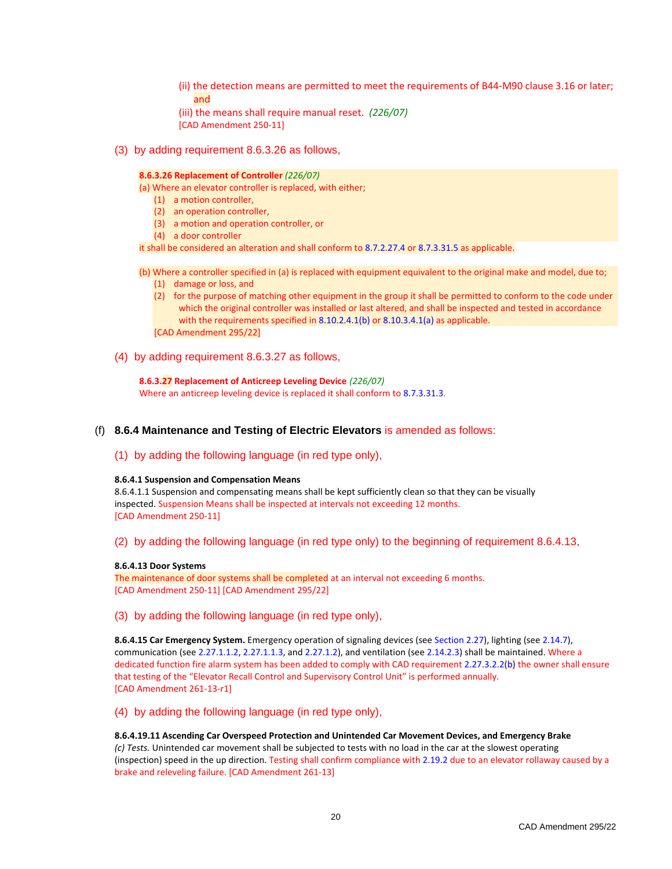- (ii) the detection means are permitted to meet the requirements of B44-M90 clause 3.16 or later; and
- (iii) the means shall require manual reset. *(226/07)*
- [CAD Amendment 250-11]
- (3) by adding requirement 8.6.3.26 as follows,

#### **8.6.3.26 Replacement of Controller** *(226/07)*

(a) Where an elevator controller is replaced, with either;

- (1) a motion controller,
- (2) an operation controller,
- (3) a motion and operation controller, or
- (4) a door controller

it shall be considered an alteration and shall conform to 8.7.2.27.4 or 8.7.3.31.5 as applicable.

- (b) Where a controller specified in (a) is replaced with equipment equivalent to the original make and model, due to; (1) damage or loss, and
	- (2) for the purpose of matching other equipment in the group it shall be permitted to conform to the code under which the original controller was installed or last altered, and shall be inspected and tested in accordance with the requirements specified in 8.10.2.4.1(b) or 8.10.3.4.1(a) as applicable. [CAD Amendment 295/22]
- (4) by adding requirement 8.6.3.27 as follows,

**8.6.3.27 Replacement of Anticreep Leveling Device** *(226/07)* Where an anticreep leveling device is replaced it shall conform to 8.7.3.31.3.

### (f) **8.6.4 Maintenance and Testing of Electric Elevators** is amended as follows:

(1) by adding the following language (in red type only),

#### **8.6.4.1 Suspension and Compensation Means**

8.6.4.1.1 Suspension and compensating means shall be kept sufficiently clean so that they can be visually inspected. Suspension Means shall be inspected at intervals not exceeding 12 months. [CAD Amendment 250-11]

(2) by adding the following language (in red type only) to the beginning of requirement 8.6.4.13,

#### **8.6.4.13 Door Systems**

The maintenance of door systems shall be completed at an interval not exceeding 6 months. [CAD Amendment 250-11] [CAD Amendment 295/22]

(3) by adding the following language (in red type only),

**8.6.4.15 Car Emergency System.** Emergency operation of signaling devices (see Section 2.27), lighting (see 2.14.7), communication (see 2.27.1.1.2, 2.27.1.1.3, and 2.27.1.2), and ventilation (see 2.14.2.3) shall be maintained. Where a dedicated function fire alarm system has been added to comply with CAD requirement 2.27.3.2.2(b) the owner shall ensure that testing of the "Elevator Recall Control and Supervisory Control Unit" is performed annually. [CAD Amendment 261-13-r1]

(4) by adding the following language (in red type only),

#### **8.6.4.19.11 Ascending Car Overspeed Protection and Unintended Car Movement Devices, and Emergency Brake**

*(c) Tests.* Unintended car movement shall be subjected to tests with no load in the car at the slowest operating (inspection) speed in the up direction. Testing shall confirm compliance with 2.19.2 due to an elevator rollaway caused by a brake and releveling failure. [CAD Amendment 261-13]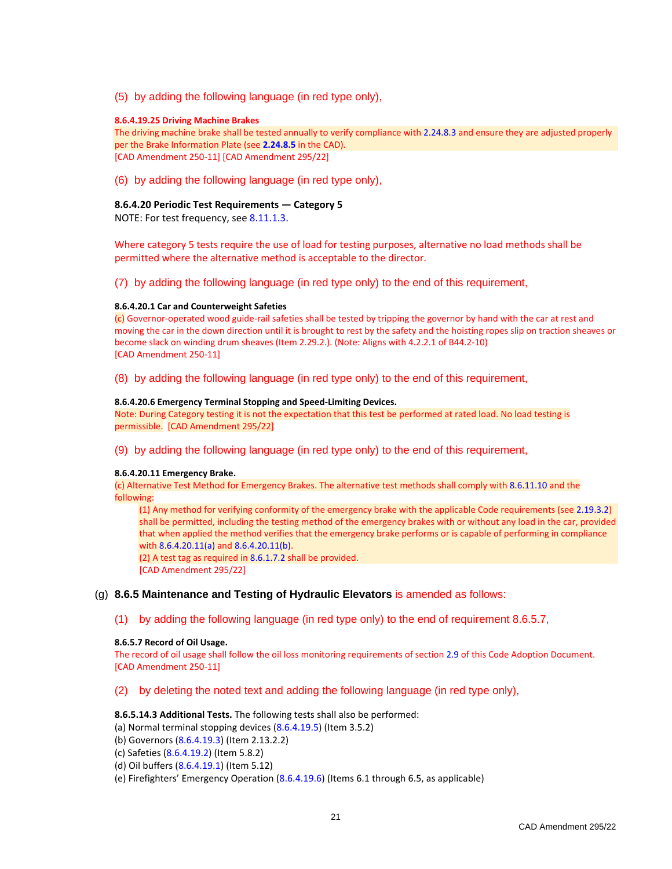(5) by adding the following language (in red type only),

#### **8.6.4.19.25 Driving Machine Brakes**

The driving machine brake shall be tested annually to verify compliance with 2.24.8.3 and ensure they are adjusted properly per the Brake Information Plate (see **2.24.8.5** in the CAD). [CAD Amendment 250-11] [CAD Amendment 295/22]

(6) by adding the following language (in red type only),

### **8.6.4.20 Periodic Test Requirements — Category 5**

NOTE: For test frequency, see 8.11.1.3.

Where category 5 tests require the use of load for testing purposes, alternative no load methods shall be permitted where the alternative method is acceptable to the director.

(7) by adding the following language (in red type only) to the end of this requirement,

#### **8.6.4.20.1 Car and Counterweight Safeties**

 $(c)$  Governor-operated wood guide-rail safeties shall be tested by tripping the governor by hand with the car at rest and moving the car in the down direction until it is brought to rest by the safety and the hoisting ropes slip on traction sheaves or become slack on winding drum sheaves (Item 2.29.2.). (Note: Aligns with 4.2.2.1 of B44.2-10) [CAD Amendment 250-11]

(8) by adding the following language (in red type only) to the end of this requirement,

#### **8.6.4.20.6 Emergency Terminal Stopping and Speed-Limiting Devices.**

Note: During Category testing it is not the expectation that this test be performed at rated load. No load testing is permissible. [CAD Amendment 295/22]

(9) by adding the following language (in red type only) to the end of this requirement,

#### **8.6.4.20.11 Emergency Brake.**

(c) Alternative Test Method for Emergency Brakes. The alternative test methods shall comply with 8.6.11.10 and the following:

(1) Any method for verifying conformity of the emergency brake with the applicable Code requirements (see 2.19.3.2) shall be permitted, including the testing method of the emergency brakes with or without any load in the car, provided that when applied the method verifies that the emergency brake performs or is capable of performing in compliance with 8.6.4.20.11(a) and 8.6.4.20.11(b).

(2) A test tag as required in 8.6.1.7.2 shall be provided.

[CAD Amendment 295/22]

### (g) **8.6.5 Maintenance and Testing of Hydraulic Elevators** is amended as follows:

(1) by adding the following language (in red type only) to the end of requirement 8.6.5.7,

### **8.6.5.7 Record of Oil Usage.**

The record of oil usage shall follow the oil loss monitoring requirements of section 2.9 of this Code Adoption Document. [CAD Amendment 250-11]

(2) by deleting the noted text and adding the following language (in red type only),

### **8.6.5.14.3 Additional Tests.** The following tests shall also be performed:

- (a) Normal terminal stopping devices (8.6.4.19.5) (Item 3.5.2)
- (b) Governors (8.6.4.19.3) (Item 2.13.2.2)
- (c) Safeties (8.6.4.19.2) (Item 5.8.2)
- (d) Oil buffers (8.6.4.19.1) (Item 5.12)
- (e) Firefighters' Emergency Operation (8.6.4.19.6) (Items 6.1 through 6.5, as applicable)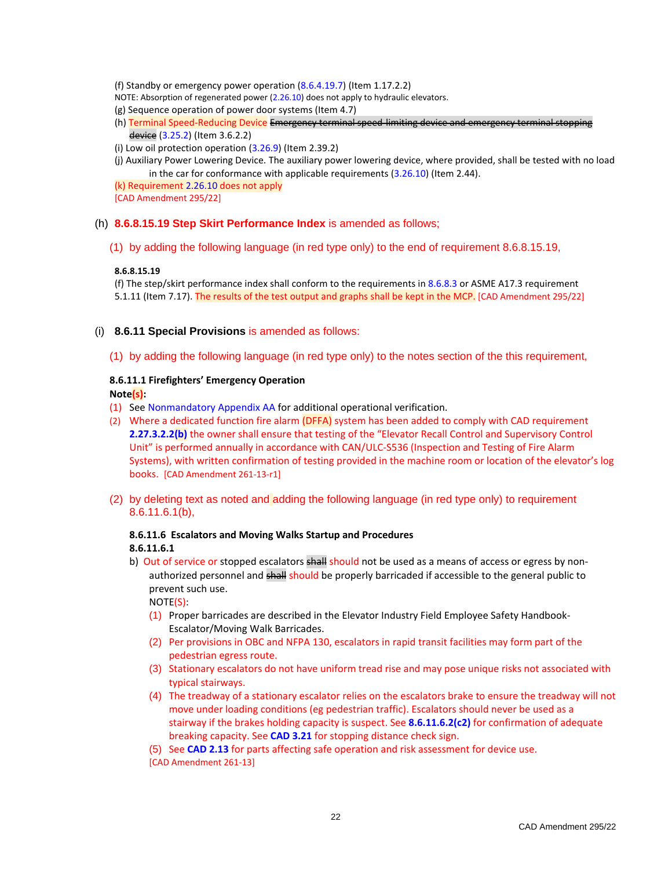(f) Standby or emergency power operation (8.6.4.19.7) (Item 1.17.2.2)

- NOTE: Absorption of regenerated power (2.26.10) does not apply to hydraulic elevators.
- (g) Sequence operation of power door systems (Item 4.7)
- (h) Terminal Speed-Reducing Device Emergency terminal speed-limiting device and emergency terminal stopping device (3.25.2) (Item 3.6.2.2)
- (i) Low oil protection operation (3.26.9) (Item 2.39.2)
- (j) Auxiliary Power Lowering Device. The auxiliary power lowering device, where provided, shall be tested with no load in the car for conformance with applicable requirements  $(3.26.10)$  (Item 2.44).
- (k) Requirement 2.26.10 does not apply

[CAD Amendment 295/22]

### (h) **8.6.8.15.19 Step Skirt Performance Index** is amended as follows;

(1) by adding the following language (in red type only) to the end of requirement 8.6.8.15.19,

### **8.6.8.15.19**

(f) The step/skirt performance index shall conform to the requirements in 8.6.8.3 or ASME A17.3 requirement 5.1.11 (Item 7.17). The results of the test output and graphs shall be kept in the MCP. [CAD Amendment 295/22]

- (i) **8.6.11 Special Provisions** is amended as follows:
	- (1) by adding the following language (in red type only) to the notes section of the this requirement,

# **8.6.11.1 Firefighters' Emergency Operation**

### **Note(s):**

- (1) See Nonmandatory Appendix AA for additional operational verification.
- (2) Where a dedicated function fire alarm (DFFA) system has been added to comply with CAD requirement **2.27.3.2.2(b)** the owner shall ensure that testing of the "Elevator Recall Control and Supervisory Control Unit" is performed annually in accordance with CAN/ULC-S536 (Inspection and Testing of Fire Alarm Systems), with written confirmation of testing provided in the machine room or location of the elevator's log books. [CAD Amendment 261-13-r1]
- (2) by deleting text as noted and adding the following language (in red type only) to requirement 8.6.11.6.1(b),

### **8.6.11.6 Escalators and Moving Walks Startup and Procedures 8.6.11.6.1**

b) Out of service or stopped escalators shall should not be used as a means of access or egress by nonauthorized personnel and shall should be properly barricaded if accessible to the general public to prevent such use.

NOTE(S):

- (1) Proper barricades are described in the Elevator Industry Field Employee Safety Handbook-Escalator/Moving Walk Barricades.
- (2) Per provisions in OBC and NFPA 130, escalators in rapid transit facilities may form part of the pedestrian egress route.
- (3) Stationary escalators do not have uniform tread rise and may pose unique risks not associated with typical stairways.
- (4) The treadway of a stationary escalator relies on the escalators brake to ensure the treadway will not move under loading conditions (eg pedestrian traffic). Escalators should never be used as a stairway if the brakes holding capacity is suspect. See **8.6.11.6.2(c2)** for confirmation of adequate breaking capacity. See **CAD 3.21** for stopping distance check sign.
- (5) See **CAD 2.13** for parts affecting safe operation and risk assessment for device use.

[CAD Amendment 261-13]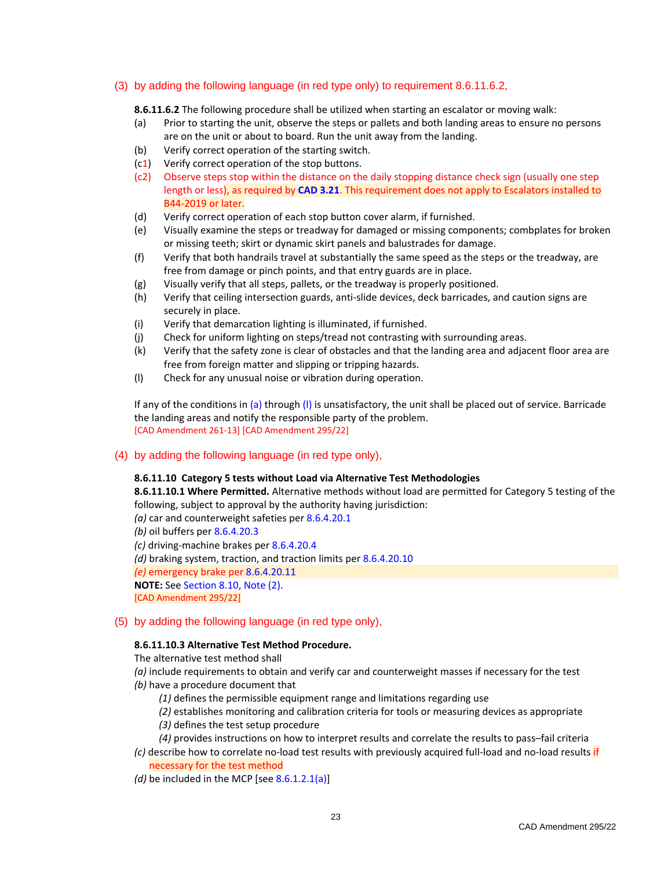### (3) by adding the following language (in red type only) to requirement 8.6.11.6.2,

**8.6.11.6.2** The following procedure shall be utilized when starting an escalator or moving walk:

- (a) Prior to starting the unit, observe the steps or pallets and both landing areas to ensure no persons are on the unit or about to board. Run the unit away from the landing.
- (b) Verify correct operation of the starting switch.
- (c1) Verify correct operation of the stop buttons.
- (c2) Observe steps stop within the distance on the daily stopping distance check sign (usually one step length or less), as required by **CAD 3.21**. This requirement does not apply to Escalators installed to B44-2019 or later.
- (d) Verify correct operation of each stop button cover alarm, if furnished.
- (e) Visually examine the steps or treadway for damaged or missing components; combplates for broken or missing teeth; skirt or dynamic skirt panels and balustrades for damage.
- (f) Verify that both handrails travel at substantially the same speed as the steps or the treadway, are free from damage or pinch points, and that entry guards are in place.
- (g) Visually verify that all steps, pallets, or the treadway is properly positioned.
- (h) Verify that ceiling intersection guards, anti-slide devices, deck barricades, and caution signs are securely in place.
- (i) Verify that demarcation lighting is illuminated, if furnished.
- (j) Check for uniform lighting on steps/tread not contrasting with surrounding areas.
- (k) Verify that the safety zone is clear of obstacles and that the landing area and adjacent floor area are free from foreign matter and slipping or tripping hazards.
- (l) Check for any unusual noise or vibration during operation.

If any of the conditions in (a) through  $(l)$  is unsatisfactory, the unit shall be placed out of service. Barricade the landing areas and notify the responsible party of the problem. [CAD Amendment 261-13] [CAD Amendment 295/22]

### (4) by adding the following language (in red type only),

### **8.6.11.10 Category 5 tests without Load via Alternative Test Methodologies**

**8.6.11.10.1 Where Permitted.** Alternative methods without load are permitted for Category 5 testing of the following, subject to approval by the authority having jurisdiction:

*(a)* car and counterweight safeties per 8.6.4.20.1

*(b)* oil buffers per 8.6.4.20.3

*(c)* driving-machine brakes per 8.6.4.20.4

*(d)* braking system, traction, and traction limits per 8.6.4.20.10

*(e)* emergency brake per 8.6.4.20.11

**NOTE:** See Section 8.10, Note (2).

[CAD Amendment 295/22]

### (5) by adding the following language (in red type only),

### **8.6.11.10.3 Alternative Test Method Procedure.**

The alternative test method shall

- *(a)* include requirements to obtain and verify car and counterweight masses if necessary for the test
- *(b)* have a procedure document that
	- *(1)* defines the permissible equipment range and limitations regarding use
	- *(2)* establishes monitoring and calibration criteria for tools or measuring devices as appropriate
	- *(3)* defines the test setup procedure
	- *(4)* provides instructions on how to interpret results and correlate the results to pass–fail criteria
- *(c)* describe how to correlate no-load test results with previously acquired full-load and no-load results if necessary for the test method
- *(d)* be included in the MCP [see 8.6.1.2.1(a)]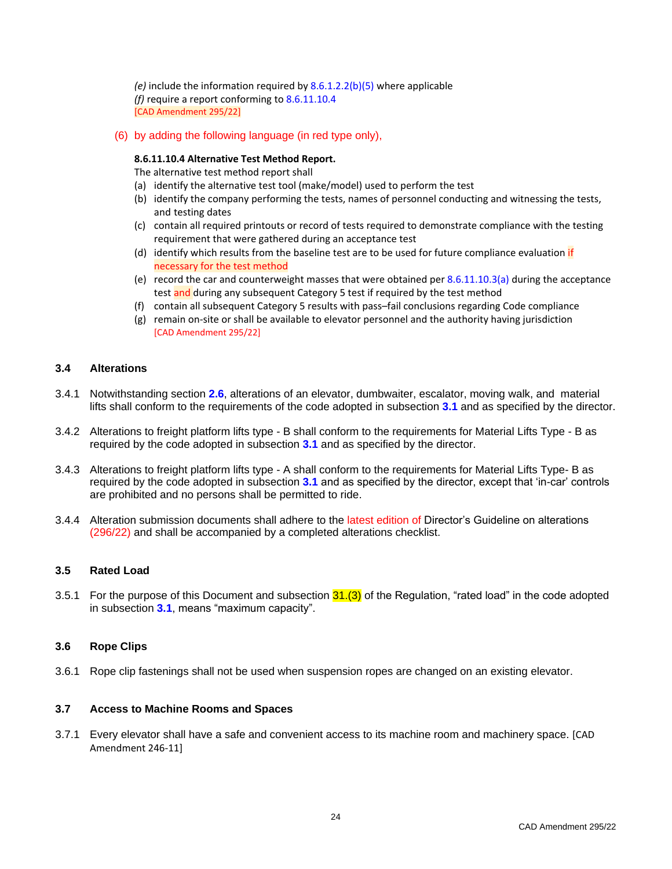*(e)* include the information required by 8.6.1.2.2(b)(5) where applicable *(f)* require a report conforming to 8.6.11.10.4 [CAD Amendment 295/22]

(6) by adding the following language (in red type only),

### **8.6.11.10.4 Alternative Test Method Report.**

The alternative test method report shall

- (a) identify the alternative test tool (make/model) used to perform the test
- (b) identify the company performing the tests, names of personnel conducting and witnessing the tests, and testing dates
- (c) contain all required printouts or record of tests required to demonstrate compliance with the testing requirement that were gathered during an acceptance test
- (d) identify which results from the baseline test are to be used for future compliance evaluation if necessary for the test method
- (e) record the car and counterweight masses that were obtained per  $8.6.11.10.3(a)$  during the acceptance test and during any subsequent Category 5 test if required by the test method
- (f) contain all subsequent Category 5 results with pass–fail conclusions regarding Code compliance
- (g) remain on-site or shall be available to elevator personnel and the authority having jurisdiction [CAD Amendment 295/22]

### <span id="page-31-0"></span>**3.4 Alterations**

- 3.4.1 Notwithstanding section **2.6**, alterations of an elevator, dumbwaiter, escalator, moving walk, and material lifts shall conform to the requirements of the code adopted in subsection **3.1** and as specified by the director.
- 3.4.2 Alterations to freight platform lifts type B shall conform to the requirements for Material Lifts Type B as required by the code adopted in subsection **3.1** and as specified by the director.
- 3.4.3 Alterations to freight platform lifts type A shall conform to the requirements for Material Lifts Type- B as required by the code adopted in subsection **3.1** and as specified by the director, except that 'in-car' controls are prohibited and no persons shall be permitted to ride.
- 3.4.4 Alteration submission documents shall adhere to the latest edition of Director's Guideline on alterations (296/22) and shall be accompanied by a completed alterations checklist.

### <span id="page-31-1"></span>**3.5 Rated Load**

3.5.1 For the purpose of this Document and subsection  $31.(3)$  of the Regulation, "rated load" in the code adopted in subsection **3.1**, means "maximum capacity".

### <span id="page-31-2"></span>**3.6 Rope Clips**

3.6.1 Rope clip fastenings shall not be used when suspension ropes are changed on an existing elevator.

### <span id="page-31-3"></span>**3.7 Access to Machine Rooms and Spaces**

3.7.1 Every elevator shall have a safe and convenient access to its machine room and machinery space. [CAD Amendment 246-11]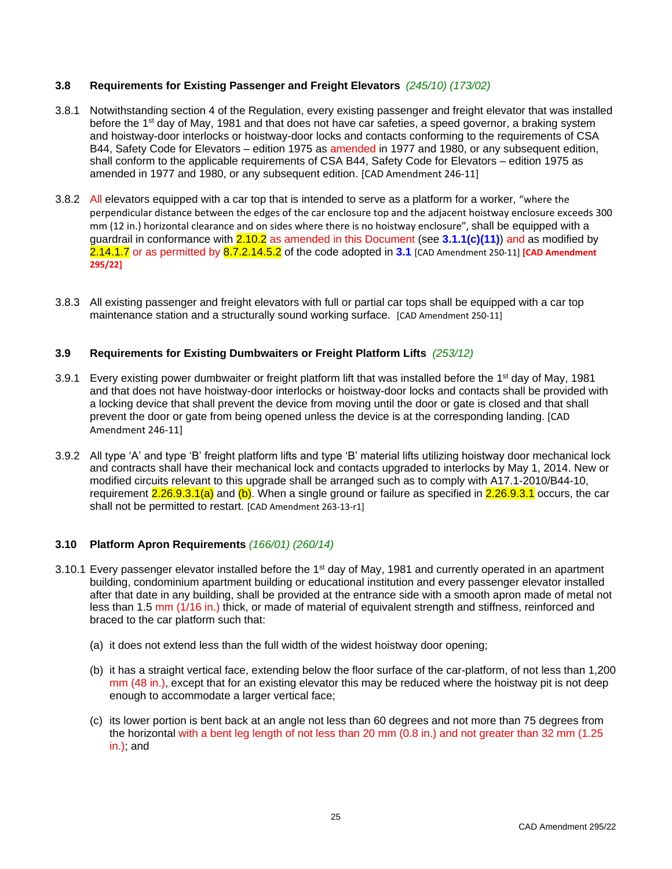# <span id="page-32-0"></span>**3.8 Requirements for Existing Passenger and Freight Elevators** *(245/10) (173/02)*

- 3.8.1 Notwithstanding section 4 of the Regulation, every existing passenger and freight elevator that was installed before the 1<sup>st</sup> day of May, 1981 and that does not have car safeties, a speed governor, a braking system and hoistway-door interlocks or hoistway-door locks and contacts conforming to the requirements of CSA B44, Safety Code for Elevators – edition 1975 as amended in 1977 and 1980, or any subsequent edition, shall conform to the applicable requirements of CSA B44, Safety Code for Elevators – edition 1975 as amended in 1977 and 1980, or any subsequent edition. [CAD Amendment 246-11]
- 3.8.2 All elevators equipped with a car top that is intended to serve as a platform for a worker, "where the perpendicular distance between the edges of the car enclosure top and the adjacent hoistway enclosure exceeds 300 mm (12 in.) horizontal clearance and on sides where there is no hoistway enclosure", shall be equipped with a guardrail in conformance with 2.10.2 as amended in this Document (see **3.1.1(c)(11)**) and as modified by 2.14.1.7 or as permitted by 8.7.2.14.5.2 of the code adopted in **3.1** [CAD Amendment 250-11] **[CAD Amendment 295/22]**
- 3.8.3 All existing passenger and freight elevators with full or partial car tops shall be equipped with a car top maintenance station and a structurally sound working surface. [CAD Amendment 250-11]

# <span id="page-32-1"></span>**3.9 Requirements for Existing Dumbwaiters or Freight Platform Lifts** *(253/12)*

- 3.9.1 Every existing power dumbwaiter or freight platform lift that was installed before the 1<sup>st</sup> day of May, 1981 and that does not have hoistway-door interlocks or hoistway-door locks and contacts shall be provided with a locking device that shall prevent the device from moving until the door or gate is closed and that shall prevent the door or gate from being opened unless the device is at the corresponding landing. [CAD Amendment 246-11]
- 3.9.2 All type 'A' and type 'B' freight platform lifts and type 'B' material lifts utilizing hoistway door mechanical lock and contracts shall have their mechanical lock and contacts upgraded to interlocks by May 1, 2014. New or modified circuits relevant to this upgrade shall be arranged such as to comply with A17.1-2010/B44-10, requirement 2.26.9.3.1(a) and (b). When a single ground or failure as specified in 2.26.9.3.1 occurs, the car shall not be permitted to restart. [CAD Amendment 263-13-r1]

### <span id="page-32-2"></span>**3.10 Platform Apron Requirements** *(166/01) (260/14)*

- 3.10.1 Every passenger elevator installed before the 1<sup>st</sup> day of May, 1981 and currently operated in an apartment building, condominium apartment building or educational institution and every passenger elevator installed after that date in any building, shall be provided at the entrance side with a smooth apron made of metal not less than 1.5 mm (1/16 in.) thick, or made of material of equivalent strength and stiffness, reinforced and braced to the car platform such that:
	- (a) it does not extend less than the full width of the widest hoistway door opening;
	- (b) it has a straight vertical face, extending below the floor surface of the car-platform, of not less than 1,200 mm (48 in.), except that for an existing elevator this may be reduced where the hoistway pit is not deep enough to accommodate a larger vertical face;
	- (c) its lower portion is bent back at an angle not less than 60 degrees and not more than 75 degrees from the horizontal with a bent leg length of not less than 20 mm (0.8 in.) and not greater than 32 mm (1.25 in.); and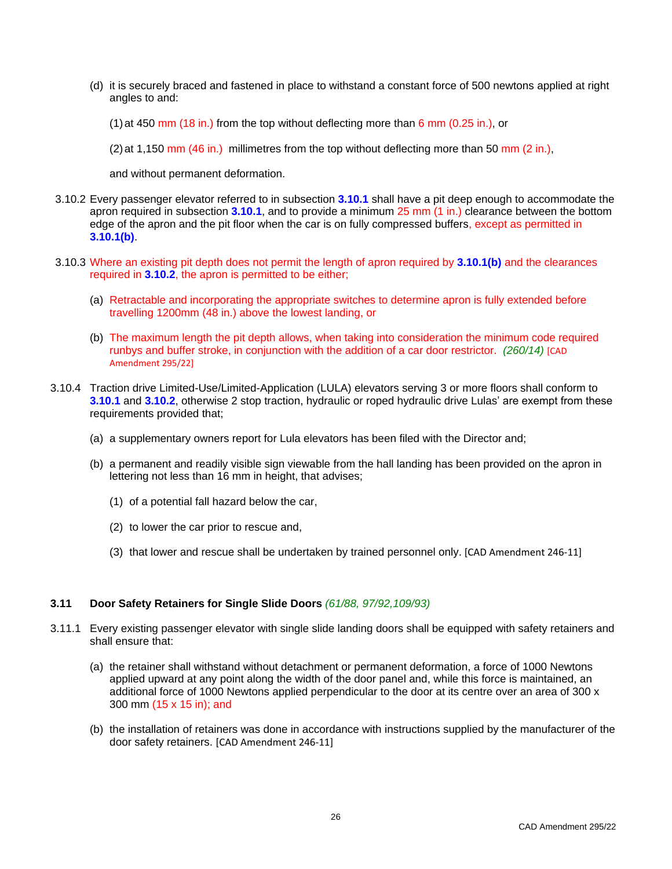(d) it is securely braced and fastened in place to withstand a constant force of 500 newtons applied at right angles to and:

(1) at 450 mm (18 in.) from the top without deflecting more than  $6$  mm (0.25 in.), or

 $(2)$  at 1,150 mm  $(46 \text{ in.})$  millimetres from the top without deflecting more than 50 mm  $(2 \text{ in.})$ ,

and without permanent deformation.

- 3.10.2 Every passenger elevator referred to in subsection **3.10.1** shall have a pit deep enough to accommodate the apron required in subsection **3.10.1**, and to provide a minimum 25 mm (1 in.) clearance between the bottom edge of the apron and the pit floor when the car is on fully compressed buffers, except as permitted in **3.10.1(b)**.
- 3.10.3 Where an existing pit depth does not permit the length of apron required by **3.10.1(b)** and the clearances required in **3.10.2**, the apron is permitted to be either;
	- (a) Retractable and incorporating the appropriate switches to determine apron is fully extended before travelling 1200mm (48 in.) above the lowest landing, or
	- (b) The maximum length the pit depth allows, when taking into consideration the minimum code required runbys and buffer stroke, in conjunction with the addition of a car door restrictor. *(260/14)* [CAD Amendment 295/22]
- 3.10.4 Traction drive Limited-Use/Limited-Application (LULA) elevators serving 3 or more floors shall conform to **3.10.1** and **3.10.2**, otherwise 2 stop traction, hydraulic or roped hydraulic drive Lulas' are exempt from these requirements provided that;
	- (a) a supplementary owners report for Lula elevators has been filed with the Director and;
	- (b) a permanent and readily visible sign viewable from the hall landing has been provided on the apron in lettering not less than 16 mm in height, that advises;
		- (1) of a potential fall hazard below the car,
		- (2) to lower the car prior to rescue and,
		- (3) that lower and rescue shall be undertaken by trained personnel only. [CAD Amendment 246-11]

### <span id="page-33-0"></span>**3.11 Door Safety Retainers for Single Slide Doors** *(61/88, 97/92,109/93)*

- 3.11.1 Every existing passenger elevator with single slide landing doors shall be equipped with safety retainers and shall ensure that:
	- (a) the retainer shall withstand without detachment or permanent deformation, a force of 1000 Newtons applied upward at any point along the width of the door panel and, while this force is maintained, an additional force of 1000 Newtons applied perpendicular to the door at its centre over an area of 300 x 300 mm (15 x 15 in); and
	- (b) the installation of retainers was done in accordance with instructions supplied by the manufacturer of the door safety retainers. [CAD Amendment 246-11]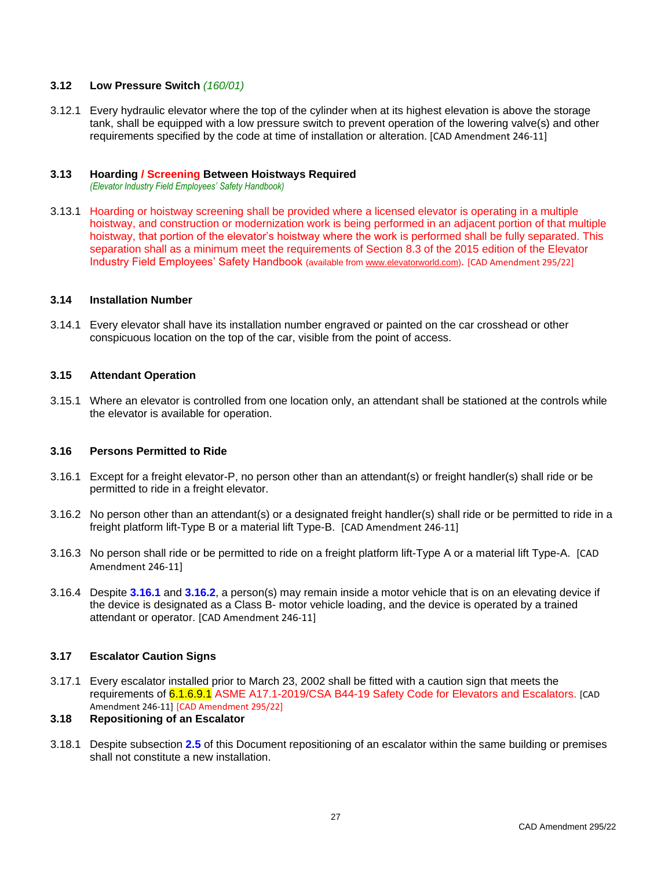### <span id="page-34-0"></span>**3.12 Low Pressure Switch** *(160/01)*

3.12.1 Every hydraulic elevator where the top of the cylinder when at its highest elevation is above the storage tank, shall be equipped with a low pressure switch to prevent operation of the lowering valve(s) and other requirements specified by the code at time of installation or alteration. [CAD Amendment 246-11]

# <span id="page-34-1"></span>**3.13 Hoarding / Screening Between Hoistways Required**

*(Elevator Industry Field Employees' Safety Handbook)*

3.13.1 Hoarding or hoistway screening shall be provided where a licensed elevator is operating in a multiple hoistway, and construction or modernization work is being performed in an adjacent portion of that multiple hoistway, that portion of the elevator's hoistway where the work is performed shall be fully separated. This separation shall as a minimum meet the requirements of Section 8.3 of the 2015 edition of the Elevator Industry Field Employees' Safety Handbook (available fro[m www.elevatorworld.com\)](http://www.elevatorworld.com/). [CAD Amendment 295/22]

### <span id="page-34-2"></span>**3.14 Installation Number**

3.14.1 Every elevator shall have its installation number engraved or painted on the car crosshead or other conspicuous location on the top of the car, visible from the point of access.

### <span id="page-34-3"></span>**3.15 Attendant Operation**

3.15.1 Where an elevator is controlled from one location only, an attendant shall be stationed at the controls while the elevator is available for operation.

### <span id="page-34-4"></span>**3.16 Persons Permitted to Ride**

- 3.16.1 Except for a freight elevator-P, no person other than an attendant(s) or freight handler(s) shall ride or be permitted to ride in a freight elevator.
- 3.16.2 No person other than an attendant(s) or a designated freight handler(s) shall ride or be permitted to ride in a freight platform lift-Type B or a material lift Type-B. [CAD Amendment 246-11]
- 3.16.3 No person shall ride or be permitted to ride on a freight platform lift-Type A or a material lift Type-A. [CAD Amendment 246-11]
- 3.16.4 Despite **3.16.1** and **3.16.2**, a person(s) may remain inside a motor vehicle that is on an elevating device if the device is designated as a Class B- motor vehicle loading, and the device is operated by a trained attendant or operator. [CAD Amendment 246-11]

# <span id="page-34-5"></span>**3.17 Escalator Caution Signs**

3.17.1 Every escalator installed prior to March 23, 2002 shall be fitted with a caution sign that meets the requirements of 6.1.6.9.1 ASME A17.1-2019/CSA B44-19 Safety Code for Elevators and Escalators. [CAD Amendment 246-11] [CAD Amendment 295/22]

### <span id="page-34-6"></span>**3.18 Repositioning of an Escalator**

3.18.1 Despite subsection **2.5** of this Document repositioning of an escalator within the same building or premises shall not constitute a new installation.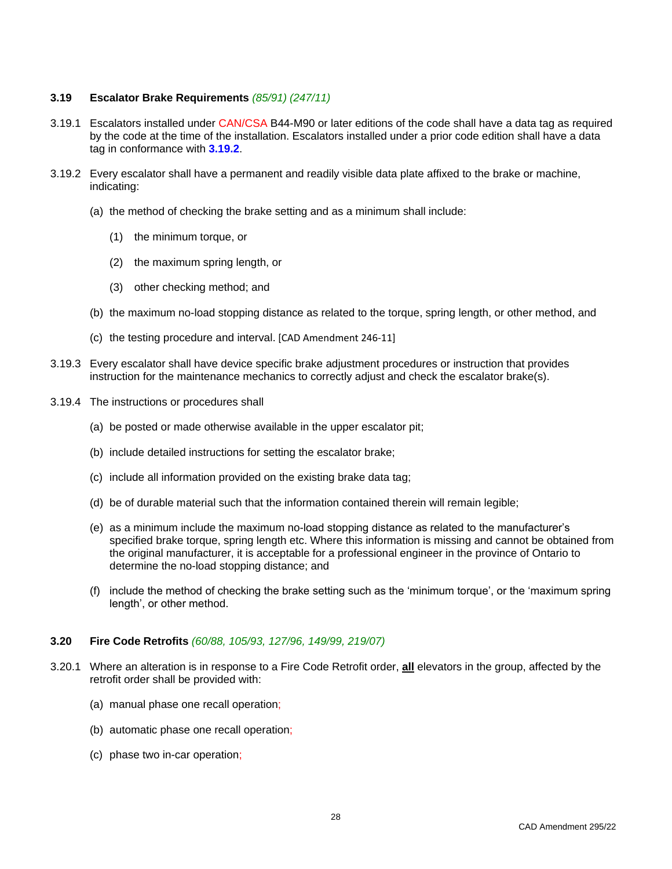### <span id="page-35-0"></span>**3.19 Escalator Brake Requirements** *(85/91) (247/11)*

- 3.19.1 Escalators installed under CAN/CSA B44-M90 or later editions of the code shall have a data tag as required by the code at the time of the installation. Escalators installed under a prior code edition shall have a data tag in conformance with **3.19.2**.
- 3.19.2 Every escalator shall have a permanent and readily visible data plate affixed to the brake or machine, indicating:
	- (a) the method of checking the brake setting and as a minimum shall include:
		- (1) the minimum torque, or
		- (2) the maximum spring length, or
		- (3) other checking method; and
	- (b) the maximum no-load stopping distance as related to the torque, spring length, or other method, and
	- (c) the testing procedure and interval. [CAD Amendment 246-11]
- 3.19.3 Every escalator shall have device specific brake adjustment procedures or instruction that provides instruction for the maintenance mechanics to correctly adjust and check the escalator brake(s).
- 3.19.4 The instructions or procedures shall
	- (a) be posted or made otherwise available in the upper escalator pit;
	- (b) include detailed instructions for setting the escalator brake;
	- (c) include all information provided on the existing brake data tag;
	- (d) be of durable material such that the information contained therein will remain legible;
	- (e) as a minimum include the maximum no-load stopping distance as related to the manufacturer's specified brake torque, spring length etc. Where this information is missing and cannot be obtained from the original manufacturer, it is acceptable for a professional engineer in the province of Ontario to determine the no-load stopping distance; and
	- (f) include the method of checking the brake setting such as the 'minimum torque', or the 'maximum spring length', or other method.

### <span id="page-35-1"></span>**3.20 Fire Code Retrofits** *(60/88, 105/93, 127/96, 149/99, 219/07)*

- 3.20.1 Where an alteration is in response to a Fire Code Retrofit order, **all** elevators in the group, affected by the retrofit order shall be provided with:
	- (a) manual phase one recall operation;
	- (b) automatic phase one recall operation;
	- (c) phase two in-car operation;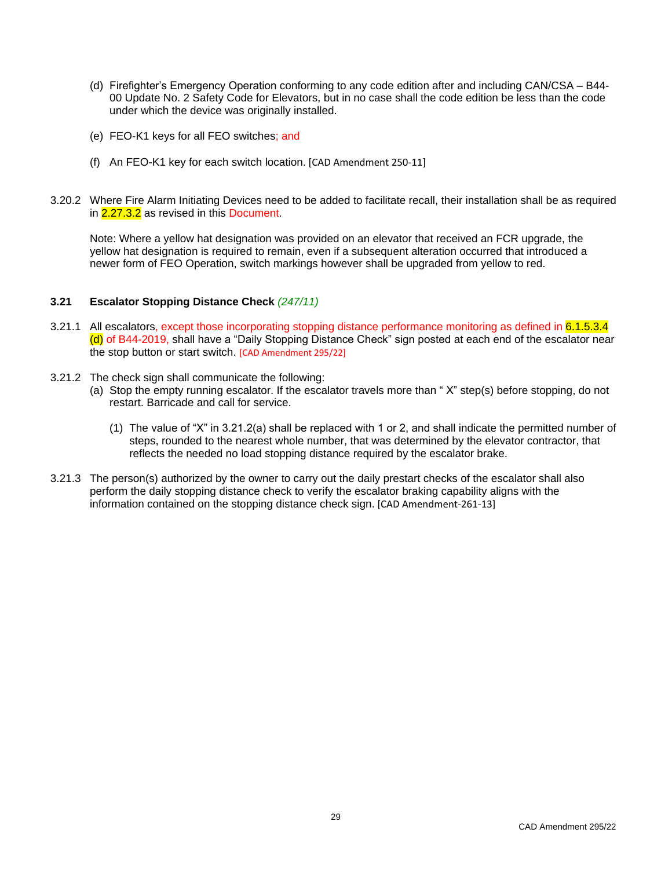- (d) Firefighter's Emergency Operation conforming to any code edition after and including CAN/CSA B44- 00 Update No. 2 Safety Code for Elevators, but in no case shall the code edition be less than the code under which the device was originally installed.
- (e) FEO-K1 keys for all FEO switches; and
- (f) An FEO-K1 key for each switch location. [CAD Amendment 250-11]
- 3.20.2 Where Fire Alarm Initiating Devices need to be added to facilitate recall, their installation shall be as required in 2.27.3.2 as revised in this Document.

Note: Where a yellow hat designation was provided on an elevator that received an FCR upgrade, the yellow hat designation is required to remain, even if a subsequent alteration occurred that introduced a newer form of FEO Operation, switch markings however shall be upgraded from yellow to red.

### <span id="page-36-0"></span>**3.21 Escalator Stopping Distance Check** *(247/11)*

- 3.21.1 All escalators, except those incorporating stopping distance performance monitoring as defined in 6.1.5.3.4 (d) of B44-2019, shall have a "Daily Stopping Distance Check" sign posted at each end of the escalator near the stop button or start switch. [CAD Amendment 295/22]
- 3.21.2 The check sign shall communicate the following:
	- (a) Stop the empty running escalator. If the escalator travels more than " X" step(s) before stopping, do not restart. Barricade and call for service.
		- (1) The value of "X" in 3.21.2(a) shall be replaced with 1 or 2, and shall indicate the permitted number of steps, rounded to the nearest whole number, that was determined by the elevator contractor, that reflects the needed no load stopping distance required by the escalator brake.
- 3.21.3 The person(s) authorized by the owner to carry out the daily prestart checks of the escalator shall also perform the daily stopping distance check to verify the escalator braking capability aligns with the information contained on the stopping distance check sign. [CAD Amendment-261-13]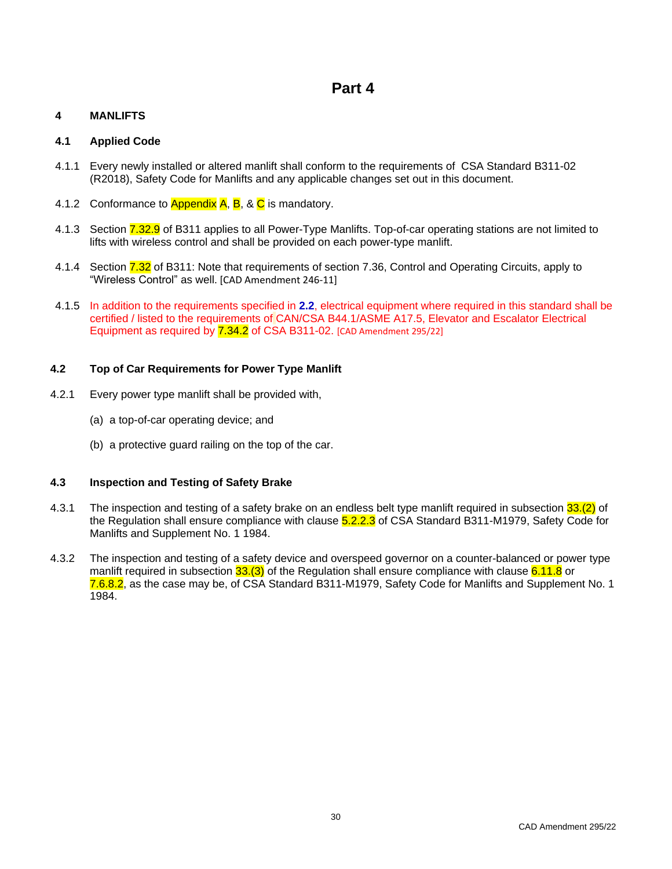# **Part 4**

# <span id="page-37-1"></span><span id="page-37-0"></span>**4 MANLIFTS**

# <span id="page-37-2"></span>**4.1 Applied Code**

- 4.1.1 Every newly installed or altered manlift shall conform to the requirements of CSA Standard B311-02 (R2018), Safety Code for Manlifts and any applicable changes set out in this document.
- 4.1.2 Conformance to Appendix  $A$ ,  $B$ , &  $C$  is mandatory.
- 4.1.3 Section 7.32.9 of B311 applies to all Power-Type Manlifts. Top-of-car operating stations are not limited to lifts with wireless control and shall be provided on each power-type manlift.
- 4.1.4 Section 7.32 of B311: Note that requirements of section 7.36, Control and Operating Circuits, apply to "Wireless Control" as well. [CAD Amendment 246-11]
- 4.1.5 In addition to the requirements specified in **2.2**, electrical equipment where required in this standard shall be certified / listed to the requirements of CAN/CSA B44.1/ASME A17.5, Elevator and Escalator Electrical Equipment as required by 7.34.2 of CSA B311-02. [CAD Amendment 295/22]

# <span id="page-37-3"></span>**4.2 Top of Car Requirements for Power Type Manlift**

- 4.2.1 Every power type manlift shall be provided with,
	- (a) a top-of-car operating device; and
	- (b) a protective guard railing on the top of the car.

# <span id="page-37-4"></span>**4.3 Inspection and Testing of Safety Brake**

- 4.3.1 The inspection and testing of a safety brake on an endless belt type manlift required in subsection 33.(2) of the Regulation shall ensure compliance with clause 5.2.2.3 of CSA Standard B311-M1979, Safety Code for Manlifts and Supplement No. 1 1984.
- 4.3.2 The inspection and testing of a safety device and overspeed governor on a counter-balanced or power type manlift required in subsection 33.(3) of the Regulation shall ensure compliance with clause 6.11.8 or 7.6.8.2, as the case may be, of CSA Standard B311-M1979, Safety Code for Manlifts and Supplement No. 1 1984.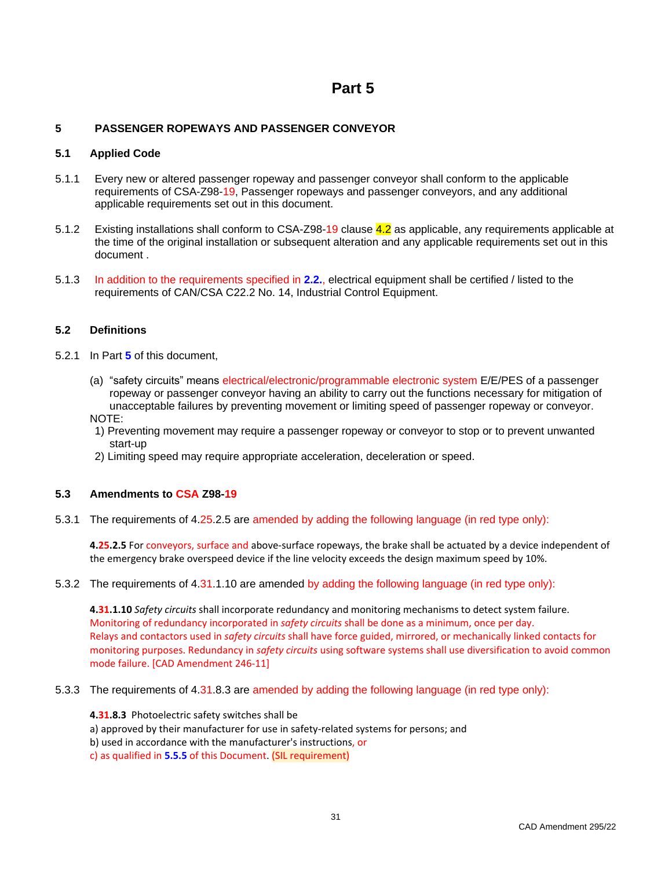# **Part 5**

# <span id="page-38-1"></span><span id="page-38-0"></span>**5 PASSENGER ROPEWAYS AND PASSENGER CONVEYOR**

# <span id="page-38-2"></span>**5.1 Applied Code**

- 5.1.1 Every new or altered passenger ropeway and passenger conveyor shall conform to the applicable requirements of CSA-Z98-19, Passenger ropeways and passenger conveyors, and any additional applicable requirements set out in this document.
- 5.1.2 Existing installations shall conform to CSA-Z98-19 clause 4.2 as applicable, any requirements applicable at the time of the original installation or subsequent alteration and any applicable requirements set out in this document .
- 5.1.3 In addition to the requirements specified in **2.2.**, electrical equipment shall be certified / listed to the requirements of CAN/CSA C22.2 No. 14, Industrial Control Equipment.

# <span id="page-38-3"></span>**5.2 Definitions**

- 5.2.1 In Part **5** of this document,
	- (a) "safety circuits" means electrical/electronic/programmable electronic system E/E/PES of a passenger ropeway or passenger conveyor having an ability to carry out the functions necessary for mitigation of unacceptable failures by preventing movement or limiting speed of passenger ropeway or conveyor. NOTE:
	- 1) Preventing movement may require a passenger ropeway or conveyor to stop or to prevent unwanted start-up
	- 2) Limiting speed may require appropriate acceleration, deceleration or speed.

### <span id="page-38-4"></span>**5.3 Amendments to CSA Z98-19**

5.3.1 The requirements of 4.25.2.5 are amended by adding the following language (in red type only):

**4.25.2.5** For conveyors, surface and above-surface ropeways, the brake shall be actuated by a device independent of the emergency brake overspeed device if the line velocity exceeds the design maximum speed by 10%.

5.3.2 The requirements of 4.31.1.10 are amended by adding the following language (in red type only):

**4.31.1.10** *Safety circuits* shall incorporate redundancy and monitoring mechanisms to detect system failure. Monitoring of redundancy incorporated in *safety circuits* shall be done as a minimum, once per day. Relays and contactors used in *safety circuits* shall have force guided, mirrored, or mechanically linked contacts for monitoring purposes. Redundancy in *safety circuits* using software systems shall use diversification to avoid common mode failure. [CAD Amendment 246-11]

5.3.3 The requirements of 4.31.8.3 are amended by adding the following language (in red type only):

**4.31.8.3** Photoelectric safety switches shall be

a) approved by their manufacturer for use in safety-related systems for persons; and

- b) used in accordance with the manufacturer's instructions, or
- c) as qualified in **5.5.5** of this Document. (SIL requirement)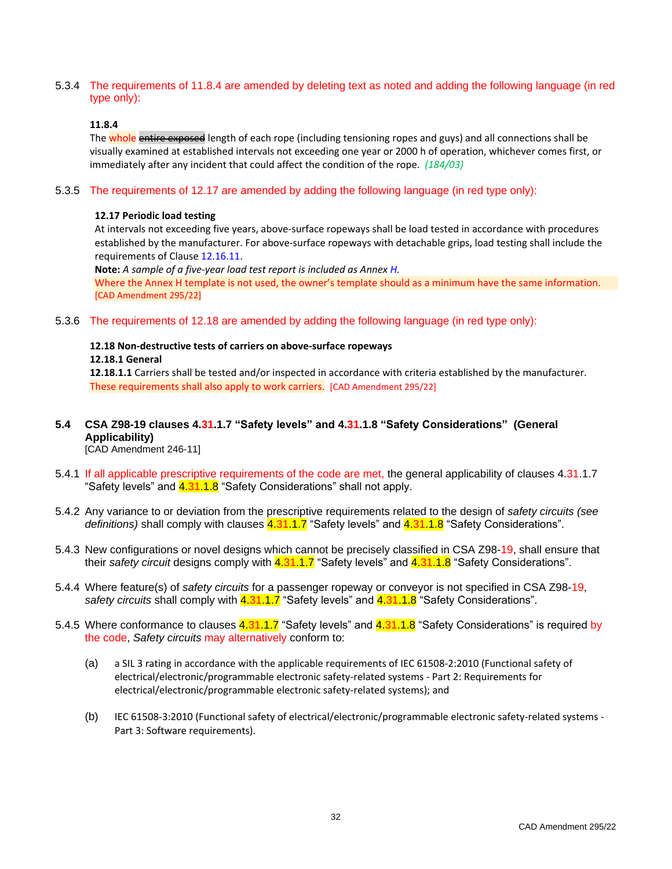5.3.4 The requirements of 11.8.4 are amended by deleting text as noted and adding the following language (in red type only):

### **11.8.4**

The whole entire exposed length of each rope (including tensioning ropes and guys) and all connections shall be visually examined at established intervals not exceeding one year or 2000 h of operation, whichever comes first, or immediately after any incident that could affect the condition of the rope. *(184/03)*

### 5.3.5 The requirements of 12.17 are amended by adding the following language (in red type only):

### **12.17 Periodic load testing**

At intervals not exceeding five years, above-surface ropeways shall be load tested in accordance with procedures established by the manufacturer. For above-surface ropeways with detachable grips, load testing shall include the requirements of Clause 12.16.11.

**Note:** *A sample of a five-year load test report is included as Annex H.*

Where the Annex H template is not used, the owner's template should as a minimum have the same information. [CAD Amendment 295/22]

5.3.6 The requirements of 12.18 are amended by adding the following language (in red type only):

# **12.18 Non-destructive tests of carriers on above-surface ropeways**

### **12.18.1 General**

**12.18.1.1** Carriers shall be tested and/or inspected in accordance with criteria established by the manufacturer. These requirements shall also apply to work carriers. [CAD Amendment 295/22]

# <span id="page-39-0"></span>**5.4 CSA Z98-19 clauses 4.31.1.7 "Safety levels" and 4.31.1.8 "Safety Considerations" (General Applicability)**

[CAD Amendment 246-11]

- 5.4.1 If all applicable prescriptive requirements of the code are met, the general applicability of clauses 4.31.1.7 "Safety levels" and **4.31.1.8** "Safety Considerations" shall not apply.
- 5.4.2 Any variance to or deviation from the prescriptive requirements related to the design of *safety circuits (see definitions)* shall comply with clauses 4.31.1.7 "Safety levels" and 4.31.1.8 "Safety Considerations".
- 5.4.3 New configurations or novel designs which cannot be precisely classified in CSA Z98-19, shall ensure that their *safety circuit* designs comply with 4.31.1.7 "Safety levels" and 4.31.1.8 "Safety Considerations".
- 5.4.4 Where feature(s) of *safety circuits* for a passenger ropeway or conveyor is not specified in CSA Z98-19, *safety circuits* shall comply with 4.31.1.7 "Safety levels" and 4.31.1.8 "Safety Considerations".
- 5.4.5 Where conformance to clauses 4.31.1.7 "Safety levels" and 4.31.1.8 "Safety Considerations" is required by the code, *Safety circuits* may alternatively conform to:
	- (a) a SIL 3 rating in accordance with the applicable requirements of IEC 61508-2:2010 (Functional safety of electrical/electronic/programmable electronic safety-related systems - Part 2: Requirements for electrical/electronic/programmable electronic safety-related systems); and
	- (b) IEC 61508-3:2010 (Functional safety of electrical/electronic/programmable electronic safety-related systems Part 3: Software requirements).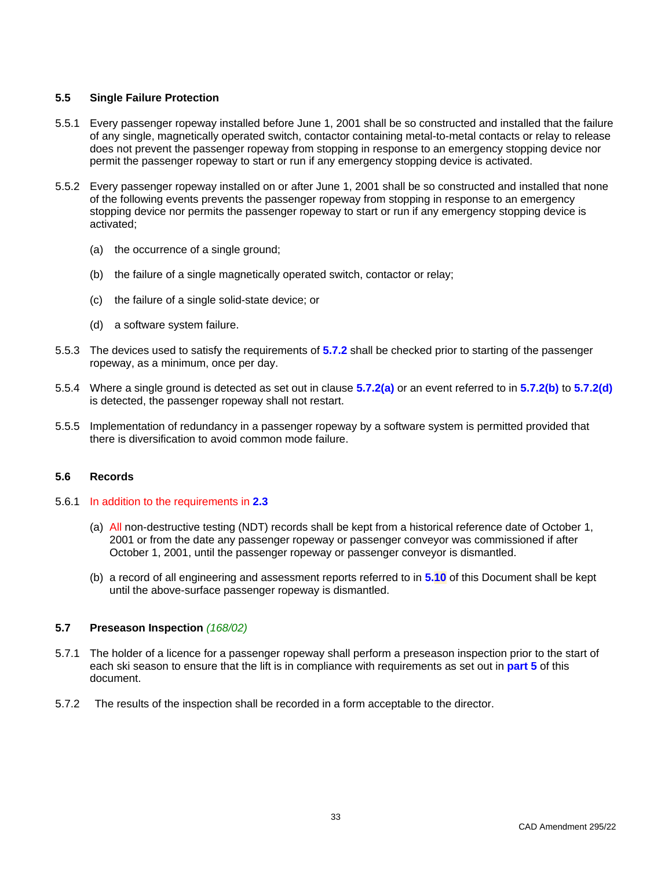### <span id="page-40-0"></span>**5.5 Single Failure Protection**

- 5.5.1 Every passenger ropeway installed before June 1, 2001 shall be so constructed and installed that the failure of any single, magnetically operated switch, contactor containing metal-to-metal contacts or relay to release does not prevent the passenger ropeway from stopping in response to an emergency stopping device nor permit the passenger ropeway to start or run if any emergency stopping device is activated.
- 5.5.2 Every passenger ropeway installed on or after June 1, 2001 shall be so constructed and installed that none of the following events prevents the passenger ropeway from stopping in response to an emergency stopping device nor permits the passenger ropeway to start or run if any emergency stopping device is activated;
	- (a) the occurrence of a single ground;
	- (b) the failure of a single magnetically operated switch, contactor or relay;
	- (c) the failure of a single solid-state device; or
	- (d) a software system failure.
- 5.5.3 The devices used to satisfy the requirements of **5.7.2** shall be checked prior to starting of the passenger ropeway, as a minimum, once per day.
- 5.5.4 Where a single ground is detected as set out in clause **5.7.2(a)** or an event referred to in **5.7.2(b)** to **5.7.2(d)** is detected, the passenger ropeway shall not restart.
- 5.5.5 Implementation of redundancy in a passenger ropeway by a software system is permitted provided that there is diversification to avoid common mode failure.

### <span id="page-40-1"></span>**5.6 Records**

### 5.6.1 In addition to the requirements in **2.3**

- (a) All non-destructive testing (NDT) records shall be kept from a historical reference date of October 1, 2001 or from the date any passenger ropeway or passenger conveyor was commissioned if after October 1, 2001, until the passenger ropeway or passenger conveyor is dismantled.
- (b) a record of all engineering and assessment reports referred to in **5.10** of this Document shall be kept until the above-surface passenger ropeway is dismantled.

### <span id="page-40-2"></span>**5.7 Preseason Inspection** *(168/02)*

- 5.7.1 The holder of a licence for a passenger ropeway shall perform a preseason inspection prior to the start of each ski season to ensure that the lift is in compliance with requirements as set out in **part 5** of this document.
- 5.7.2 The results of the inspection shall be recorded in a form acceptable to the director.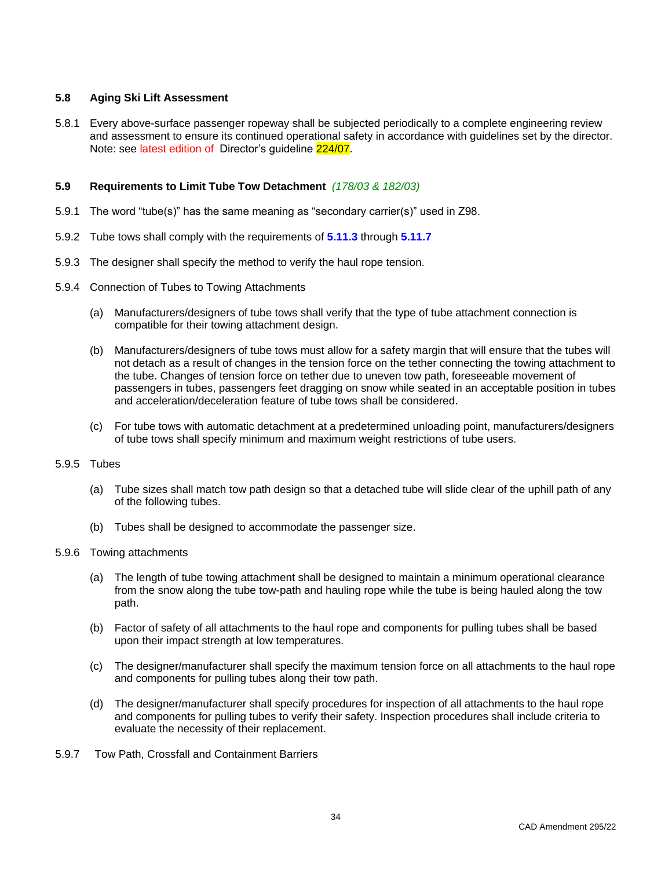# <span id="page-41-0"></span>**5.8 Aging Ski Lift Assessment**

5.8.1 Every above-surface passenger ropeway shall be subjected periodically to a complete engineering review and assessment to ensure its continued operational safety in accordance with guidelines set by the director. Note: see latest edition of Director's guideline 224/07.

### <span id="page-41-1"></span>**5.9 Requirements to Limit Tube Tow Detachment** *(178/03 & 182/03)*

- 5.9.1 The word "tube(s)" has the same meaning as "secondary carrier(s)" used in Z98.
- 5.9.2 Tube tows shall comply with the requirements of **5.11.3** through **5.11.7**
- 5.9.3 The designer shall specify the method to verify the haul rope tension.
- 5.9.4 Connection of Tubes to Towing Attachments
	- (a) Manufacturers/designers of tube tows shall verify that the type of tube attachment connection is compatible for their towing attachment design.
	- (b) Manufacturers/designers of tube tows must allow for a safety margin that will ensure that the tubes will not detach as a result of changes in the tension force on the tether connecting the towing attachment to the tube. Changes of tension force on tether due to uneven tow path, foreseeable movement of passengers in tubes, passengers feet dragging on snow while seated in an acceptable position in tubes and acceleration/deceleration feature of tube tows shall be considered.
	- (c) For tube tows with automatic detachment at a predetermined unloading point, manufacturers/designers of tube tows shall specify minimum and maximum weight restrictions of tube users.

### 5.9.5 Tubes

- (a) Tube sizes shall match tow path design so that a detached tube will slide clear of the uphill path of any of the following tubes.
- (b) Tubes shall be designed to accommodate the passenger size.
- 5.9.6 Towing attachments
	- (a) The length of tube towing attachment shall be designed to maintain a minimum operational clearance from the snow along the tube tow-path and hauling rope while the tube is being hauled along the tow path.
	- (b) Factor of safety of all attachments to the haul rope and components for pulling tubes shall be based upon their impact strength at low temperatures.
	- (c) The designer/manufacturer shall specify the maximum tension force on all attachments to the haul rope and components for pulling tubes along their tow path.
	- (d) The designer/manufacturer shall specify procedures for inspection of all attachments to the haul rope and components for pulling tubes to verify their safety. Inspection procedures shall include criteria to evaluate the necessity of their replacement.
- 5.9.7 Tow Path, Crossfall and Containment Barriers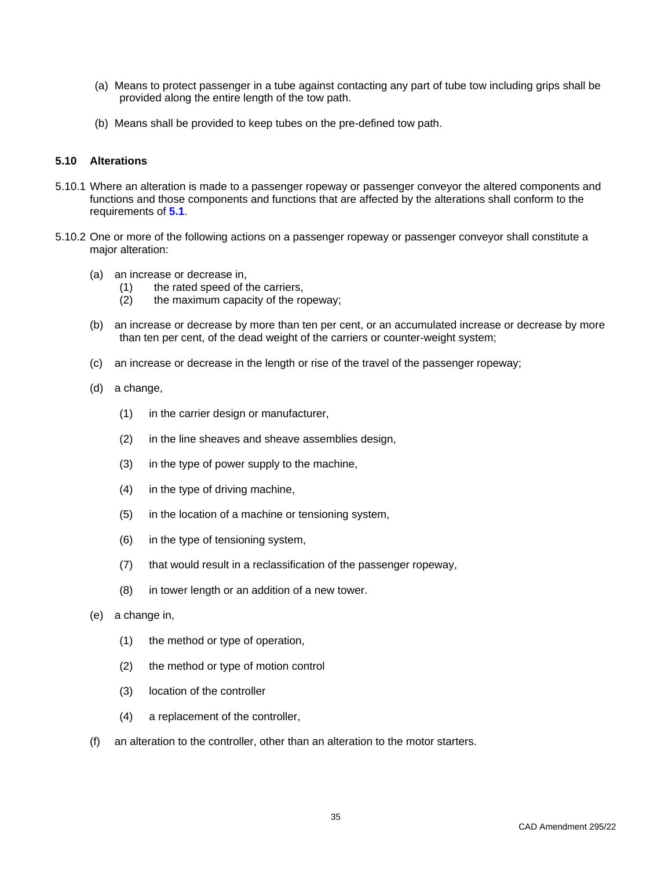- (a) Means to protect passenger in a tube against contacting any part of tube tow including grips shall be provided along the entire length of the tow path.
- (b) Means shall be provided to keep tubes on the pre-defined tow path.

### <span id="page-42-0"></span>**5.10 Alterations**

- 5.10.1 Where an alteration is made to a passenger ropeway or passenger conveyor the altered components and functions and those components and functions that are affected by the alterations shall conform to the requirements of **5.1**.
- 5.10.2 One or more of the following actions on a passenger ropeway or passenger conveyor shall constitute a major alteration:
	- (a) an increase or decrease in,
		- (1) the rated speed of the carriers,
		- (2) the maximum capacity of the ropeway;
	- (b) an increase or decrease by more than ten per cent, or an accumulated increase or decrease by more than ten per cent, of the dead weight of the carriers or counter-weight system;
	- (c) an increase or decrease in the length or rise of the travel of the passenger ropeway;
	- (d) a change,
		- (1) in the carrier design or manufacturer,
		- (2) in the line sheaves and sheave assemblies design,
		- (3) in the type of power supply to the machine,
		- (4) in the type of driving machine,
		- (5) in the location of a machine or tensioning system,
		- (6) in the type of tensioning system,
		- (7) that would result in a reclassification of the passenger ropeway,
		- (8) in tower length or an addition of a new tower.
	- (e) a change in,
		- (1) the method or type of operation,
		- (2) the method or type of motion control
		- (3) location of the controller
		- (4) a replacement of the controller,
	- (f) an alteration to the controller, other than an alteration to the motor starters.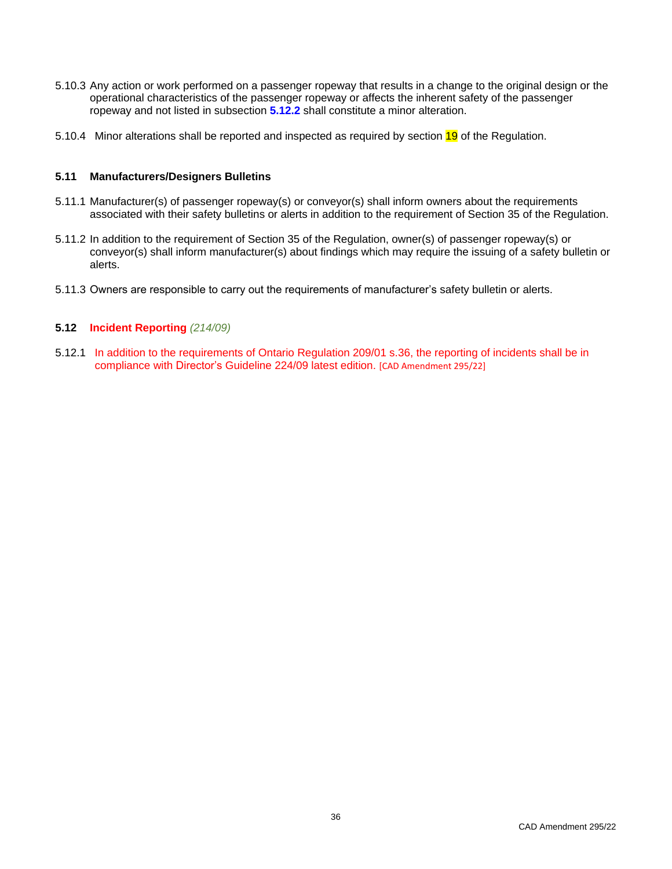- 5.10.3 Any action or work performed on a passenger ropeway that results in a change to the original design or the operational characteristics of the passenger ropeway or affects the inherent safety of the passenger ropeway and not listed in subsection **5.12.2** shall constitute a minor alteration.
- 5.10.4 Minor alterations shall be reported and inspected as required by section 19 of the Regulation.

### <span id="page-43-0"></span>**5.11 Manufacturers/Designers Bulletins**

- 5.11.1 Manufacturer(s) of passenger ropeway(s) or conveyor(s) shall inform owners about the requirements associated with their safety bulletins or alerts in addition to the requirement of Section 35 of the Regulation.
- 5.11.2 In addition to the requirement of Section 35 of the Regulation, owner(s) of passenger ropeway(s) or conveyor(s) shall inform manufacturer(s) about findings which may require the issuing of a safety bulletin or alerts.
- 5.11.3 Owners are responsible to carry out the requirements of manufacturer's safety bulletin or alerts.

### <span id="page-43-1"></span>**5.12 Incident Reporting** *(214/09)*

5.12.1 In addition to the requirements of Ontario Regulation 209/01 s.36, the reporting of incidents shall be in compliance with Director's Guideline 224/09 latest edition. [CAD Amendment 295/22]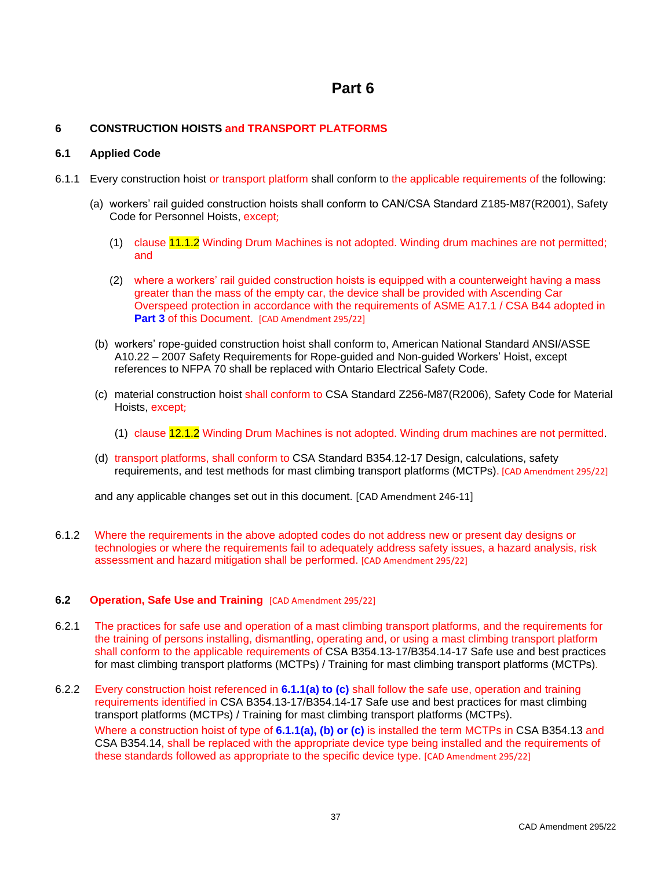# **Part 6**

# <span id="page-44-1"></span><span id="page-44-0"></span>**6 CONSTRUCTION HOISTS and TRANSPORT PLATFORMS**

# <span id="page-44-2"></span>**6.1 Applied Code**

- 6.1.1 Every construction hoist or transport platform shall conform to the applicable requirements of the following:
	- (a) workers' rail guided construction hoists shall conform to CAN/CSA Standard Z185-M87(R2001), Safety Code for Personnel Hoists, except;
		- (1) clause 11.1.2 Winding Drum Machines is not adopted. Winding drum machines are not permitted; and
		- (2) where a workers' rail guided construction hoists is equipped with a counterweight having a mass greater than the mass of the empty car, the device shall be provided with Ascending Car Overspeed protection in accordance with the requirements of ASME A17.1 / CSA B44 adopted in **Part 3 of this Document. [CAD Amendment 295/22]**
	- (b) workers' rope-guided construction hoist shall conform to, American National Standard ANSI/ASSE A10.22 – 2007 Safety Requirements for Rope-guided and Non-guided Workers' Hoist, except references to NFPA 70 shall be replaced with Ontario Electrical Safety Code.
	- (c) material construction hoist shall conform to CSA Standard Z256-M87(R2006), Safety Code for Material Hoists, except;
		- (1) clause 12.1.2 Winding Drum Machines is not adopted. Winding drum machines are not permitted.
	- (d) transport platforms, shall conform to CSA Standard B354.12-17 Design, calculations, safety requirements, and test methods for mast climbing transport platforms (MCTPs). [CAD Amendment 295/22]

and any applicable changes set out in this document. [CAD Amendment 246-11]

6.1.2 Where the requirements in the above adopted codes do not address new or present day designs or technologies or where the requirements fail to adequately address safety issues, a hazard analysis, risk assessment and hazard mitigation shall be performed. [CAD Amendment 295/22]

# <span id="page-44-3"></span>**6.2 Operation, Safe Use and Training** [CAD Amendment 295/22]

- 6.2.1 The practices for safe use and operation of a mast climbing transport platforms, and the requirements for the training of persons installing, dismantling, operating and, or using a mast climbing transport platform shall conform to the applicable requirements of CSA B354.13-17/B354.14-17 Safe use and best practices for mast climbing transport platforms (MCTPs) / Training for mast climbing transport platforms (MCTPs)*.*
- 6.2.2 Every construction hoist referenced in **6.1.1(a) to (c)** shall follow the safe use, operation and training requirements identified in CSA B354.13-17/B354.14-17 Safe use and best practices for mast climbing transport platforms (MCTPs) / Training for mast climbing transport platforms (MCTPs).

Where a construction hoist of type of **6.1.1(a), (b) or (c)** is installed the term MCTPs in CSA B354.13 and CSA B354.14, shall be replaced with the appropriate device type being installed and the requirements of these standards followed as appropriate to the specific device type. [CAD Amendment 295/22]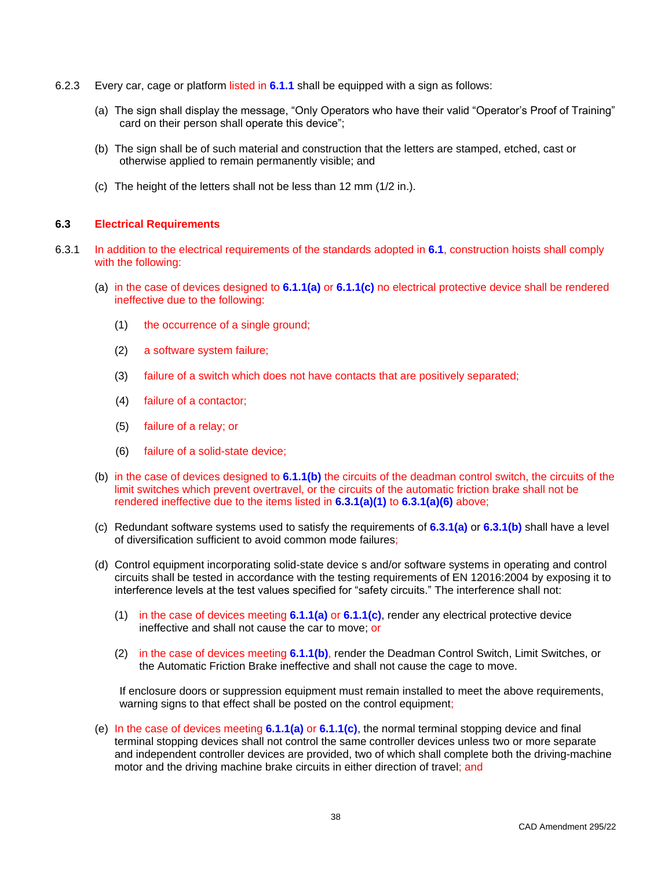- 6.2.3 Every car, cage or platform listed in **6.1.1** shall be equipped with a sign as follows:
	- (a) The sign shall display the message, "Only Operators who have their valid "Operator's Proof of Training" card on their person shall operate this device";
	- (b) The sign shall be of such material and construction that the letters are stamped, etched, cast or otherwise applied to remain permanently visible; and
	- (c) The height of the letters shall not be less than 12 mm (1/2 in.).

# <span id="page-45-0"></span>**6.3 Electrical Requirements**

- 6.3.1 In addition to the electrical requirements of the standards adopted in **6.1**, construction hoists shall comply with the following:
	- (a) in the case of devices designed to **6.1.1(a)** or **6.1.1(c)** no electrical protective device shall be rendered ineffective due to the following:
		- (1) the occurrence of a single ground;
		- (2) a software system failure;
		- (3) failure of a switch which does not have contacts that are positively separated;
		- (4) failure of a contactor;
		- (5) failure of a relay; or
		- (6) failure of a solid-state device;
	- (b) in the case of devices designed to **6.1.1(b)** the circuits of the deadman control switch, the circuits of the limit switches which prevent overtravel, or the circuits of the automatic friction brake shall not be rendered ineffective due to the items listed in **6.3.1(a)(1)** to **6.3.1(a)(6)** above;
	- (c) Redundant software systems used to satisfy the requirements of **6.3.1(a)** or **6.3.1(b)** shall have a level of diversification sufficient to avoid common mode failures;
	- (d) Control equipment incorporating solid-state device s and/or software systems in operating and control circuits shall be tested in accordance with the testing requirements of EN 12016:2004 by exposing it to interference levels at the test values specified for "safety circuits." The interference shall not:
		- (1) in the case of devices meeting **6.1.1(a)** or **6.1.1(c)**, render any electrical protective device ineffective and shall not cause the car to move; or
		- (2) in the case of devices meeting **6.1.1(b)**, render the Deadman Control Switch, Limit Switches, or the Automatic Friction Brake ineffective and shall not cause the cage to move.

If enclosure doors or suppression equipment must remain installed to meet the above requirements, warning signs to that effect shall be posted on the control equipment;

(e) In the case of devices meeting **6.1.1(a)** or **6.1.1(c)**, the normal terminal stopping device and final terminal stopping devices shall not control the same controller devices unless two or more separate and independent controller devices are provided, two of which shall complete both the driving-machine motor and the driving machine brake circuits in either direction of travel; and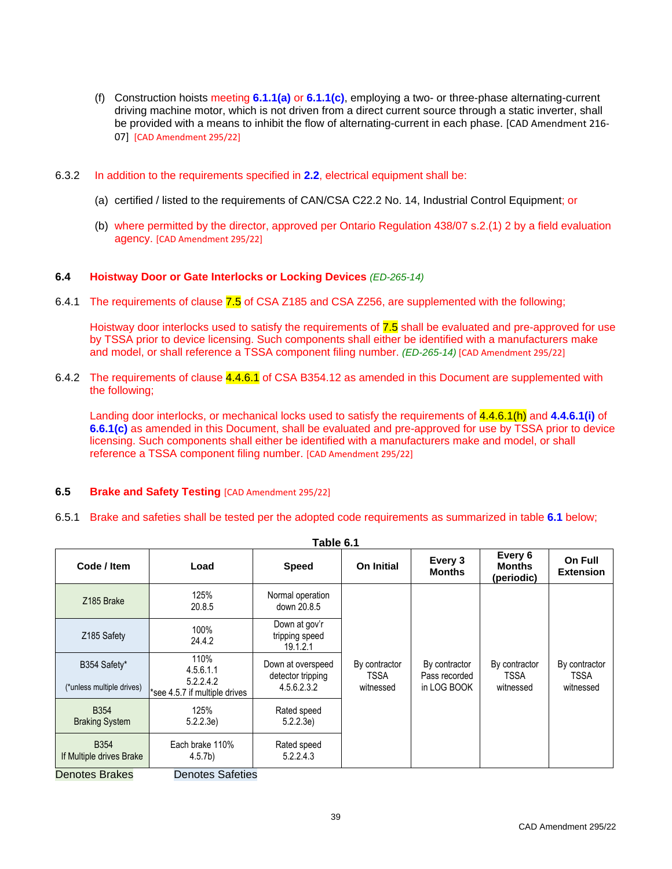- (f) Construction hoists meeting **6.1.1(a)** or **6.1.1(c)**, employing a two- or three-phase alternating-current driving machine motor, which is not driven from a direct current source through a static inverter, shall be provided with a means to inhibit the flow of alternating-current in each phase. [CAD Amendment 216- 07] [CAD Amendment 295/22]
- 6.3.2 In addition to the requirements specified in **2.2**, electrical equipment shall be:
	- (a) certified / listed to the requirements of CAN/CSA C22.2 No. 14, Industrial Control Equipment; or
	- (b) where permitted by the director, approved per Ontario Regulation 438/07 s.2.(1) 2 by a field evaluation agency. [CAD Amendment 295/22]

### <span id="page-46-0"></span>**6.4 Hoistway Door or Gate Interlocks or Locking Devices** *(ED-265-14)*

6.4.1 The requirements of clause 7.5 of CSA Z185 and CSA Z256, are supplemented with the following;

Hoistway door interlocks used to satisfy the requirements of 7.5 shall be evaluated and pre-approved for use by TSSA prior to device licensing. Such components shall either be identified with a manufacturers make and model, or shall reference a TSSA component filing number. *(ED-265-14)* [CAD Amendment 295/22]

6.4.2 The requirements of clause 4.4.6.1 of CSA B354.12 as amended in this Document are supplemented with the following;

Landing door interlocks, or mechanical locks used to satisfy the requirements of 4.4.6.1(h) and **4.4.6.1(i)** of **6.6.1(c)** as amended in this Document, shall be evaluated and pre-approved for use by TSSA prior to device licensing. Such components shall either be identified with a manufacturers make and model, or shall reference a TSSA component filing number. [CAD Amendment 295/22]

### <span id="page-46-1"></span>**6.5 Brake and Safety Testing** [CAD Amendment 295/22]

6.5.1 Brake and safeties shall be tested per the adopted code requirements as summarized in table **6.1** below;

| Table 6.1                               |                                            |                                                       |                                           |                                               |                                        |                                           |  |  |  |  |
|-----------------------------------------|--------------------------------------------|-------------------------------------------------------|-------------------------------------------|-----------------------------------------------|----------------------------------------|-------------------------------------------|--|--|--|--|
| Code / Item                             | Load                                       | <b>Speed</b>                                          | <b>On Initial</b>                         | Every 3<br><b>Months</b>                      | Every 6<br><b>Months</b><br>(periodic) | On Full<br><b>Extension</b>               |  |  |  |  |
| Z185 Brake                              | 125%<br>20.8.5                             | Normal operation<br>down 20.8.5                       |                                           | By contractor<br>Pass recorded<br>in LOG BOOK | By contractor<br>TSSA<br>witnessed     | By contractor<br><b>TSSA</b><br>witnessed |  |  |  |  |
| Z185 Safety                             | 100%<br>24.4.2                             | Down at gov'r<br>tripping speed<br>19.1.2.1           |                                           |                                               |                                        |                                           |  |  |  |  |
| B354 Safety*                            | 110%<br>4.5.6.1.1                          | Down at overspeed<br>detector tripping<br>4.5.6.2.3.2 | By contractor<br><b>TSSA</b><br>witnessed |                                               |                                        |                                           |  |  |  |  |
| (*unless multiple drives)               | 5.2.2.4.2<br>*see 4.5.7 if multiple drives |                                                       |                                           |                                               |                                        |                                           |  |  |  |  |
| <b>B354</b><br><b>Braking System</b>    | 125%<br>5.2.2.3e)                          | Rated speed<br>5.2.2.3e                               |                                           |                                               |                                        |                                           |  |  |  |  |
| <b>B354</b><br>If Multiple drives Brake | Each brake 110%<br>4.5.7 <sub>b</sub>      | Rated speed<br>5.2.2.4.3                              |                                           |                                               |                                        |                                           |  |  |  |  |
| na anns natura<br>Designed Dealers      |                                            |                                                       |                                           |                                               |                                        |                                           |  |  |  |  |

Denotes Brakes Denotes Safeties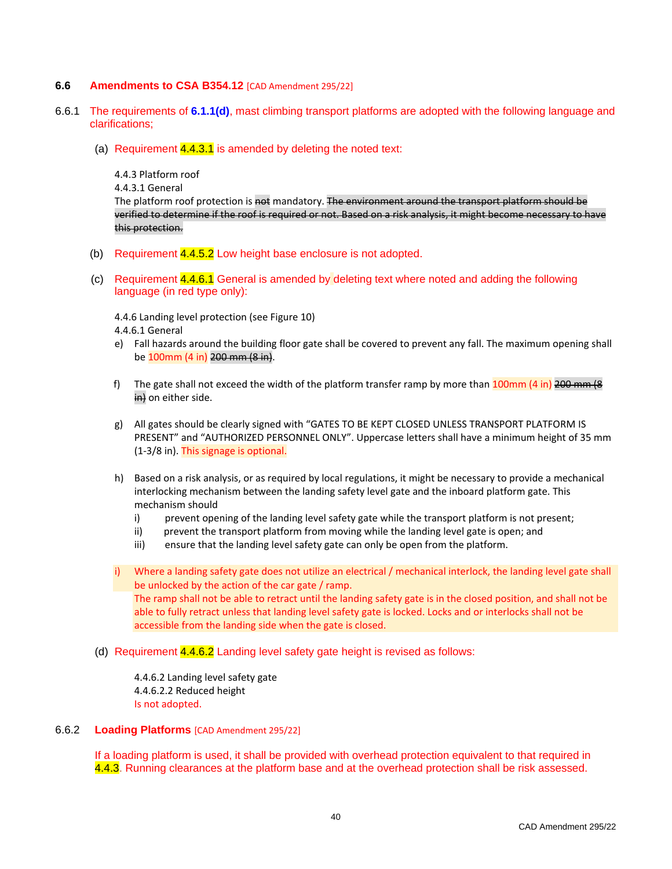### <span id="page-47-0"></span>**6.6 Amendments to CSA B354.12** [CAD Amendment 295/22]

- 6.6.1 The requirements of **6.1.1(d)**, mast climbing transport platforms are adopted with the following language and clarifications;
	- (a) Requirement  $4.4.3.1$  is amended by deleting the noted text:

4.4.3 Platform roof

4.4.3.1 General

The platform roof protection is not mandatory. The environment around the transport platform should be verified to determine if the roof is required or not. Based on a risk analysis, it might become necessary to have this protection.

- (b) Requirement 4.4.5.2 Low height base enclosure is not adopted.
- (c) Requirement 4.4.6.1 General is amended by deleting text where noted and adding the following language (in red type only):

4.4.6 Landing level protection (see Figure 10)

4.4.6.1 General

- e) Fall hazards around the building floor gate shall be covered to prevent any fall. The maximum opening shall be 100mm (4 in) 200 mm (8 in).
- f) The gate shall not exceed the width of the platform transfer ramp by more than  $100 \text{mm}$  (4 in) 200 mm (8 in) on either side.
- g) All gates should be clearly signed with "GATES TO BE KEPT CLOSED UNLESS TRANSPORT PLATFORM IS PRESENT" and "AUTHORIZED PERSONNEL ONLY". Uppercase letters shall have a minimum height of 35 mm (1-3/8 in). This signage is optional.
- h) Based on a risk analysis, or as required by local regulations, it might be necessary to provide a mechanical interlocking mechanism between the landing safety level gate and the inboard platform gate. This mechanism should
	- i) prevent opening of the landing level safety gate while the transport platform is not present;
	- ii) prevent the transport platform from moving while the landing level gate is open; and
	- iii) ensure that the landing level safety gate can only be open from the platform.

i) Where a landing safety gate does not utilize an electrical / mechanical interlock, the landing level gate shall be unlocked by the action of the car gate / ramp. The ramp shall not be able to retract until the landing safety gate is in the closed position, and shall not be able to fully retract unless that landing level safety gate is locked. Locks and or interlocks shall not be accessible from the landing side when the gate is closed.

(d) Requirement 4.4.6.2 Landing level safety gate height is revised as follows:

4.4.6.2 Landing level safety gate 4.4.6.2.2 Reduced height Is not adopted.

### 6.6.2 **Loading Platforms** [CAD Amendment 295/22]

If a loading platform is used, it shall be provided with overhead protection equivalent to that required in 4.4.3. Running clearances at the platform base and at the overhead protection shall be risk assessed.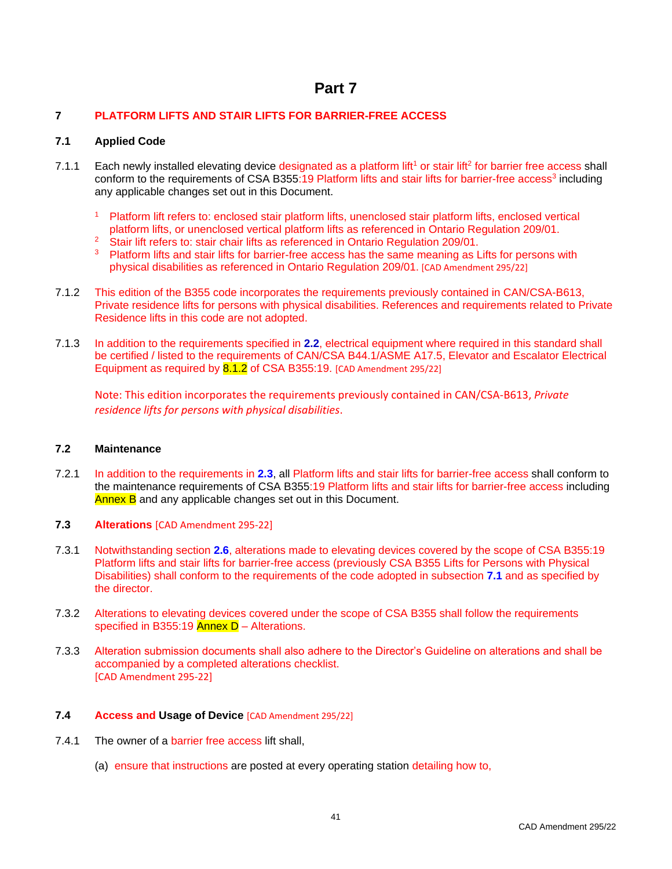# **Part 7**

# <span id="page-48-1"></span><span id="page-48-0"></span>**7 PLATFORM LIFTS AND STAIR LIFTS FOR BARRIER-FREE ACCESS**

# <span id="page-48-2"></span>**7.1 Applied Code**

- 7.1.1 Each newly installed elevating device designated as a platform lift<sup>1</sup> or stair lift<sup>2</sup> for barrier free access shall conform to the requirements of CSA B355:19 Platform lifts and stair lifts for barrier-free access<sup>3</sup> including any applicable changes set out in this Document.
	- <sup>1</sup> Platform lift refers to: enclosed stair platform lifts, unenclosed stair platform lifts, enclosed vertical platform lifts, or unenclosed vertical platform lifts as referenced in Ontario Regulation 209/01.
	- <sup>2</sup> Stair lift refers to: stair chair lifts as referenced in Ontario Regulation 209/01.
	- <sup>3</sup> Platform lifts and stair lifts for barrier-free access has the same meaning as Lifts for persons with physical disabilities as referenced in Ontario Regulation 209/01. [CAD Amendment 295/22]
- 7.1.2 This edition of the B355 code incorporates the requirements previously contained in CAN/CSA-B613, Private residence lifts for persons with physical disabilities. References and requirements related to Private Residence lifts in this code are not adopted.
- 7.1.3 In addition to the requirements specified in **2.2**, electrical equipment where required in this standard shall be certified / listed to the requirements of CAN/CSA B44.1/ASME A17.5, Elevator and Escalator Electrical Equipment as required by 8.1.2 of CSA B355:19. [CAD Amendment 295/22]

Note: This edition incorporates the requirements previously contained in CAN/CSA-B613, *Private residence lifts for persons with physical disabilities*.

### <span id="page-48-3"></span>**7.2 Maintenance**

- 7.2.1 In addition to the requirements in **2.3**, all Platform lifts and stair lifts for barrier-free access shall conform to the maintenance requirements of CSA B355:19 Platform lifts and stair lifts for barrier-free access including Annex B and any applicable changes set out in this Document.
- <span id="page-48-4"></span>**7.3 Alterations** [CAD Amendment 295-22]
- 7.3.1 Notwithstanding section **2.6**, alterations made to elevating devices covered by the scope of CSA B355:19 Platform lifts and stair lifts for barrier-free access (previously CSA B355 Lifts for Persons with Physical Disabilities) shall conform to the requirements of the code adopted in subsection **7.1** and as specified by the director.
- 7.3.2 Alterations to elevating devices covered under the scope of CSA B355 shall follow the requirements specified in B355:19 Annex  $D$  – Alterations.
- 7.3.3 Alteration submission documents shall also adhere to the Director's Guideline on alterations and shall be accompanied by a completed alterations checklist. [CAD Amendment 295-22]

# <span id="page-48-5"></span>**7.4 Access and Usage of Device** [CAD Amendment 295/22]

- 7.4.1 The owner of a barrier free access lift shall,
	- (a) ensure that instructions are posted at every operating station detailing how to,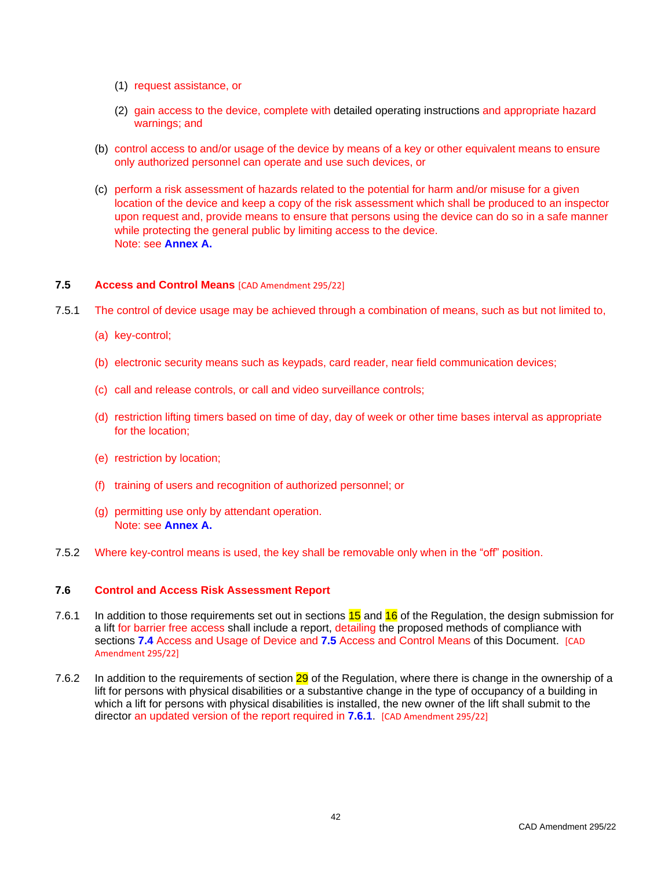- (1) request assistance, or
- (2) gain access to the device, complete with detailed operating instructions and appropriate hazard warnings; and
- (b) control access to and/or usage of the device by means of a key or other equivalent means to ensure only authorized personnel can operate and use such devices, or
- (c) perform a risk assessment of hazards related to the potential for harm and/or misuse for a given location of the device and keep a copy of the risk assessment which shall be produced to an inspector upon request and, provide means to ensure that persons using the device can do so in a safe manner while protecting the general public by limiting access to the device. Note: see **Annex A.**

# <span id="page-49-0"></span>**7.5 Access and Control Means** [CAD Amendment 295/22]

- 7.5.1 The control of device usage may be achieved through a combination of means, such as but not limited to,
	- (a) key-control;
	- (b) electronic security means such as keypads, card reader, near field communication devices;
	- (c) call and release controls, or call and video surveillance controls;
	- (d) restriction lifting timers based on time of day, day of week or other time bases interval as appropriate for the location;
	- (e) restriction by location;
	- (f) training of users and recognition of authorized personnel; or
	- (g) permitting use only by attendant operation. Note: see **Annex A.**
- 7.5.2 Where key-control means is used, the key shall be removable only when in the "off" position.

# <span id="page-49-1"></span>**7.6 Control and Access Risk Assessment Report**

- 7.6.1 In addition to those requirements set out in sections 15 and 16 of the Regulation, the design submission for a lift for barrier free access shall include a report, detailing the proposed methods of compliance with sections **7.4** Access and Usage of Device and **7.5** Access and Control Means of this Document. [CAD Amendment 295/22]
- 7.6.2 In addition to the requirements of section 29 of the Regulation, where there is change in the ownership of a lift for persons with physical disabilities or a substantive change in the type of occupancy of a building in which a lift for persons with physical disabilities is installed, the new owner of the lift shall submit to the director an updated version of the report required in **7.6.1**. [CAD Amendment 295/22]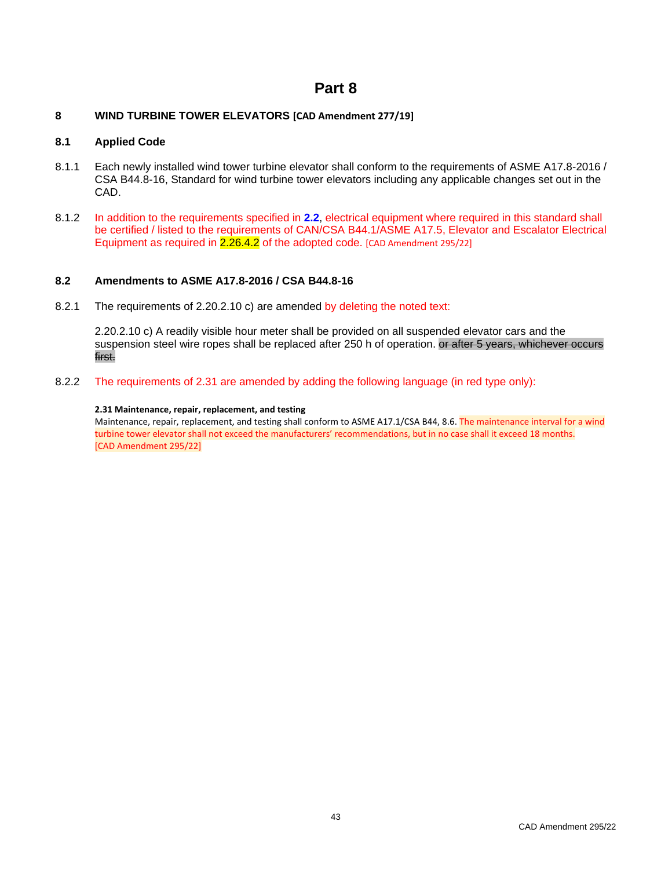# **Part 8**

# <span id="page-50-1"></span><span id="page-50-0"></span>**8 WIND TURBINE TOWER ELEVATORS [CAD Amendment 277/19]**

### <span id="page-50-2"></span>**8.1 Applied Code**

- 8.1.1 Each newly installed wind tower turbine elevator shall conform to the requirements of ASME A17.8-2016 / CSA B44.8-16, Standard for wind turbine tower elevators including any applicable changes set out in the CAD.
- 8.1.2 In addition to the requirements specified in **2.2**, electrical equipment where required in this standard shall be certified / listed to the requirements of CAN/CSA B44.1/ASME A17.5, Elevator and Escalator Electrical Equipment as required in 2.26.4.2 of the adopted code. [CAD Amendment 295/22]

# <span id="page-50-3"></span>**8.2 Amendments to ASME A17.8-2016 / CSA B44.8-16**

8.2.1 The requirements of 2.20.2.10 c) are amended by deleting the noted text:

2.20.2.10 c) A readily visible hour meter shall be provided on all suspended elevator cars and the suspension steel wire ropes shall be replaced after 250 h of operation. or after 5 years, whichever occurs first.

8.2.2 The requirements of 2.31 are amended by adding the following language (in red type only):

### **2.31 Maintenance, repair, replacement, and testing**

Maintenance, repair, replacement, and testing shall conform to ASME A17.1/CSA B44, 8.6. The maintenance interval for a wind turbine tower elevator shall not exceed the manufacturers' recommendations, but in no case shall it exceed 18 months. [CAD Amendment 295/22]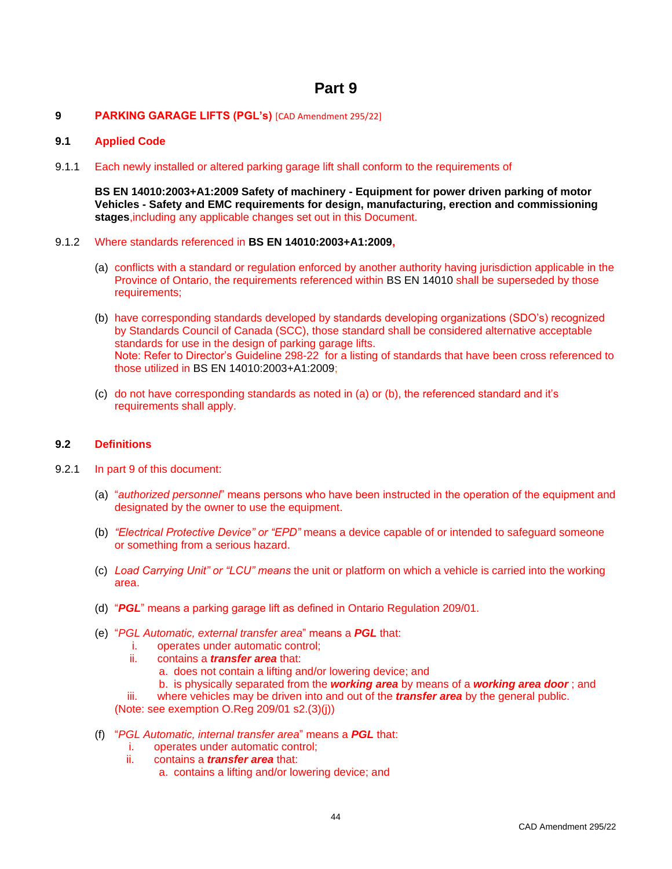# **Part 9**

# <span id="page-51-1"></span><span id="page-51-0"></span>**9 PARKING GARAGE LIFTS (PGL's)** [CAD Amendment 295/22]

# <span id="page-51-2"></span>**9.1 Applied Code**

9.1.1 Each newly installed or altered parking garage lift shall conform to the requirements of

**BS EN 14010:2003+A1:2009 Safety of machinery - Equipment for power driven parking of motor Vehicles - Safety and EMC requirements for design, manufacturing, erection and commissioning stages**,including any applicable changes set out in this Document.

- 9.1.2 Where standards referenced in **BS EN 14010:2003+A1:2009,**
	- (a) conflicts with a standard or regulation enforced by another authority having jurisdiction applicable in the Province of Ontario, the requirements referenced within BS EN 14010 shall be superseded by those requirements;
	- (b) have corresponding standards developed by standards developing organizations (SDO's) recognized by Standards Council of Canada (SCC), those standard shall be considered alternative acceptable standards for use in the design of parking garage lifts. Note: Refer to Director's Guideline 298-22 for a listing of standards that have been cross referenced to those utilized in BS EN 14010:2003+A1:2009;
	- (c) do not have corresponding standards as noted in (a) or (b), the referenced standard and it's requirements shall apply.

### <span id="page-51-3"></span>**9.2 Definitions**

- 9.2.1 In part 9 of this document:
	- (a) "*authorized personnel*" means persons who have been instructed in the operation of the equipment and designated by the owner to use the equipment.
	- (b) *"Electrical Protective Device" or "EPD"* means a device capable of or intended to safeguard someone or something from a serious hazard.
	- (c) *Load Carrying Unit" or "LCU" means* the unit or platform on which a vehicle is carried into the working area.
	- (d) "*PGL*" means a parking garage lift as defined in Ontario Regulation 209/01.
	- (e) "*PGL Automatic, external transfer area*" means a *PGL* that:
		- i. operates under automatic control;
		- ii. contains a *transfer area* that:
			- a. does not contain a lifting and/or lowering device; and
			- b. is physically separated from the *working area* by means of a *working area door* ; and
		- iii. where vehicles may be driven into and out of the *transfer area* by the general public.

(Note: see exemption O.Reg 209/01 s2.(3)(j))

- (f) "*PGL Automatic, internal transfer area*" means a *PGL* that:
	- i. operates under automatic control;
	- ii. contains a *transfer area* that:
		- a. contains a lifting and/or lowering device; and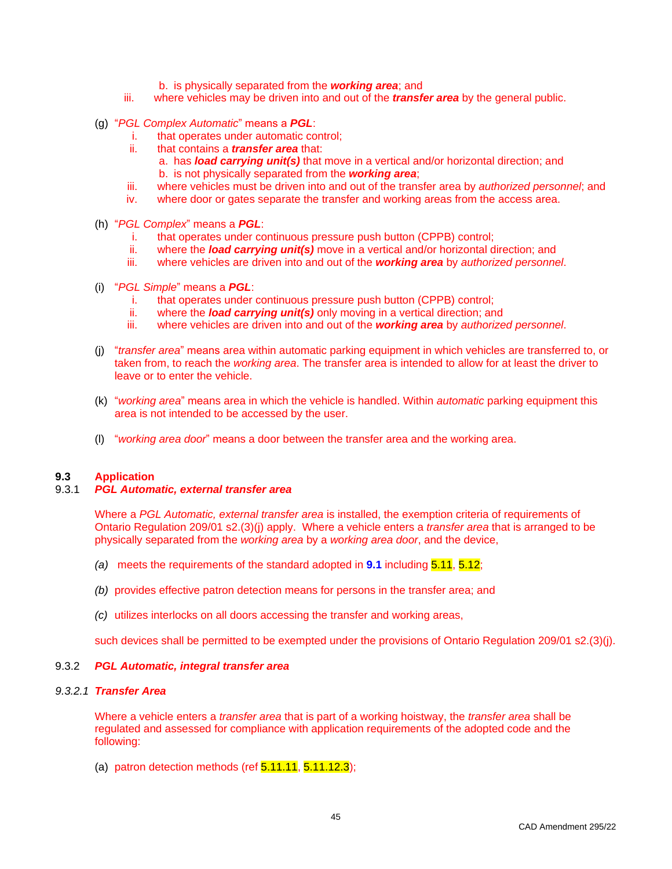- b. is physically separated from the *working area*; and
- iii. where vehicles may be driven into and out of the *transfer area* by the general public.
- (g) "*PGL Complex Automatic*" means a *PGL*:
	- i. that operates under automatic control;
	- ii. that contains a *transfer area* that:
		- a. has *load carrying unit(s)* that move in a vertical and/or horizontal direction; and
		- b. is not physically separated from the *working area*;
	- iii. where vehicles must be driven into and out of the transfer area by *authorized personnel*; and
	- iv. where door or gates separate the transfer and working areas from the access area.
- (h) "*PGL Complex*" means a *PGL*:
	- i. that operates under continuous pressure push button (CPPB) control;
	- ii. where the *load carrying unit(s)* move in a vertical and/or horizontal direction; and
	- iii. where vehicles are driven into and out of the *working area* by *authorized personnel*.
- (i) "*PGL Simple*" means a *PGL*:
	- i. that operates under continuous pressure push button (CPPB) control;
	- ii. where the *load carrying unit(s)* only moving in a vertical direction; and
	- iii. where vehicles are driven into and out of the *working area* by *authorized personnel*.
- (j) "*transfer area*" means area within automatic parking equipment in which vehicles are transferred to, or taken from, to reach the *working area*. The transfer area is intended to allow for at least the driver to leave or to enter the vehicle.
- (k) "*working area*" means area in which the vehicle is handled. Within *automatic* parking equipment this area is not intended to be accessed by the user.
- (l) "*working area door*" means a door between the transfer area and the working area.

### <span id="page-52-0"></span>**9.3 Application**

### <span id="page-52-1"></span>9.3.1 *PGL Automatic, external transfer area*

Where a *PGL Automatic, external transfer area* is installed, the exemption criteria of requirements of Ontario Regulation 209/01 s2.(3)(j) apply.Where a vehicle enters a *transfer area* that is arranged to be physically separated from the *working area* by a *working area door*, and the device,

- *(a)* meets the requirements of the standard adopted in **9.1** including 5.11, 5.12;
- *(b)* provides effective patron detection means for persons in the transfer area; and
- *(c)* utilizes interlocks on all doors accessing the transfer and working areas,

such devices shall be permitted to be exempted under the provisions of Ontario Regulation 209/01 s2.(3)(j).

### <span id="page-52-2"></span>9.3.2 *PGL Automatic, integral transfer area*

# *9.3.2.1 Transfer Area*

Where a vehicle enters a *transfer area* that is part of a working hoistway, the *transfer area* shall be regulated and assessed for compliance with application requirements of the adopted code and the following:

(a) patron detection methods (ref  $5.11.11$ ,  $5.11.12.3$ );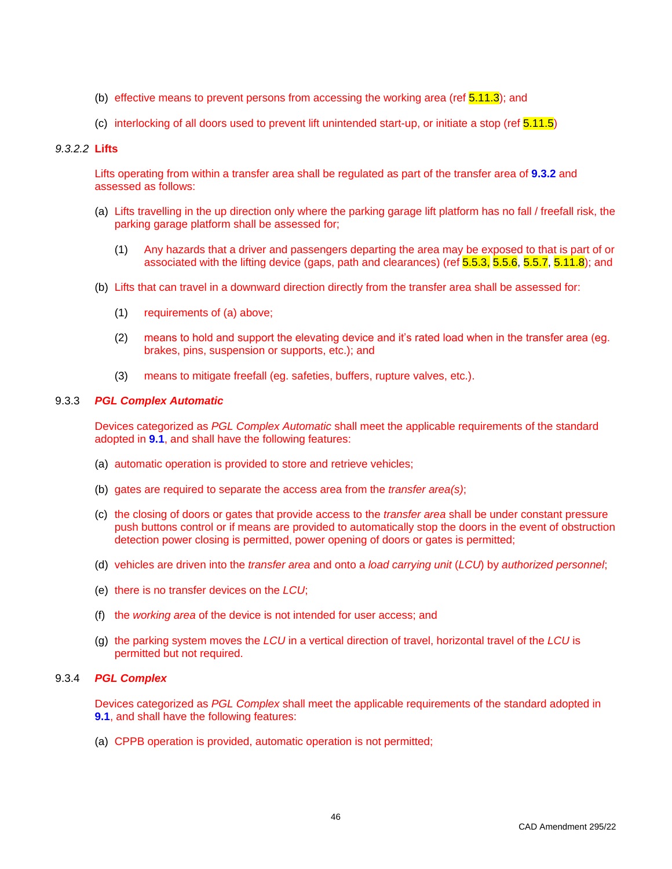- (b) effective means to prevent persons from accessing the working area (ref  $5.11.3$ ); and
- (c) interlocking of all doors used to prevent lift unintended start-up, or initiate a stop (ref 5.11.5)

### *9.3.2.2* **Lifts**

Lifts operating from within a transfer area shall be regulated as part of the transfer area of **9.3.2** and assessed as follows:

- (a) Lifts travelling in the up direction only where the parking garage lift platform has no fall / freefall risk, the parking garage platform shall be assessed for;
	- (1) Any hazards that a driver and passengers departing the area may be exposed to that is part of or associated with the lifting device (gaps, path and clearances) (ref 5.5.3, 5.5.6, 5.5.7, 5.11.8); and
- (b) Lifts that can travel in a downward direction directly from the transfer area shall be assessed for:
	- (1) requirements of (a) above;
	- (2) means to hold and support the elevating device and it's rated load when in the transfer area (eg. brakes, pins, suspension or supports, etc.); and
	- (3) means to mitigate freefall (eg. safeties, buffers, rupture valves, etc.).

### <span id="page-53-0"></span>9.3.3 *PGL Complex Automatic*

Devices categorized as *PGL Complex Automatic* shall meet the applicable requirements of the standard adopted in **9.1**, and shall have the following features:

- (a) automatic operation is provided to store and retrieve vehicles;
- (b) gates are required to separate the access area from the *transfer area(s)*;
- (c) the closing of doors or gates that provide access to the *transfer area* shall be under constant pressure push buttons control or if means are provided to automatically stop the doors in the event of obstruction detection power closing is permitted, power opening of doors or gates is permitted;
- (d) vehicles are driven into the *transfer area* and onto a *load carrying unit* (*LCU*) by *authorized personnel*;
- (e) there is no transfer devices on the *LCU*;
- (f) the *working area* of the device is not intended for user access; and
- (g) the parking system moves the *LCU* in a vertical direction of travel, horizontal travel of the *LCU* is permitted but not required.

### <span id="page-53-1"></span>9.3.4 *PGL Complex*

Devices categorized as *PGL Complex* shall meet the applicable requirements of the standard adopted in **9.1**, and shall have the following features:

(a) CPPB operation is provided, automatic operation is not permitted;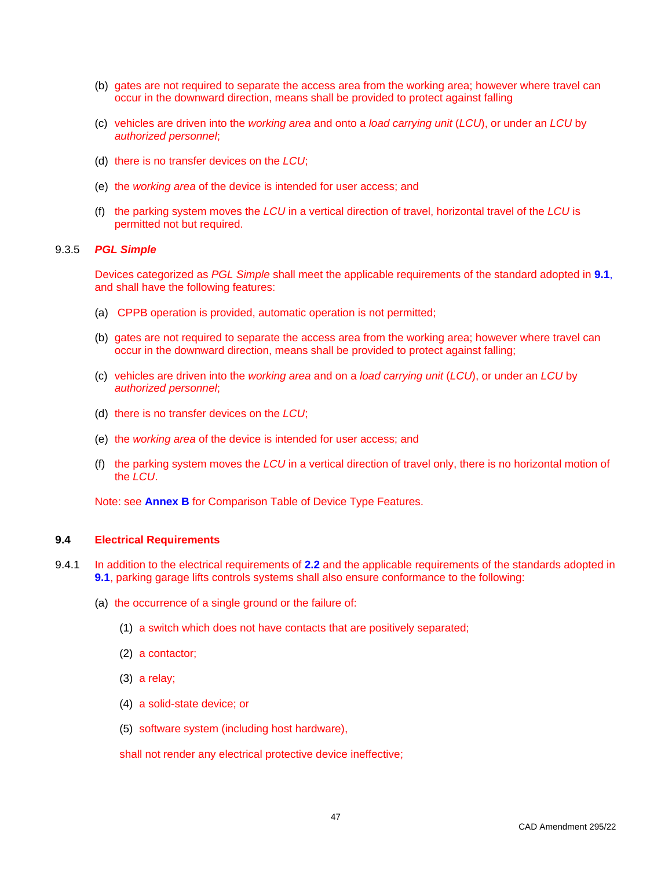- (b) gates are not required to separate the access area from the working area; however where travel can occur in the downward direction, means shall be provided to protect against falling
- (c) vehicles are driven into the *working area* and onto a *load carrying unit* (*LCU*), or under an *LCU* by *authorized personnel*;
- (d) there is no transfer devices on the *LCU*;
- (e) the *working area* of the device is intended for user access; and
- (f) the parking system moves the *LCU* in a vertical direction of travel, horizontal travel of the *LCU* is permitted not but required.

### <span id="page-54-0"></span>9.3.5 *PGL Simple*

Devices categorized as *PGL Simple* shall meet the applicable requirements of the standard adopted in **9.1**, and shall have the following features:

- (a) CPPB operation is provided, automatic operation is not permitted;
- (b) gates are not required to separate the access area from the working area; however where travel can occur in the downward direction, means shall be provided to protect against falling;
- (c) vehicles are driven into the *working area* and on a *load carrying unit* (*LCU*), or under an *LCU* by *authorized personnel*;
- (d) there is no transfer devices on the *LCU*;
- (e) the *working area* of the device is intended for user access; and
- (f) the parking system moves the *LCU* in a vertical direction of travel only, there is no horizontal motion of the *LCU*.

Note: see **Annex B** for Comparison Table of Device Type Features.

### <span id="page-54-1"></span>**9.4 Electrical Requirements**

- 9.4.1 In addition to the electrical requirements of **2.2** and the applicable requirements of the standards adopted in **9.1**, parking garage lifts controls systems shall also ensure conformance to the following:
	- (a) the occurrence of a single ground or the failure of:
		- (1) a switch which does not have contacts that are positively separated;
		- (2) a contactor;
		- (3) a relay;
		- (4) a solid-state device; or
		- (5) software system (including host hardware),

shall not render any electrical protective device ineffective;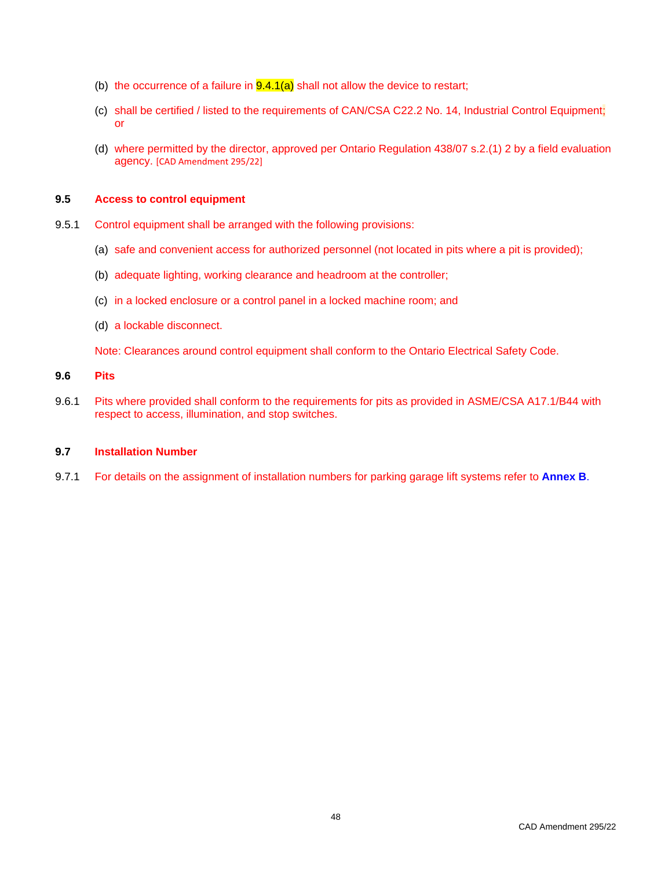- (b) the occurrence of a failure in  $9.4.1(a)$  shall not allow the device to restart;
- (c) shall be certified / listed to the requirements of CAN/CSA C22.2 No. 14, Industrial Control Equipment; or
- (d) where permitted by the director, approved per Ontario Regulation 438/07 s.2.(1) 2 by a field evaluation agency. [CAD Amendment 295/22]

# <span id="page-55-0"></span>**9.5 Access to control equipment**

- 9.5.1 Control equipment shall be arranged with the following provisions:
	- (a) safe and convenient access for authorized personnel (not located in pits where a pit is provided);
	- (b) adequate lighting, working clearance and headroom at the controller;
	- (c) in a locked enclosure or a control panel in a locked machine room; and
	- (d) a lockable disconnect.

Note: Clearances around control equipment shall conform to the Ontario Electrical Safety Code.

# <span id="page-55-1"></span>**9.6 Pits**

9.6.1 Pits where provided shall conform to the requirements for pits as provided in ASME/CSA A17.1/B44 with respect to access, illumination, and stop switches.

# <span id="page-55-2"></span>**9.7 Installation Number**

9.7.1 For details on the assignment of installation numbers for parking garage lift systems refer to **Annex B**.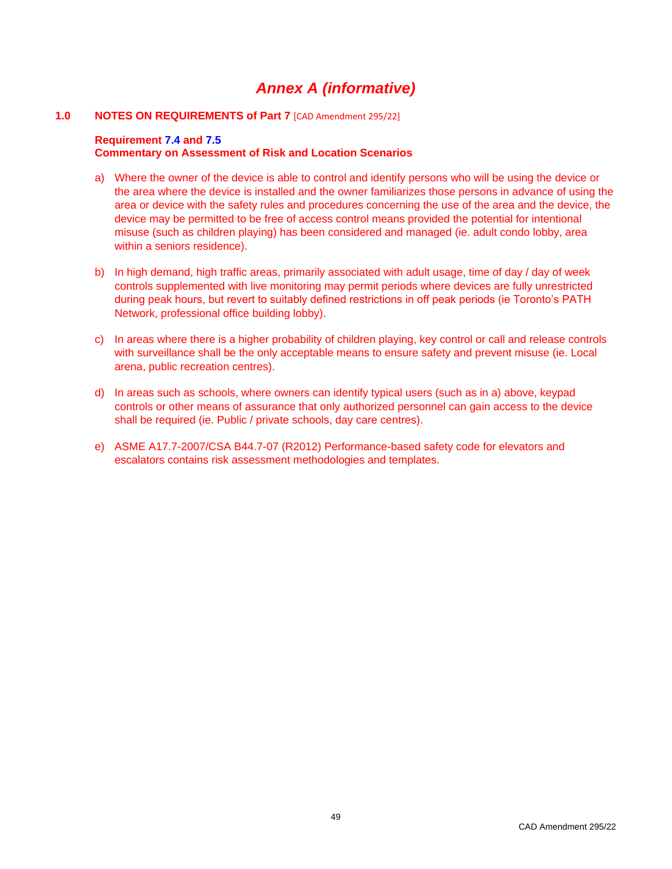# *Annex A (informative)*

# <span id="page-56-1"></span><span id="page-56-0"></span>**1.0 NOTES ON REQUIREMENTS of Part 7** [CAD Amendment 295/22]

### **Requirement 7.4 and 7.5 Commentary on Assessment of Risk and Location Scenarios**

- a) Where the owner of the device is able to control and identify persons who will be using the device or the area where the device is installed and the owner familiarizes those persons in advance of using the area or device with the safety rules and procedures concerning the use of the area and the device, the device may be permitted to be free of access control means provided the potential for intentional misuse (such as children playing) has been considered and managed (ie. adult condo lobby, area within a seniors residence).
- b) In high demand, high traffic areas, primarily associated with adult usage, time of day / day of week controls supplemented with live monitoring may permit periods where devices are fully unrestricted during peak hours, but revert to suitably defined restrictions in off peak periods (ie Toronto's PATH Network, professional office building lobby).
- c) In areas where there is a higher probability of children playing, key control or call and release controls with surveillance shall be the only acceptable means to ensure safety and prevent misuse (ie. Local arena, public recreation centres).
- d) In areas such as schools, where owners can identify typical users (such as in a) above, keypad controls or other means of assurance that only authorized personnel can gain access to the device shall be required (ie. Public / private schools, day care centres).
- e) ASME A17.7-2007/CSA B44.7-07 (R2012) Performance-based safety code for elevators and escalators contains risk assessment methodologies and templates.